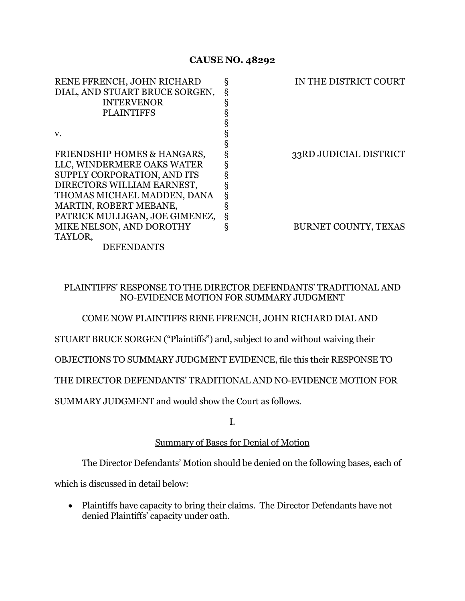# **CAUSE NO. 48292**

| RENE FFRENCH, JOHN RICHARD     | ş | IN THE DISTRICT COURT  |
|--------------------------------|---|------------------------|
| DIAL, AND STUART BRUCE SORGEN, | ş |                        |
| <b>INTERVENOR</b>              | ş |                        |
| <b>PLAINTIFFS</b>              | ş |                        |
|                                |   |                        |
| V.                             | ş |                        |
|                                | ş |                        |
| FRIENDSHIP HOMES & HANGARS,    | ş | 33RD JUDICIAL DISTRICT |
| LLC, WINDERMERE OAKS WATER     | § |                        |
| SUPPLY CORPORATION, AND ITS    |   |                        |
| DIRECTORS WILLIAM EARNEST,     | ş |                        |
| THOMAS MICHAEL MADDEN, DANA    | ş |                        |
| MARTIN, ROBERT MEBANE,         | ş |                        |
| PATRICK MULLIGAN, JOE GIMENEZ, | ş |                        |
| MIKE NELSON, AND DOROTHY       | ş | BURNET COUNTY, TEXAS   |
| TAYLOR,                        |   |                        |
| <b>DEFENDANTS</b>              |   |                        |
|                                |   |                        |

# PLAINTIFFS' RESPONSE TO THE DIRECTOR DEFENDANTS' TRADITIONAL AND NO-EVIDENCE MOTION FOR SUMMARY JUDGMENT

# COME NOW PLAINTIFFS RENE FFRENCH, JOHN RICHARD DIAL AND

STUART BRUCE SORGEN ("Plaintiffs") and, subject to and without waiving their

OBJECTIONS TO SUMMARY JUDGMENT EVIDENCE, file this their RESPONSE TO

THE DIRECTOR DEFENDANTS' TRADITIONAL AND NO-EVIDENCE MOTION FOR

SUMMARY JUDGMENT and would show the Court as follows.

I.

# Summary of Bases for Denial of Motion

The Director Defendants' Motion should be denied on the following bases, each of

which is discussed in detail below:

• Plaintiffs have capacity to bring their claims. The Director Defendants have not denied Plaintiffs' capacity under oath.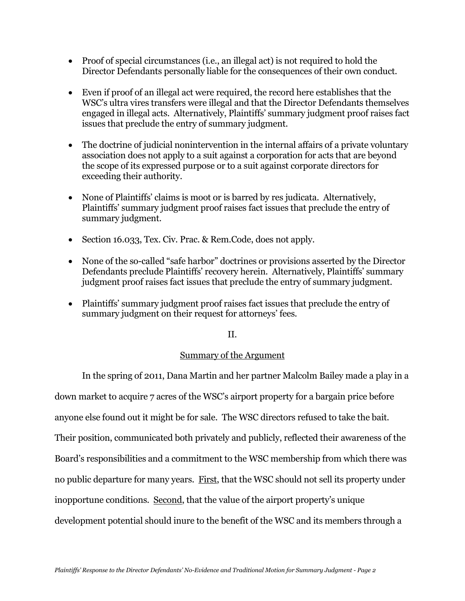- Proof of special circumstances (i.e., an illegal act) is not required to hold the Director Defendants personally liable for the consequences of their own conduct.
- Even if proof of an illegal act were required, the record here establishes that the WSC's ultra vires transfers were illegal and that the Director Defendants themselves engaged in illegal acts. Alternatively, Plaintiffs' summary judgment proof raises fact issues that preclude the entry of summary judgment.
- The doctrine of judicial nonintervention in the internal affairs of a private voluntary association does not apply to a suit against a corporation for acts that are beyond the scope of its expressed purpose or to a suit against corporate directors for exceeding their authority.
- None of Plaintiffs' claims is moot or is barred by res judicata. Alternatively, Plaintiffs' summary judgment proof raises fact issues that preclude the entry of summary judgment.
- Section 16.033, Tex. Civ. Prac. & Rem. Code, does not apply.
- None of the so-called "safe harbor" doctrines or provisions asserted by the Director Defendants preclude Plaintiffs' recovery herein. Alternatively, Plaintiffs' summary judgment proof raises fact issues that preclude the entry of summary judgment.
- Plaintiffs' summary judgment proof raises fact issues that preclude the entry of summary judgment on their request for attorneys' fees.

# II.

# Summary of the Argument

In the spring of 2011, Dana Martin and her partner Malcolm Bailey made a play in a down market to acquire 7 acres of the WSC's airport property for a bargain price before anyone else found out it might be for sale. The WSC directors refused to take the bait. Their position, communicated both privately and publicly, reflected their awareness of the Board's responsibilities and a commitment to the WSC membership from which there was no public departure for many years. First, that the WSC should not sell its property under inopportune conditions. Second, that the value of the airport property's unique development potential should inure to the benefit of the WSC and its members through a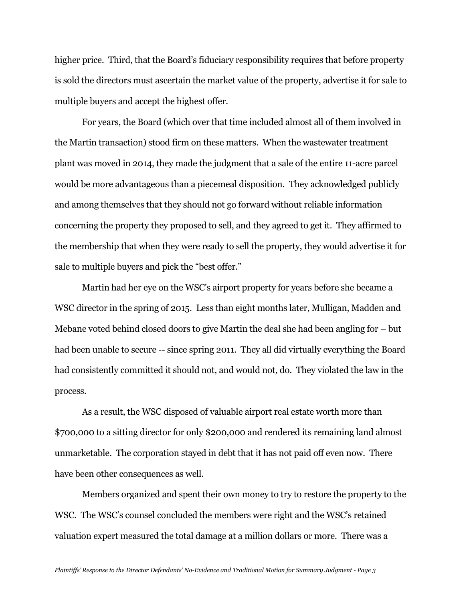higher price. Third, that the Board's fiduciary responsibility requires that before property is sold the directors must ascertain the market value of the property, advertise it for sale to multiple buyers and accept the highest offer.

For years, the Board (which over that time included almost all of them involved in the Martin transaction) stood firm on these matters. When the wastewater treatment plant was moved in 2014, they made the judgment that a sale of the entire 11-acre parcel would be more advantageous than a piecemeal disposition. They acknowledged publicly and among themselves that they should not go forward without reliable information concerning the property they proposed to sell, and they agreed to get it. They affirmed to the membership that when they were ready to sell the property, they would advertise it for sale to multiple buyers and pick the "best offer."

Martin had her eye on the WSC's airport property for years before she became a WSC director in the spring of 2015. Less than eight months later, Mulligan, Madden and Mebane voted behind closed doors to give Martin the deal she had been angling for – but had been unable to secure -- since spring 2011. They all did virtually everything the Board had consistently committed it should not, and would not, do. They violated the law in the process.

As a result, the WSC disposed of valuable airport real estate worth more than \$700,000 to a sitting director for only \$200,000 and rendered its remaining land almost unmarketable. The corporation stayed in debt that it has not paid off even now. There have been other consequences as well.

Members organized and spent their own money to try to restore the property to the WSC. The WSC's counsel concluded the members were right and the WSC's retained valuation expert measured the total damage at a million dollars or more. There was a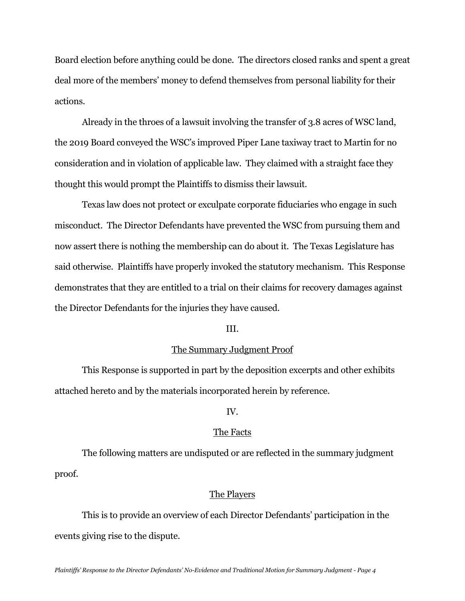Board election before anything could be done. The directors closed ranks and spent a great deal more of the members' money to defend themselves from personal liability for their actions.

Already in the throes of a lawsuit involving the transfer of 3.8 acres of WSC land, the 2019 Board conveyed the WSC's improved Piper Lane taxiway tract to Martin for no consideration and in violation of applicable law. They claimed with a straight face they thought this would prompt the Plaintiffs to dismiss their lawsuit.

Texas law does not protect or exculpate corporate fiduciaries who engage in such misconduct. The Director Defendants have prevented the WSC from pursuing them and now assert there is nothing the membership can do about it. The Texas Legislature has said otherwise. Plaintiffs have properly invoked the statutory mechanism. This Response demonstrates that they are entitled to a trial on their claims for recovery damages against the Director Defendants for the injuries they have caused.

#### III.

#### The Summary Judgment Proof

This Response is supported in part by the deposition excerpts and other exhibits attached hereto and by the materials incorporated herein by reference.

## IV.

#### The Facts

The following matters are undisputed or are reflected in the summary judgment proof.

### The Players

This is to provide an overview of each Director Defendants' participation in the events giving rise to the dispute.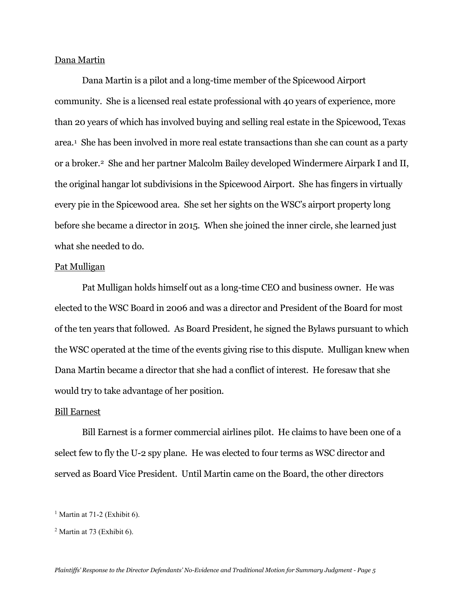### Dana Martin

Dana Martin is a pilot and a long-time member of the Spicewood Airport community. She is a licensed real estate professional with 40 years of experience, more than 20 years of which has involved buying and selling real estate in the Spicewood, Texas area.[1](#page-4-0) She has been involved in more real estate transactions than she can count as a party or a broker[.2](#page-4-1) She and her partner Malcolm Bailey developed Windermere Airpark I and II, the original hangar lot subdivisions in the Spicewood Airport. She has fingers in virtually every pie in the Spicewood area. She set her sights on the WSC's airport property long before she became a director in 2015. When she joined the inner circle, she learned just what she needed to do.

### Pat Mulligan

Pat Mulligan holds himself out as a long-time CEO and business owner. He was elected to the WSC Board in 2006 and was a director and President of the Board for most of the ten years that followed. As Board President, he signed the Bylaws pursuant to which the WSC operated at the time of the events giving rise to this dispute. Mulligan knew when Dana Martin became a director that she had a conflict of interest. He foresaw that she would try to take advantage of her position.

#### Bill Earnest

Bill Earnest is a former commercial airlines pilot. He claims to have been one of a select few to fly the U-2 spy plane. He was elected to four terms as WSC director and served as Board Vice President. Until Martin came on the Board, the other directors

<span id="page-4-0"></span> $<sup>1</sup>$  Martin at 71-2 (Exhibit 6).</sup>

<span id="page-4-1"></span><sup>2</sup> Martin at 73 (Exhibit 6).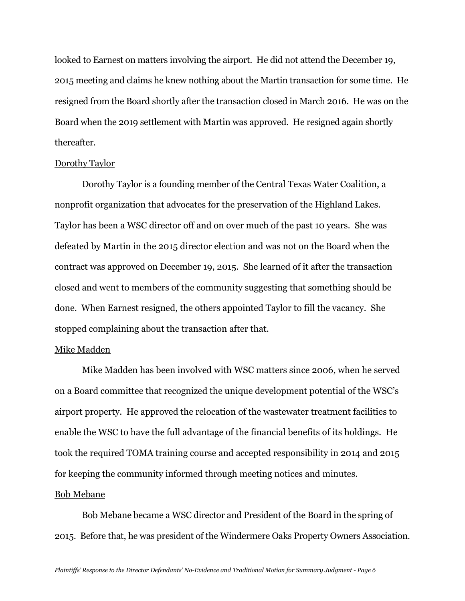looked to Earnest on matters involving the airport. He did not attend the December 19, 2015 meeting and claims he knew nothing about the Martin transaction for some time. He resigned from the Board shortly after the transaction closed in March 2016. He was on the Board when the 2019 settlement with Martin was approved. He resigned again shortly thereafter.

### Dorothy Taylor

Dorothy Taylor is a founding member of the Central Texas Water Coalition, a nonprofit organization that advocates for the preservation of the Highland Lakes. Taylor has been a WSC director off and on over much of the past 10 years. She was defeated by Martin in the 2015 director election and was not on the Board when the contract was approved on December 19, 2015. She learned of it after the transaction closed and went to members of the community suggesting that something should be done. When Earnest resigned, the others appointed Taylor to fill the vacancy. She stopped complaining about the transaction after that.

#### Mike Madden

Mike Madden has been involved with WSC matters since 2006, when he served on a Board committee that recognized the unique development potential of the WSC's airport property. He approved the relocation of the wastewater treatment facilities to enable the WSC to have the full advantage of the financial benefits of its holdings. He took the required TOMA training course and accepted responsibility in 2014 and 2015 for keeping the community informed through meeting notices and minutes.

## Bob Mebane

Bob Mebane became a WSC director and President of the Board in the spring of 2015. Before that, he was president of the Windermere Oaks Property Owners Association.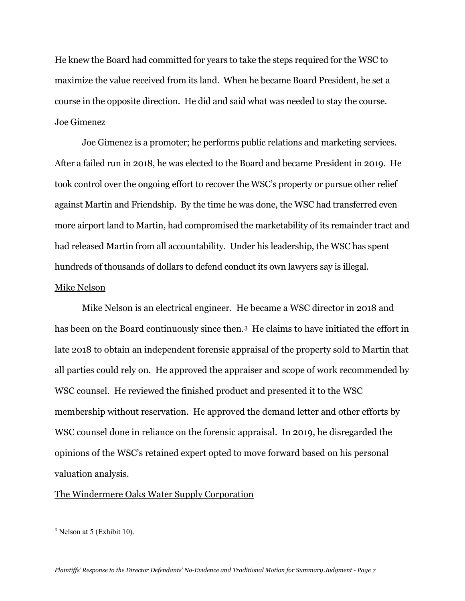He knew the Board had committed for years to take the steps required for the WSC to maximize the value received from its land. When he became Board President, he set a course in the opposite direction. He did and said what was needed to stay the course. Joe Gimenez

Joe Gimenez is a promoter; he performs public relations and marketing services. After a failed run in 2018, he was elected to the Board and became President in 2019. He took control over the ongoing effort to recover the WSC's property or pursue other relief against Martin and Friendship. By the time he was done, the WSC had transferred even more airport land to Martin, had compromised the marketability of its remainder tract and had released Martin from all accountability. Under his leadership, the WSC has spent hundreds of thousands of dollars to defend conduct its own lawyers say is illegal. Mike Nelson

Mike Nelson is an electrical engineer. He became a WSC director in 2018 and has been on the Board continuously since then.<sup>[3](#page-6-0)</sup> He claims to have initiated the effort in late 2018 to obtain an independent forensic appraisal of the property sold to Martin that all parties could rely on. He approved the appraiser and scope of work recommended by WSC counsel. He reviewed the finished product and presented it to the WSC membership without reservation. He approved the demand letter and other efforts by WSC counsel done in reliance on the forensic appraisal. In 2019, he disregarded the opinions of the WSC's retained expert opted to move forward based on his personal valuation analysis.

## The Windermere Oaks Water Supply Corporation

<span id="page-6-0"></span><sup>3</sup> Nelson at 5 (Exhibit 10).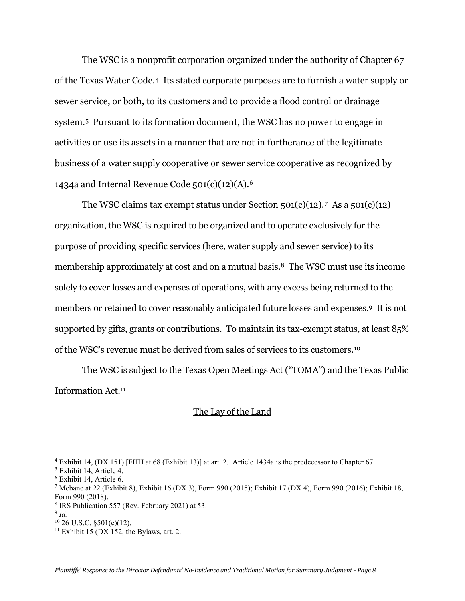The WSC is a nonprofit corporation organized under the authority of Chapter 67 of the Texas Water Code.[4](#page-7-0) Its stated corporate purposes are to furnish a water supply or sewer service, or both, to its customers and to provide a flood control or drainage system.[5](#page-7-1) Pursuant to its formation document, the WSC has no power to engage in activities or use its assets in a manner that are not in furtherance of the legitimate business of a water supply cooperative or sewer service cooperative as recognized by 1434a and Internal Revenue Code  $501(c)(12)(A).6$  $501(c)(12)(A).6$ 

The WSC claims tax exempt status under Section  $501(c)(12)$ .<sup>7</sup> As a  $501(c)(12)$ organization, the WSC is required to be organized and to operate exclusively for the purpose of providing specific services (here, water supply and sewer service) to its membership approximately at cost and on a mutual basis.[8](#page-7-4) The WSC must use its income solely to cover losses and expenses of operations, with any excess being returned to the members or retained to cover reasonably anticipated future losses and expenses.[9](#page-7-5) It is not supported by gifts, grants or contributions. To maintain its tax-exempt status, at least 85% of the WSC's revenue must be derived from sales of services to its customers.[10](#page-7-6)

The WSC is subject to the Texas Open Meetings Act ("TOMA") and the Texas Public Information Act.[11](#page-7-7)

## The Lay of the Land

<sup>8</sup> IRS Publication 557 (Rev. February 2021) at 53.

<span id="page-7-7"></span> $11$  Exhibit 15 (DX 152, the Bylaws, art. 2.

<span id="page-7-0"></span><sup>4</sup> Exhibit 14, (DX 151) [FHH at 68 (Exhibit 13)] at art. 2. Article 1434a is the predecessor to Chapter 67.

<span id="page-7-1"></span><sup>5</sup> Exhibit 14, Article 4.

<span id="page-7-2"></span><sup>6</sup> Exhibit 14, Article 6.

<span id="page-7-3"></span><sup>7</sup> Mebane at 22 (Exhibit 8), Exhibit 16 (DX 3), Form 990 (2015); Exhibit 17 (DX 4), Form 990 (2016); Exhibit 18, Form 990 (2018).

<span id="page-7-6"></span><span id="page-7-5"></span><span id="page-7-4"></span> $9$  *Id.* 

 $10$  26 U.S.C.  $$501(c)(12)$ .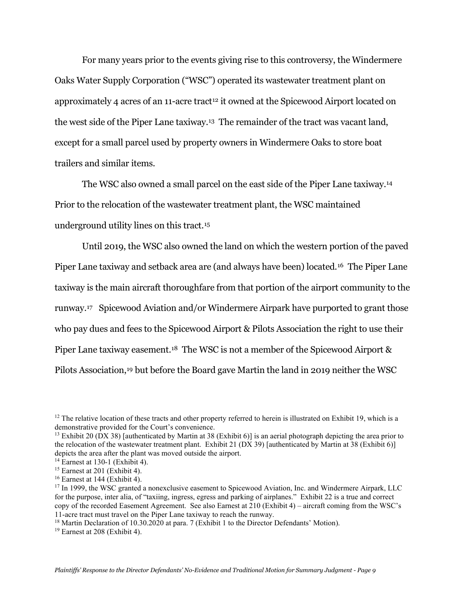For many years prior to the events giving rise to this controversy, the Windermere Oaks Water Supply Corporation ("WSC") operated its wastewater treatment plant on approximately 4 acres of an  $11$ -acre tract<sup>[12](#page-8-0)</sup> it owned at the Spicewood Airport located on the west side of the Piper Lane taxiway.[13](#page-8-1) The remainder of the tract was vacant land, except for a small parcel used by property owners in Windermere Oaks to store boat trailers and similar items.

The WSC also owned a small parcel on the east side of the Piper Lane taxiway.[14](#page-8-2)  Prior to the relocation of the wastewater treatment plant, the WSC maintained underground utility lines on this tract.[15](#page-8-3)

Until 2019, the WSC also owned the land on which the western portion of the paved Piper Lane taxiway and setback area are (and always have been) located[.16](#page-8-4) The Piper Lane taxiway is the main aircraft thoroughfare from that portion of the airport community to the runway[.17](#page-8-5) Spicewood Aviation and/or Windermere Airpark have purported to grant those who pay dues and fees to the Spicewood Airport & Pilots Association the right to use their Piper Lane taxiway easement.<sup>[18](#page-8-6)</sup> The WSC is not a member of the Spicewood Airport & Pilots Association,[19](#page-8-7) but before the Board gave Martin the land in 2019 neither the WSC

<span id="page-8-0"></span><sup>&</sup>lt;sup>12</sup> The relative location of these tracts and other property referred to herein is illustrated on Exhibit 19, which is a demonstrative provided for the Court's convenience.

<span id="page-8-1"></span><sup>&</sup>lt;sup>13</sup> Exhibit 20 (DX 38) [authenticated by Martin at 38 (Exhibit 6)] is an aerial photograph depicting the area prior to the relocation of the wastewater treatment plant. Exhibit 21 (DX 39) [authenticated by Martin at 38 (Exhibit 6)] depicts the area after the plant was moved outside the airport.

<span id="page-8-2"></span> $14$  Earnest at 130-1 (Exhibit 4).

<span id="page-8-3"></span> $15$  Earnest at 201 (Exhibit 4).

<span id="page-8-4"></span> $16$  Earnest at 144 (Exhibit 4).

<span id="page-8-5"></span><sup>&</sup>lt;sup>17</sup> In 1999, the WSC granted a nonexclusive easement to Spicewood Aviation, Inc. and Windermere Airpark, LLC for the purpose, inter alia, of "taxiing, ingress, egress and parking of airplanes." Exhibit 22 is a true and correct copy of the recorded Easement Agreement. See also Earnest at 210 (Exhibit 4) – aircraft coming from the WSC's 11-acre tract must travel on the Piper Lane taxiway to reach the runway.

<span id="page-8-6"></span><sup>&</sup>lt;sup>18</sup> Martin Declaration of 10.30.2020 at para. 7 (Exhibit 1 to the Director Defendants' Motion).

<span id="page-8-7"></span><sup>19</sup> Earnest at 208 (Exhibit 4).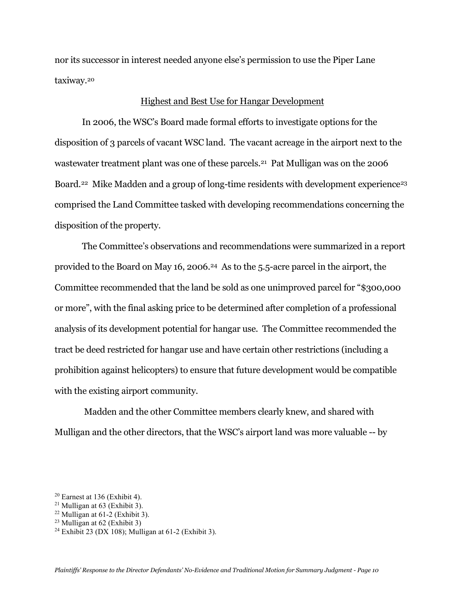nor its successor in interest needed anyone else's permission to use the Piper Lane taxiway.[20](#page-9-0)

### Highest and Best Use for Hangar Development

In 2006, the WSC's Board made formal efforts to investigate options for the disposition of 3 parcels of vacant WSC land. The vacant acreage in the airport next to the wastewater treatment plant was one of these parcels.<sup>[21](#page-9-1)</sup> Pat Mulligan was on the 2006 Board.<sup>22</sup> Mike Madden and a group of long-time residents with development experience<sup>[23](#page-9-3)</sup> comprised the Land Committee tasked with developing recommendations concerning the disposition of the property.

The Committee's observations and recommendations were summarized in a report provided to the Board on May 16, 2006[.24](#page-9-4) As to the 5.5-acre parcel in the airport, the Committee recommended that the land be sold as one unimproved parcel for "\$300,000 or more", with the final asking price to be determined after completion of a professional analysis of its development potential for hangar use. The Committee recommended the tract be deed restricted for hangar use and have certain other restrictions (including a prohibition against helicopters) to ensure that future development would be compatible with the existing airport community.

Madden and the other Committee members clearly knew, and shared with Mulligan and the other directors, that the WSC's airport land was more valuable -- by

<span id="page-9-0"></span> $20$  Earnest at 136 (Exhibit 4).

<span id="page-9-1"></span> $21$  Mulligan at 63 (Exhibit 3).

<span id="page-9-2"></span> $22$  Mulligan at 61-2 (Exhibit 3).

<span id="page-9-3"></span><sup>&</sup>lt;sup>23</sup> Mulligan at  $62$  (Exhibit 3)

<span id="page-9-4"></span><sup>&</sup>lt;sup>24</sup> Exhibit 23 (DX 108); Mulligan at 61-2 (Exhibit 3).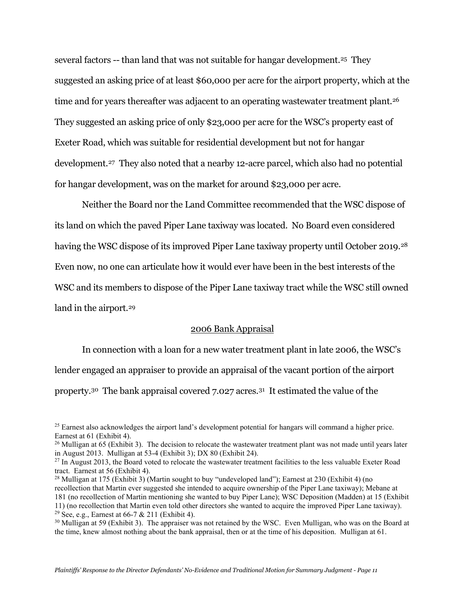several factors -- than land that was not suitable for hangar development.<sup>[25](#page-10-0)</sup> They suggested an asking price of at least \$60,000 per acre for the airport property, which at the time and for years thereafter was adjacent to an operating wastewater treatment plant.<sup>26</sup> They suggested an asking price of only \$23,000 per acre for the WSC's property east of Exeter Road, which was suitable for residential development but not for hangar development.[27](#page-10-2) They also noted that a nearby 12-acre parcel, which also had no potential for hangar development, was on the market for around \$23,000 per acre.

Neither the Board nor the Land Committee recommended that the WSC dispose of its land on which the paved Piper Lane taxiway was located. No Board even considered having the WSC dispose of its improved Piper Lane taxiway property until October 2019.<sup>[28](#page-10-3)</sup> Even now, no one can articulate how it would ever have been in the best interests of the WSC and its members to dispose of the Piper Lane taxiway tract while the WSC still owned land in the airport.<sup>[29](#page-10-4)</sup>

## 2006 Bank Appraisal

In connection with a loan for a new water treatment plant in late 2006, the WSC's lender engaged an appraiser to provide an appraisal of the vacant portion of the airport property[.30](#page-10-5) The bank appraisal covered 7.027 acres.[31](#page-10-6) It estimated the value of the

<span id="page-10-0"></span><sup>&</sup>lt;sup>25</sup> Earnest also acknowledges the airport land's development potential for hangars will command a higher price. Earnest at 61 (Exhibit 4).

<span id="page-10-1"></span><sup>&</sup>lt;sup>26</sup> Mulligan at 65 (Exhibit 3). The decision to relocate the wastewater treatment plant was not made until years later in August 2013. Mulligan at 53-4 (Exhibit 3); DX 80 (Exhibit 24).

<span id="page-10-2"></span> $^{27}$  In August 2013, the Board voted to relocate the wastewater treatment facilities to the less valuable Exeter Road tract. Earnest at 56 (Exhibit 4).

<span id="page-10-3"></span><sup>&</sup>lt;sup>28</sup> Mulligan at 175 (Exhibit 3) (Martin sought to buy "undeveloped land"); Earnest at 230 (Exhibit 4) (no

<span id="page-10-6"></span>recollection that Martin ever suggested she intended to acquire ownership of the Piper Lane taxiway); Mebane at 181 (no recollection of Martin mentioning she wanted to buy Piper Lane); WSC Deposition (Madden) at 15 (Exhibit 11) (no recollection that Martin even told other directors she wanted to acquire the improved Piper Lane taxiway). <sup>29</sup> See, e.g., Earnest at  $66-7 & 211$  (Exhibit 4).

<span id="page-10-5"></span><span id="page-10-4"></span><sup>&</sup>lt;sup>30</sup> Mulligan at 59 (Exhibit 3). The appraiser was not retained by the WSC. Even Mulligan, who was on the Board at the time, knew almost nothing about the bank appraisal, then or at the time of his deposition. Mulligan at 61.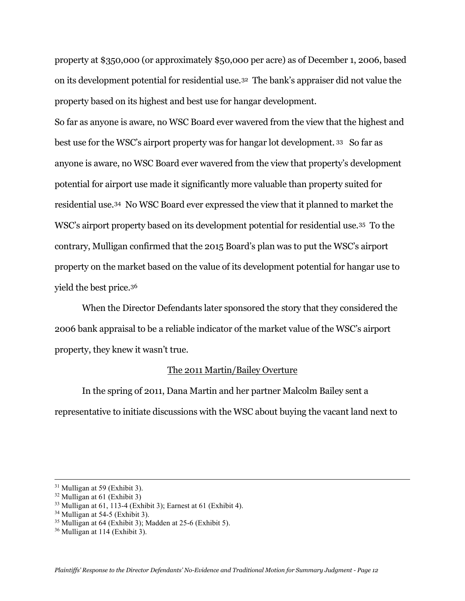property at \$350,000 (or approximately \$50,000 per acre) as of December 1, 2006, based on its development potential for residential use.[32](#page-11-0) The bank's appraiser did not value the property based on its highest and best use for hangar development.

So far as anyone is aware, no WSC Board ever wavered from the view that the highest and best use for the WSC's airport property was for hangar lot development. [33](#page-11-1) So far as anyone is aware, no WSC Board ever wavered from the view that property's development potential for airport use made it significantly more valuable than property suited for residential use[.34](#page-11-2) No WSC Board ever expressed the view that it planned to market the WSC's airport property based on its development potential for residential use.[35](#page-11-3) To the contrary, Mulligan confirmed that the 2015 Board's plan was to put the WSC's airport property on the market based on the value of its development potential for hangar use to yield the best price.[36](#page-11-4)

When the Director Defendants later sponsored the story that they considered the 2006 bank appraisal to be a reliable indicator of the market value of the WSC's airport property, they knew it wasn't true.

# The 2011 Martin/Bailey Overture

In the spring of 2011, Dana Martin and her partner Malcolm Bailey sent a representative to initiate discussions with the WSC about buying the vacant land next to

<sup>31</sup> Mulligan at 59 (Exhibit 3).

<span id="page-11-0"></span> $32$  Mulligan at 61 (Exhibit 3)

<span id="page-11-1"></span> $33$  Mulligan at 61, 113-4 (Exhibit 3); Earnest at 61 (Exhibit 4).

<span id="page-11-2"></span><sup>34</sup> Mulligan at 54-5 (Exhibit 3).

<span id="page-11-3"></span> $35$  Mulligan at 64 (Exhibit 3); Madden at 25-6 (Exhibit 5).

<span id="page-11-4"></span><sup>36</sup> Mulligan at 114 (Exhibit 3).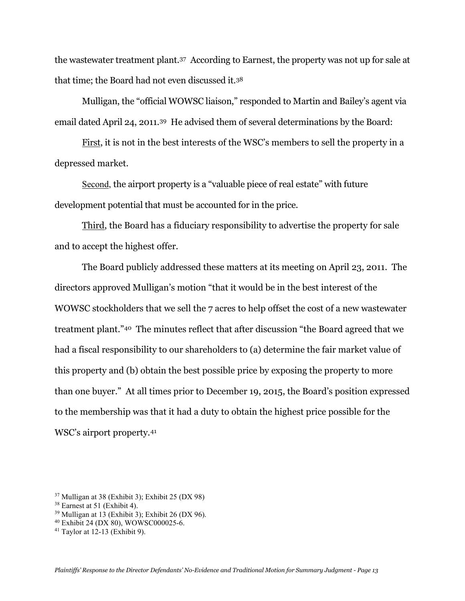the wastewater treatment plant.[37](#page-12-0) According to Earnest, the property was not up for sale at that time; the Board had not even discussed it.[38](#page-12-1)

Mulligan, the "official WOWSC liaison," responded to Martin and Bailey's agent via email dated April 24, 2011.[39](#page-12-2) He advised them of several determinations by the Board:

First, it is not in the best interests of the WSC's members to sell the property in a depressed market.

Second, the airport property is a "valuable piece of real estate" with future development potential that must be accounted for in the price.

Third, the Board has a fiduciary responsibility to advertise the property for sale and to accept the highest offer.

The Board publicly addressed these matters at its meeting on April 23, 2011. The directors approved Mulligan's motion "that it would be in the best interest of the WOWSC stockholders that we sell the 7 acres to help offset the cost of a new wastewater treatment plant."[40](#page-12-3) The minutes reflect that after discussion "the Board agreed that we had a fiscal responsibility to our shareholders to (a) determine the fair market value of this property and (b) obtain the best possible price by exposing the property to more than one buyer." At all times prior to December 19, 2015, the Board's position expressed to the membership was that it had a duty to obtain the highest price possible for the WSC's airport property.[41](#page-12-4)

<span id="page-12-2"></span> $39$  Mulligan at 13 (Exhibit 3); Exhibit 26 (DX 96).

<span id="page-12-0"></span> $37$  Mulligan at 38 (Exhibit 3); Exhibit 25 (DX 98)

<span id="page-12-1"></span><sup>38</sup> Earnest at 51 (Exhibit 4).

<span id="page-12-3"></span><sup>40</sup> Exhibit 24 (DX 80), WOWSC000025-6.

<span id="page-12-4"></span> $41$  Taylor at 12-13 (Exhibit 9).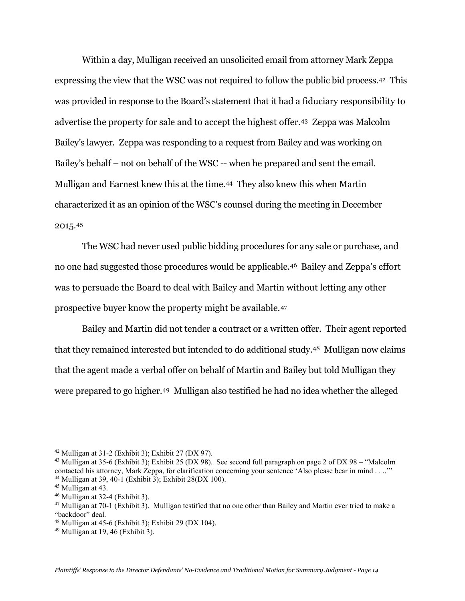Within a day, Mulligan received an unsolicited email from attorney Mark Zeppa expressing the view that the WSC was not required to follow the public bid process.[42](#page-13-0) This was provided in response to the Board's statement that it had a fiduciary responsibility to advertise the property for sale and to accept the highest offer.[43](#page-13-1) Zeppa was Malcolm Bailey's lawyer. Zeppa was responding to a request from Bailey and was working on Bailey's behalf – not on behalf of the WSC -- when he prepared and sent the email. Mulligan and Earnest knew this at the time[.44](#page-13-2) They also knew this when Martin characterized it as an opinion of the WSC's counsel during the meeting in December 2015.[45](#page-13-3)

The WSC had never used public bidding procedures for any sale or purchase, and no one had suggested those procedures would be applicable.[46](#page-13-4) Bailey and Zeppa's effort was to persuade the Board to deal with Bailey and Martin without letting any other prospective buyer know the property might be available.[47](#page-13-5)

Bailey and Martin did not tender a contract or a written offer. Their agent reported that they remained interested but intended to do additional study.[48](#page-13-6) Mulligan now claims that the agent made a verbal offer on behalf of Martin and Bailey but told Mulligan they were prepared to go higher.[49](#page-13-7) Mulligan also testified he had no idea whether the alleged

<span id="page-13-0"></span> $42$  Mulligan at 31-2 (Exhibit 3); Exhibit 27 (DX 97).

<span id="page-13-1"></span><sup>43</sup> Mulligan at 35-6 (Exhibit 3); Exhibit 25 (DX 98). See second full paragraph on page 2 of DX 98 – "Malcolm contacted his attorney, Mark Zeppa, for clarification concerning your sentence 'Also please bear in mind . . ..'"  $44$  Mulligan at 39, 40-1 (Exhibit 3); Exhibit 28(DX 100).

<span id="page-13-3"></span><span id="page-13-2"></span><sup>45</sup> Mulligan at 43.

<span id="page-13-4"></span><sup>46</sup> Mulligan at 32-4 (Exhibit 3).

<span id="page-13-5"></span> $47$  Mulligan at 70-1 (Exhibit 3). Mulligan testified that no one other than Bailey and Martin ever tried to make a "backdoor" deal.

<span id="page-13-6"></span> $48$  Mulligan at 45-6 (Exhibit 3); Exhibit 29 (DX 104).

<span id="page-13-7"></span> $49$  Mulligan at 19,  $46$  (Exhibit 3).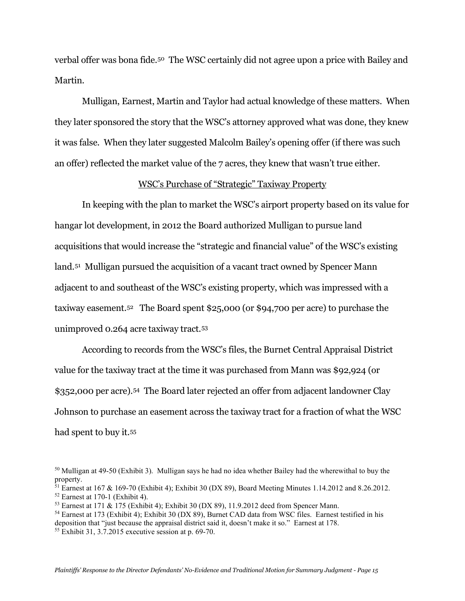verbal offer was bona fide.[50](#page-14-0) The WSC certainly did not agree upon a price with Bailey and Martin.

Mulligan, Earnest, Martin and Taylor had actual knowledge of these matters. When they later sponsored the story that the WSC's attorney approved what was done, they knew it was false. When they later suggested Malcolm Bailey's opening offer (if there was such an offer) reflected the market value of the 7 acres, they knew that wasn't true either.

## WSC's Purchase of "Strategic" Taxiway Property

In keeping with the plan to market the WSC's airport property based on its value for hangar lot development, in 2012 the Board authorized Mulligan to pursue land acquisitions that would increase the "strategic and financial value" of the WSC's existing land.[51](#page-14-1) Mulligan pursued the acquisition of a vacant tract owned by Spencer Mann adjacent to and southeast of the WSC's existing property, which was impressed with a taxiway easement.[52](#page-14-2) The Board spent \$25,000 (or \$94,700 per acre) to purchase the unimproved 0.264 acre taxiway tract.[53](#page-14-3)

According to records from the WSC's files, the Burnet Central Appraisal District value for the taxiway tract at the time it was purchased from Mann was \$92,924 (or \$352,000 per acre)[.54](#page-14-4) The Board later rejected an offer from adjacent landowner Clay Johnson to purchase an easement across the taxiway tract for a fraction of what the WSC had spent to buy it.<sup>55</sup>

deposition that "just because the appraisal district said it, doesn't make it so." Earnest at 178.

<span id="page-14-0"></span><sup>50</sup> Mulligan at 49-50 (Exhibit 3). Mulligan says he had no idea whether Bailey had the wherewithal to buy the property.

<span id="page-14-1"></span><sup>&</sup>lt;sup>51</sup> Earnest at 167 & 169-70 (Exhibit 4); Exhibit 30 (DX 89), Board Meeting Minutes 1.14.2012 and 8.26.2012.

<span id="page-14-2"></span> $52$  Earnest at 170-1 (Exhibit 4).

<span id="page-14-3"></span><sup>&</sup>lt;sup>53</sup> Earnest at 171 & 175 (Exhibit 4); Exhibit 30 (DX 89), 11.9.2012 deed from Spencer Mann.

<span id="page-14-4"></span><sup>&</sup>lt;sup>54</sup> Earnest at 173 (Exhibit 4); Exhibit 30 (DX 89), Burnet CAD data from WSC files. Earnest testified in his

<span id="page-14-5"></span> $55$  Exhibit 31, 3.7.2015 executive session at p. 69-70.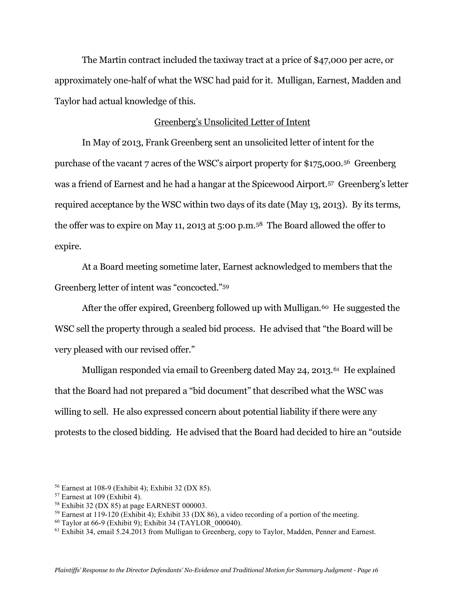The Martin contract included the taxiway tract at a price of \$47,000 per acre, or approximately one-half of what the WSC had paid for it. Mulligan, Earnest, Madden and Taylor had actual knowledge of this.

### Greenberg's Unsolicited Letter of Intent

In May of 2013, Frank Greenberg sent an unsolicited letter of intent for the purchase of the vacant 7 acres of the WSC's airport property for \$175,000.[56](#page-15-0) Greenberg was a friend of Earnest and he had a hangar at the Spicewood Airport.[57](#page-15-1) Greenberg's letter required acceptance by the WSC within two days of its date (May 13, 2013). By its terms, the offer was to expire on May 11, 2013 at 5:00 p.m.[58](#page-15-2) The Board allowed the offer to expire.

At a Board meeting sometime later, Earnest acknowledged to members that the Greenberg letter of intent was "concocted."[59](#page-15-3)

After the offer expired, Greenberg followed up with Mulligan.<sup>[60](#page-15-4)</sup> He suggested the WSC sell the property through a sealed bid process. He advised that "the Board will be very pleased with our revised offer."

Mulligan responded via email to Greenberg dated May 24, 2013.<sup>[61](#page-15-5)</sup> He explained that the Board had not prepared a "bid document" that described what the WSC was willing to sell. He also expressed concern about potential liability if there were any protests to the closed bidding. He advised that the Board had decided to hire an "outside

<span id="page-15-0"></span><sup>56</sup> Earnest at 108-9 (Exhibit 4); Exhibit 32 (DX 85).

<span id="page-15-1"></span> $57$  Earnest at 109 (Exhibit 4).

<span id="page-15-2"></span> $58$  Exhibit 32 (DX 85) at page EARNEST 000003.

<span id="page-15-3"></span> $59$  Earnest at 119-120 (Exhibit 4); Exhibit 33 (DX 86), a video recording of a portion of the meeting.

<span id="page-15-4"></span> $60$  Taylor at 66-9 (Exhibit 9); Exhibit 34 (TAYLOR  $000040$ ).

<span id="page-15-5"></span><sup>61</sup> Exhibit 34, email 5.24.2013 from Mulligan to Greenberg, copy to Taylor, Madden, Penner and Earnest.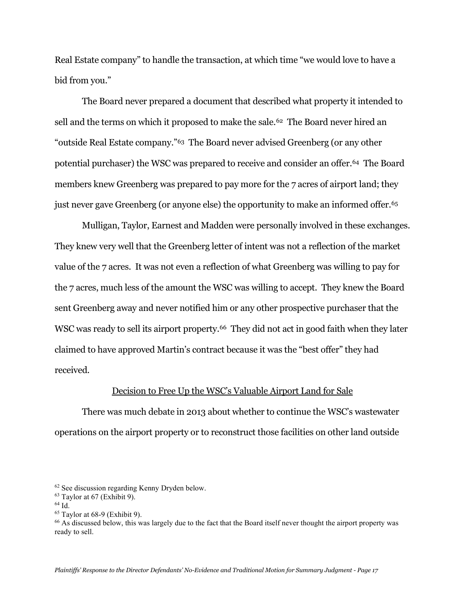Real Estate company" to handle the transaction, at which time "we would love to have a bid from you."

The Board never prepared a document that described what property it intended to sell and the terms on which it proposed to make the sale.<sup>62</sup> The Board never hired an "outside Real Estate company."[63](#page-16-1) The Board never advised Greenberg (or any other potential purchaser) the WSC was prepared to receive and consider an offer.[64](#page-16-2) The Board members knew Greenberg was prepared to pay more for the 7 acres of airport land; they just never gave Greenberg (or anyone else) the opportunity to make an informed offer.[65](#page-16-3)

Mulligan, Taylor, Earnest and Madden were personally involved in these exchanges. They knew very well that the Greenberg letter of intent was not a reflection of the market value of the 7 acres. It was not even a reflection of what Greenberg was willing to pay for the 7 acres, much less of the amount the WSC was willing to accept. They knew the Board sent Greenberg away and never notified him or any other prospective purchaser that the WSC was ready to sell its airport property.<sup>66</sup> They did not act in good faith when they later claimed to have approved Martin's contract because it was the "best offer" they had received.

### Decision to Free Up the WSC's Valuable Airport Land for Sale

There was much debate in 2013 about whether to continue the WSC's wastewater operations on the airport property or to reconstruct those facilities on other land outside

<span id="page-16-2"></span> $64$  Id.

<span id="page-16-0"></span><sup>62</sup> See discussion regarding Kenny Dryden below.

<span id="page-16-1"></span> $63$  Taylor at 67 (Exhibit 9).

<span id="page-16-3"></span> $65$  Taylor at 68-9 (Exhibit 9).

<span id="page-16-4"></span><sup>&</sup>lt;sup>66</sup> As discussed below, this was largely due to the fact that the Board itself never thought the airport property was ready to sell.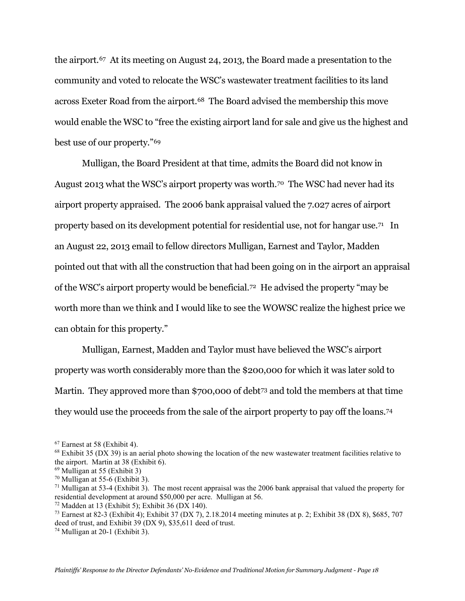the airport.[67](#page-17-0) At its meeting on August 24, 2013, the Board made a presentation to the community and voted to relocate the WSC's wastewater treatment facilities to its land across Exeter Road from the airport.[68](#page-17-1) The Board advised the membership this move would enable the WSC to "free the existing airport land for sale and give us the highest and best use of our property."[69](#page-17-2) 

Mulligan, the Board President at that time, admits the Board did not know in August 2013 what the WSC's airport property was worth.<sup>[70](#page-17-3)</sup> The WSC had never had its airport property appraised. The 2006 bank appraisal valued the 7.027 acres of airport property based on its development potential for residential use, not for hangar use.[71](#page-17-4) In an August 22, 2013 email to fellow directors Mulligan, Earnest and Taylor, Madden pointed out that with all the construction that had been going on in the airport an appraisal of the WSC's airport property would be beneficial.[72](#page-17-5) He advised the property "may be worth more than we think and I would like to see the WOWSC realize the highest price we can obtain for this property."

Mulligan, Earnest, Madden and Taylor must have believed the WSC's airport property was worth considerably more than the \$200,000 for which it was later sold to Martin. They approved more than \$700,000 of debt<sup>[73](#page-17-6)</sup> and told the members at that time they would use the proceeds from the sale of the airport property to pay off the loans.[74](#page-17-7)

<span id="page-17-0"></span><sup>67</sup> Earnest at 58 (Exhibit 4).

<span id="page-17-1"></span> $68$  Exhibit 35 (DX 39) is an aerial photo showing the location of the new wastewater treatment facilities relative to the airport. Martin at 38 (Exhibit 6).<br><sup>69</sup> Mulligan at 55 (Exhibit 3)<br><sup>70</sup> Mulligan at 55-6 (Exhibit 3).

<span id="page-17-2"></span>

<span id="page-17-4"></span><span id="page-17-3"></span> $71$  Mulligan at 53-4 (Exhibit 3). The most recent appraisal was the 2006 bank appraisal that valued the property for residential development at around \$50,000 per acre. Mulligan at 56.

<span id="page-17-5"></span> $72$  Madden at 13 (Exhibit 5); Exhibit 36 (DX 140).

<span id="page-17-6"></span><sup>&</sup>lt;sup>73</sup> Earnest at 82-3 (Exhibit 4); Exhibit 37 (DX 7), 2.18.2014 meeting minutes at p. 2; Exhibit 38 (DX 8), \$685, 707 deed of trust, and Exhibit 39 (DX 9), \$35,611 deed of trust.

<span id="page-17-7"></span><sup>74</sup> Mulligan at 20-1 (Exhibit 3).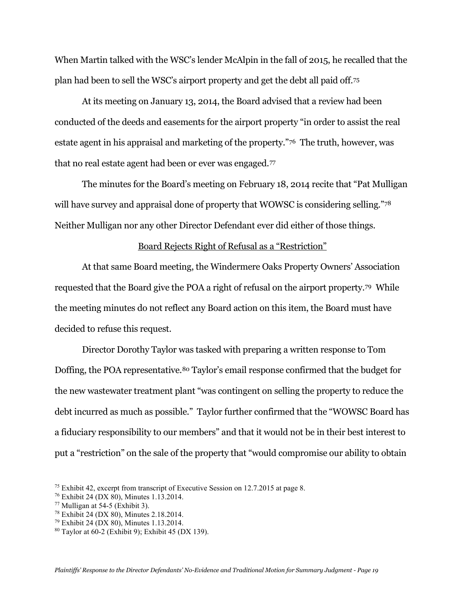When Martin talked with the WSC's lender McAlpin in the fall of 2015, he recalled that the plan had been to sell the WSC's airport property and get the debt all paid off.[75](#page-18-0)

At its meeting on January 13, 2014, the Board advised that a review had been conducted of the deeds and easements for the airport property "in order to assist the real estate agent in his appraisal and marketing of the property."[76](#page-18-1) The truth, however, was that no real estate agent had been or ever was engaged.[77](#page-18-2)

The minutes for the Board's meeting on February 18, 2014 recite that "Pat Mulligan will have survey and appraisal done of property that WOWSC is considering selling.["78](#page-18-3) Neither Mulligan nor any other Director Defendant ever did either of those things.

### Board Rejects Right of Refusal as a "Restriction"

At that same Board meeting, the Windermere Oaks Property Owners' Association requested that the Board give the POA a right of refusal on the airport property.[79](#page-18-4) While the meeting minutes do not reflect any Board action on this item, the Board must have decided to refuse this request.

Director Dorothy Taylor was tasked with preparing a written response to Tom Doffing, the POA representative.<sup>[80](#page-18-5)</sup> Taylor's email response confirmed that the budget for the new wastewater treatment plant "was contingent on selling the property to reduce the debt incurred as much as possible." Taylor further confirmed that the "WOWSC Board has a fiduciary responsibility to our members" and that it would not be in their best interest to put a "restriction" on the sale of the property that "would compromise our ability to obtain

<span id="page-18-3"></span><sup>78</sup> Exhibit 24 (DX 80), Minutes 2.18.2014.

<span id="page-18-1"></span><span id="page-18-0"></span><sup>&</sup>lt;sup>75</sup> Exhibit 42, excerpt from transcript of Executive Session on 12.7.2015 at page 8.  $^{76}$  Exhibit 24 (DX 80), Minutes 1.13.2014.

<span id="page-18-2"></span> $77$  Mulligan at 54-5 (Exhibit 3).

<span id="page-18-4"></span><sup>79</sup> Exhibit 24 (DX 80), Minutes 1.13.2014.

<span id="page-18-5"></span><sup>80</sup> Taylor at 60-2 (Exhibit 9); Exhibit 45 (DX 139).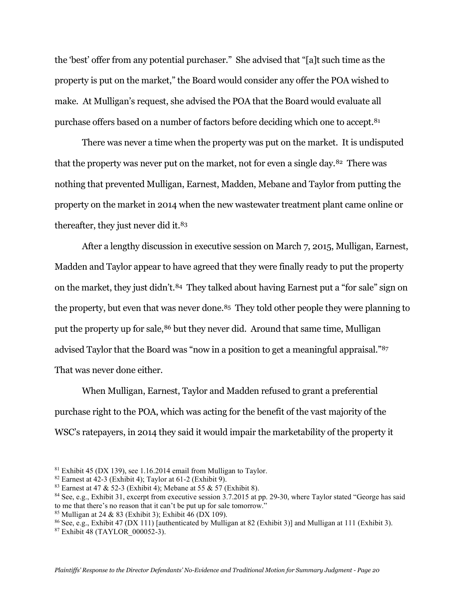the 'best' offer from any potential purchaser." She advised that "[a]t such time as the property is put on the market," the Board would consider any offer the POA wished to make. At Mulligan's request, she advised the POA that the Board would evaluate all purchase offers based on a number of factors before deciding which one to accept.[81](#page-19-0)

There was never a time when the property was put on the market. It is undisputed that the property was never put on the market, not for even a single day.<sup>82</sup> There was nothing that prevented Mulligan, Earnest, Madden, Mebane and Taylor from putting the property on the market in 2014 when the new wastewater treatment plant came online or thereafter, they just never did it.<sup>[83](#page-19-2)</sup>

After a lengthy discussion in executive session on March 7, 2015, Mulligan, Earnest, Madden and Taylor appear to have agreed that they were finally ready to put the property on the market, they just didn't.<sup>[84](#page-19-3)</sup> They talked about having Earnest put a "for sale" sign on the property, but even that was never done.<sup>[85](#page-19-4)</sup> They told other people they were planning to put the property up for sale,<sup>[86](#page-19-5)</sup> but they never did. Around that same time, Mulligan advised Taylor that the Board was "now in a position to get a meaningful appraisal."[87](#page-19-6)  That was never done either.

When Mulligan, Earnest, Taylor and Madden refused to grant a preferential purchase right to the POA, which was acting for the benefit of the vast majority of the WSC's ratepayers, in 2014 they said it would impair the marketability of the property it

<span id="page-19-0"></span> $81$  Exhibit 45 (DX 139), see 1.16.2014 email from Mulligan to Taylor.

<span id="page-19-1"></span> $82$  Earnest at 42-3 (Exhibit 4); Taylor at 61-2 (Exhibit 9).

<span id="page-19-2"></span><sup>&</sup>lt;sup>83</sup> Earnest at 47 & 52-3 (Exhibit 4); Mebane at 55 & 57 (Exhibit 8).

<span id="page-19-3"></span><sup>84</sup> See, e.g., Exhibit 31, excerpt from executive session 3.7.2015 at pp. 29-30, where Taylor stated "George has said to me that there's no reason that it can't be put up for sale tomorrow."

<span id="page-19-4"></span><sup>&</sup>lt;sup>85</sup> Mulligan at 24 & 83 (Exhibit 3); Exhibit  $\overline{46}$  (DX 109).

<span id="page-19-5"></span><sup>86</sup> See, e.g., Exhibit 47 (DX 111) [authenticated by Mulligan at 82 (Exhibit 3)] and Mulligan at 111 (Exhibit 3).

<span id="page-19-6"></span><sup>87</sup> Exhibit 48 (TAYLOR\_000052-3).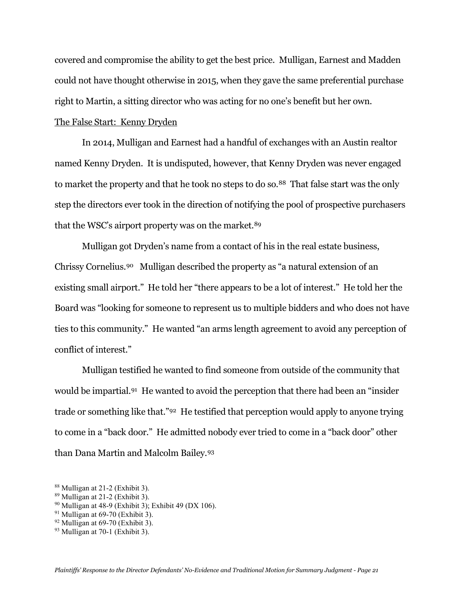covered and compromise the ability to get the best price. Mulligan, Earnest and Madden could not have thought otherwise in 2015, when they gave the same preferential purchase right to Martin, a sitting director who was acting for no one's benefit but her own.

# The False Start: Kenny Dryden

In 2014, Mulligan and Earnest had a handful of exchanges with an Austin realtor named Kenny Dryden. It is undisputed, however, that Kenny Dryden was never engaged to market the property and that he took no steps to do so.<sup>88</sup> That false start was the only step the directors ever took in the direction of notifying the pool of prospective purchasers that the WSC's airport property was on the market.<sup>[89](#page-20-1)</sup>

Mulligan got Dryden's name from a contact of his in the real estate business, Chrissy Cornelius[.90](#page-20-2) Mulligan described the property as "a natural extension of an existing small airport." He told her "there appears to be a lot of interest." He told her the Board was "looking for someone to represent us to multiple bidders and who does not have ties to this community." He wanted "an arms length agreement to avoid any perception of conflict of interest."

Mulligan testified he wanted to find someone from outside of the community that would be impartial.[91](#page-20-3) He wanted to avoid the perception that there had been an "insider trade or something like that."[92](#page-20-4) He testified that perception would apply to anyone trying to come in a "back door." He admitted nobody ever tried to come in a "back door" other than Dana Martin and Malcolm Bailey.[93](#page-20-5)

<span id="page-20-0"></span><sup>88</sup> Mulligan at 21-2 (Exhibit 3).

<span id="page-20-1"></span> $89$  Mulligan at 21-2 (Exhibit 3).

<span id="page-20-2"></span><sup>90</sup> Mulligan at 48-9 (Exhibit 3); Exhibit 49 (DX 106).

<span id="page-20-3"></span> $91$  Mulligan at 69-70 (Exhibit 3).

<span id="page-20-4"></span> $92$  Mulligan at 69-70 (Exhibit 3).

<span id="page-20-5"></span><sup>93</sup> Mulligan at 70-1 (Exhibit 3).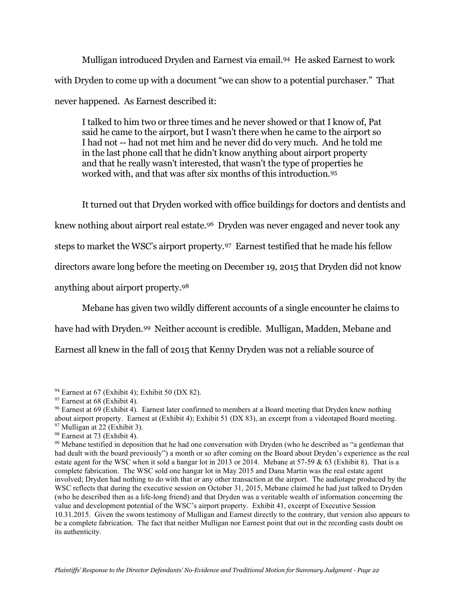Mulligan introduced Dryden and Earnest via email.[94](#page-21-0) He asked Earnest to work with Dryden to come up with a document "we can show to a potential purchaser." That never happened. As Earnest described it:

I talked to him two or three times and he never showed or that I know of, Pat said he came to the airport, but I wasn't there when he came to the airport so I had not -- had not met him and he never did do very much. And he told me in the last phone call that he didn't know anything about airport property and that he really wasn't interested, that wasn't the type of properties he worked with, and that was after six months of this introduction[.95](#page-21-1)

It turned out that Dryden worked with office buildings for doctors and dentists and

knew nothing about airport real estate[.96](#page-21-2) Dryden was never engaged and never took any

steps to market the WSC's airport property.[97](#page-21-3) Earnest testified that he made his fellow

directors aware long before the meeting on December 19, 2015 that Dryden did not know

anything about airport property.[98](#page-21-4)

Mebane has given two wildly different accounts of a single encounter he claims to

have had with Dryden.[99](#page-21-5) Neither account is credible. Mulligan, Madden, Mebane and

Earnest all knew in the fall of 2015 that Kenny Dryden was not a reliable source of

<span id="page-21-0"></span> $94$  Earnest at 67 (Exhibit 4); Exhibit 50 (DX 82).

<span id="page-21-1"></span><sup>&</sup>lt;sup>95</sup> Earnest at 68 (Exhibit 4).

<span id="page-21-2"></span><sup>&</sup>lt;sup>96</sup> Earnest at 69 (Exhibit 4). Earnest later confirmed to members at a Board meeting that Dryden knew nothing about airport property. Earnest at (Exhibit 4); Exhibit 51 (DX 83), an excerpt from a videotaped Board meeting.  $97$  Mulligan at 22 (Exhibit 3).

<span id="page-21-4"></span><span id="page-21-3"></span><sup>98</sup> Earnest at 73 (Exhibit 4).

<span id="page-21-5"></span><sup>&</sup>lt;sup>99</sup> Mebane testified in deposition that he had one conversation with Dryden (who he described as "a gentleman that had dealt with the board previously") a month or so after coming on the Board about Dryden's experience as the real estate agent for the WSC when it sold a hangar lot in 2013 or 2014. Mebane at 57-59 & 63 (Exhibit 8). That is a complete fabrication. The WSC sold one hangar lot in May 2015 and Dana Martin was the real estate agent involved; Dryden had nothing to do with that or any other transaction at the airport. The audiotape produced by the WSC reflects that during the executive session on October 31, 2015, Mebane claimed he had just talked to Dryden (who he described then as a life-long friend) and that Dryden was a veritable wealth of information concerning the value and development potential of the WSC's airport property. Exhibit 41, excerpt of Executive Session 10.31.2015. Given the sworn testimony of Mulligan and Earnest directly to the contrary, that version also appears to be a complete fabrication. The fact that neither Mulligan nor Earnest point that out in the recording casts doubt on its authenticity.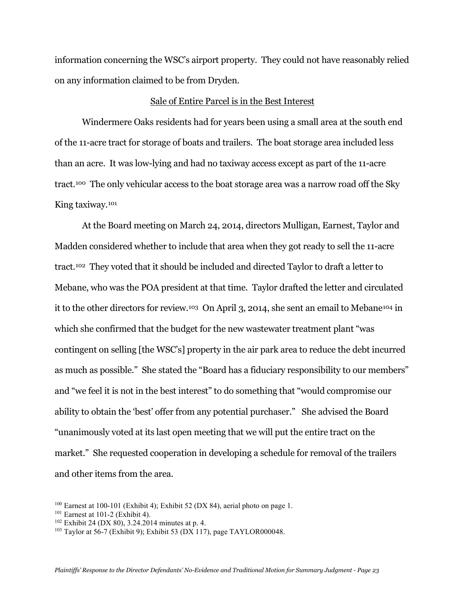information concerning the WSC's airport property. They could not have reasonably relied on any information claimed to be from Dryden.

#### Sale of Entire Parcel is in the Best Interest

Windermere Oaks residents had for years been using a small area at the south end of the 11-acre tract for storage of boats and trailers. The boat storage area included less than an acre. It was low-lying and had no taxiway access except as part of the 11-acre tract.[100](#page-22-0) The only vehicular access to the boat storage area was a narrow road off the Sky King taxiway[.101](#page-22-1)

At the Board meeting on March 24, 2014, directors Mulligan, Earnest, Taylor and Madden considered whether to include that area when they got ready to sell the 11-acre tract.[102](#page-22-2) They voted that it should be included and directed Taylor to draft a letter to Mebane, who was the POA president at that time. Taylor drafted the letter and circulated it to the other directors for review[.103](#page-22-3) On April 3, 2014, she sent an email to Meban[e104](#page-22-4) in which she confirmed that the budget for the new wastewater treatment plant "was contingent on selling [the WSC's] property in the air park area to reduce the debt incurred as much as possible." She stated the "Board has a fiduciary responsibility to our members" and "we feel it is not in the best interest" to do something that "would compromise our ability to obtain the 'best' offer from any potential purchaser." She advised the Board "unanimously voted at its last open meeting that we will put the entire tract on the market." She requested cooperation in developing a schedule for removal of the trailers and other items from the area.

<span id="page-22-4"></span><span id="page-22-0"></span><sup>&</sup>lt;sup>100</sup> Earnest at 100-101 (Exhibit 4); Exhibit 52 (DX 84), aerial photo on page 1.

<span id="page-22-1"></span><sup>101</sup> Earnest at 101-2 (Exhibit 4).

<span id="page-22-2"></span> $102$  Exhibit 24 (DX 80), 3.24.2014 minutes at p. 4.

<span id="page-22-3"></span><sup>103</sup> Taylor at 56-7 (Exhibit 9); Exhibit 53 (DX 117), page TAYLOR000048.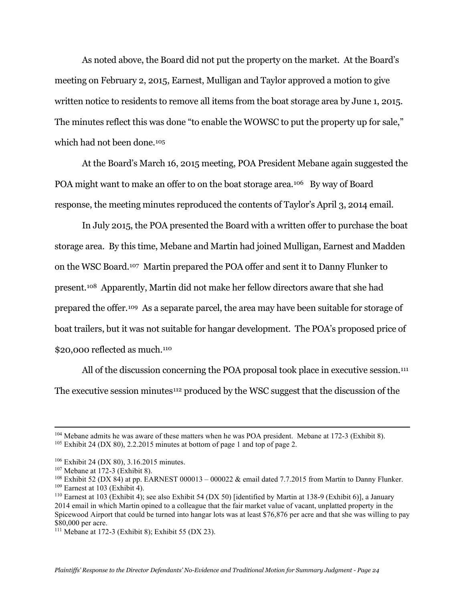As noted above, the Board did not put the property on the market. At the Board's meeting on February 2, 2015, Earnest, Mulligan and Taylor approved a motion to give written notice to residents to remove all items from the boat storage area by June 1, 2015. The minutes reflect this was done "to enable the WOWSC to put the property up for sale," which had not been done.<sup>[105](#page-23-0)</sup>

At the Board's March 16, 2015 meeting, POA President Mebane again suggested the POA might want to make an offer to on the boat storage area.<sup>106</sup> By way of Board response, the meeting minutes reproduced the contents of Taylor's April 3, 2014 email.

In July 2015, the POA presented the Board with a written offer to purchase the boat storage area. By this time, Mebane and Martin had joined Mulligan, Earnest and Madden on the WSC Board.[107](#page-23-2) Martin prepared the POA offer and sent it to Danny Flunker to present[.108](#page-23-3) Apparently, Martin did not make her fellow directors aware that she had prepared the offer.[109](#page-23-4) As a separate parcel, the area may have been suitable for storage of boat trailers, but it was not suitable for hangar development. The POA's proposed price of \$20,000 reflected as much.<sup>110</sup>

All of the discussion concerning the POA proposal took place in executive session.<sup>[111](#page-23-6)</sup> The executive session minutes[112](#page-23-4) produced by the WSC suggest that the discussion of the

<span id="page-23-0"></span><sup>104</sup> Mebane admits he was aware of these matters when he was POA president. Mebane at 172-3 (Exhibit 8). <sup>105</sup> Exhibit 24 (DX 80), 2.2.2015 minutes at bottom of page 1 and top of page 2.

<span id="page-23-1"></span><sup>106</sup> Exhibit 24 (DX 80), 3.16.2015 minutes.

<span id="page-23-2"></span><sup>107</sup> Mebane at 172-3 (Exhibit 8).

<span id="page-23-3"></span><sup>&</sup>lt;sup>108</sup> Exhibit 52 (DX 84) at pp. EARNEST 000013 – 000022 & email dated 7.7.2015 from Martin to Danny Flunker.  $109$  Earnest at 103 (Exhibit 4).

<span id="page-23-5"></span><span id="page-23-4"></span><sup>110</sup> Earnest at 103 (Exhibit 4); see also Exhibit 54 (DX 50) [identified by Martin at 138-9 (Exhibit 6)], a January 2014 email in which Martin opined to a colleague that the fair market value of vacant, unplatted property in the Spicewood Airport that could be turned into hangar lots was at least \$76,876 per acre and that she was willing to pay \$80,000 per acre.

<span id="page-23-6"></span><sup>111</sup> Mebane at 172-3 (Exhibit 8); Exhibit 55 (DX 23).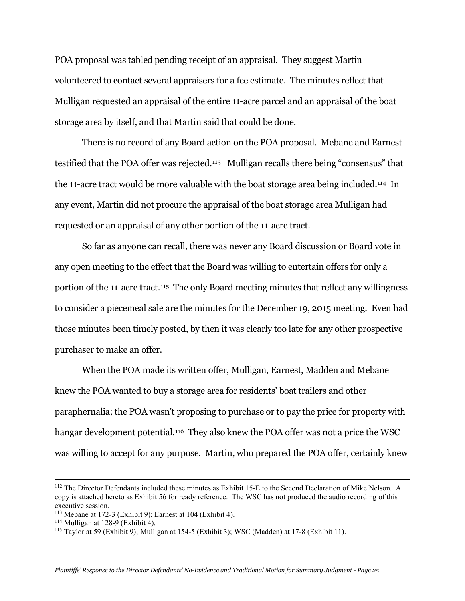POA proposal was tabled pending receipt of an appraisal. They suggest Martin volunteered to contact several appraisers for a fee estimate. The minutes reflect that Mulligan requested an appraisal of the entire 11-acre parcel and an appraisal of the boat storage area by itself, and that Martin said that could be done.

There is no record of any Board action on the POA proposal. Mebane and Earnest testified that the POA offer was rejected.[113](#page-24-0) Mulligan recalls there being "consensus" that the 11-acre tract would be more valuable with the boat storage area being included.<sup>[114](#page-24-1)</sup> In any event, Martin did not procure the appraisal of the boat storage area Mulligan had requested or an appraisal of any other portion of the 11-acre tract.

So far as anyone can recall, there was never any Board discussion or Board vote in any open meeting to the effect that the Board was willing to entertain offers for only a portion of the 11-acre tract.<sup>115</sup> The only Board meeting minutes that reflect any willingness to consider a piecemeal sale are the minutes for the December 19, 2015 meeting. Even had those minutes been timely posted, by then it was clearly too late for any other prospective purchaser to make an offer.

When the POA made its written offer, Mulligan, Earnest, Madden and Mebane knew the POA wanted to buy a storage area for residents' boat trailers and other paraphernalia; the POA wasn't proposing to purchase or to pay the price for property with hangar development potential.<sup>[116](#page-24-3)</sup> They also knew the POA offer was not a price the WSC was willing to accept for any purpose. Martin, who prepared the POA offer, certainly knew

<sup>&</sup>lt;sup>112</sup> The Director Defendants included these minutes as Exhibit 15-E to the Second Declaration of Mike Nelson. A copy is attached hereto as Exhibit 56 for ready reference. The WSC has not produced the audio recording of this executive session.

<span id="page-24-3"></span><span id="page-24-0"></span><sup>113</sup> Mebane at 172-3 (Exhibit 9); Earnest at 104 (Exhibit 4).

<span id="page-24-1"></span> $114$  Mulligan at 128-9 (Exhibit 4).

<span id="page-24-2"></span><sup>115</sup> Taylor at 59 (Exhibit 9); Mulligan at 154-5 (Exhibit 3); WSC (Madden) at 17-8 (Exhibit 11).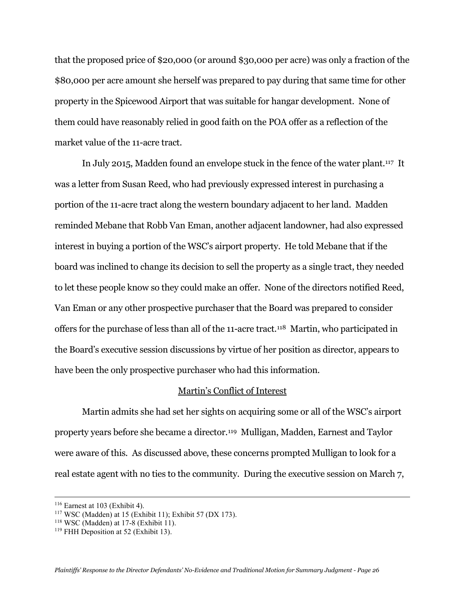that the proposed price of \$20,000 (or around \$30,000 per acre) was only a fraction of the \$80,000 per acre amount she herself was prepared to pay during that same time for other property in the Spicewood Airport that was suitable for hangar development. None of them could have reasonably relied in good faith on the POA offer as a reflection of the market value of the 11-acre tract.

In July 2015, Madden found an envelope stuck in the fence of the water plant[.117](#page-25-0) It was a letter from Susan Reed, who had previously expressed interest in purchasing a portion of the 11-acre tract along the western boundary adjacent to her land. Madden reminded Mebane that Robb Van Eman, another adjacent landowner, had also expressed interest in buying a portion of the WSC's airport property. He told Mebane that if the board was inclined to change its decision to sell the property as a single tract, they needed to let these people know so they could make an offer. None of the directors notified Reed, Van Eman or any other prospective purchaser that the Board was prepared to consider offers for the purchase of less than all of the 11-acre tract.[118](#page-25-1) Martin, who participated in the Board's executive session discussions by virtue of her position as director, appears to have been the only prospective purchaser who had this information.

#### Martin's Conflict of Interest

Martin admits she had set her sights on acquiring some or all of the WSC's airport property years before she became a director.[119](#page-25-2) Mulligan, Madden, Earnest and Taylor were aware of this. As discussed above, these concerns prompted Mulligan to look for a real estate agent with no ties to the community. During the executive session on March 7,

 $116$  Earnest at 103 (Exhibit 4).

<span id="page-25-0"></span><sup>117</sup> WSC (Madden) at 15 (Exhibit 11); Exhibit 57 (DX 173).

<span id="page-25-1"></span> $118$  WSC (Madden) at 17-8 (Exhibit 11).

<span id="page-25-2"></span><sup>&</sup>lt;sup>119</sup> FHH Deposition at 52 (Exhibit 13).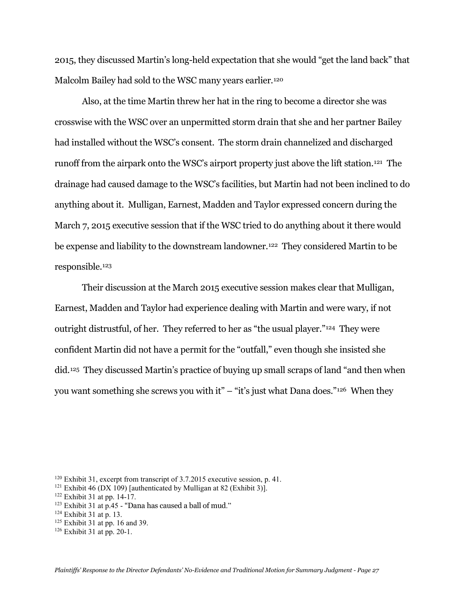2015, they discussed Martin's long-held expectation that she would "get the land back" that Malcolm Bailey had sold to the WSC many years earlier.<sup>[120](#page-26-0)</sup>

Also, at the time Martin threw her hat in the ring to become a director she was crosswise with the WSC over an unpermitted storm drain that she and her partner Bailey had installed without the WSC's consent. The storm drain channelized and discharged runoff from the airpark onto the WSC's airport property just above the lift station[.121](#page-26-1) The drainage had caused damage to the WSC's facilities, but Martin had not been inclined to do anything about it. Mulligan, Earnest, Madden and Taylor expressed concern during the March 7, 2015 executive session that if the WSC tried to do anything about it there would be expense and liability to the downstream landowner.<sup>[122](#page-26-2)</sup> They considered Martin to be responsible.[123](#page-26-3)

Their discussion at the March 2015 executive session makes clear that Mulligan, Earnest, Madden and Taylor had experience dealing with Martin and were wary, if not outright distrustful, of her. They referred to her as "the usual player."[124](#page-26-4) They were confident Martin did not have a permit for the "outfall," even though she insisted she did[.125](#page-26-5) They discussed Martin's practice of buying up small scraps of land "and then when you want something she screws you with it" – "it's just what Dana does."<sup>[126](#page-26-6)</sup> When they

<span id="page-26-0"></span><sup>120</sup> Exhibit 31, excerpt from transcript of 3.7.2015 executive session, p. 41.

<span id="page-26-1"></span><sup>&</sup>lt;sup>121</sup> Exhibit 46 (DX 109) [authenticated by Mulligan at 82 (Exhibit 3)].

<span id="page-26-2"></span><sup>122</sup> Exhibit 31 at pp. 14-17.

<span id="page-26-3"></span> $123$  Exhibit 31 at p.45 - "Dana has caused a ball of mud."

<span id="page-26-4"></span> $124$  Exhibit 31 at p. 13.

<span id="page-26-5"></span> $125$  Exhibit 31 at pp. 16 and 39.

<span id="page-26-6"></span><sup>126</sup> Exhibit 31 at pp. 20-1.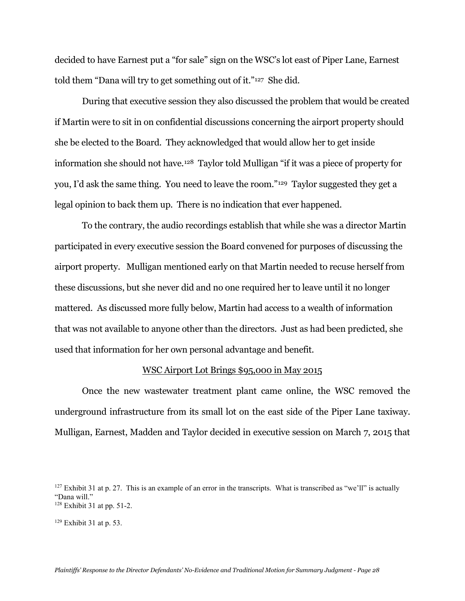decided to have Earnest put a "for sale" sign on the WSC's lot east of Piper Lane, Earnest told them "Dana will try to get something out of it."[127](#page-27-0) She did.

During that executive session they also discussed the problem that would be created if Martin were to sit in on confidential discussions concerning the airport property should she be elected to the Board. They acknowledged that would allow her to get inside information she should not have.[128](#page-27-1) Taylor told Mulligan "if it was a piece of property for you, I'd ask the same thing. You need to leave the room."[129](#page-27-2) Taylor suggested they get a legal opinion to back them up. There is no indication that ever happened.

To the contrary, the audio recordings establish that while she was a director Martin participated in every executive session the Board convened for purposes of discussing the airport property. Mulligan mentioned early on that Martin needed to recuse herself from these discussions, but she never did and no one required her to leave until it no longer mattered. As discussed more fully below, Martin had access to a wealth of information that was not available to anyone other than the directors. Just as had been predicted, she used that information for her own personal advantage and benefit.

#### WSC Airport Lot Brings \$95,000 in May 2015

Once the new wastewater treatment plant came online, the WSC removed the underground infrastructure from its small lot on the east side of the Piper Lane taxiway. Mulligan, Earnest, Madden and Taylor decided in executive session on March 7, 2015 that

<span id="page-27-0"></span> $127$  Exhibit 31 at p. 27. This is an example of an error in the transcripts. What is transcribed as "we'll" is actually "Dana will." <sup>128</sup> Exhibit 31 at pp. 51-2.

<span id="page-27-2"></span><span id="page-27-1"></span> $129$  Exhibit 31 at p. 53.

*Plaintiffs' Response to the Director Defendants' No-Evidence and Traditional Motion for Summary Judgment - Page 28*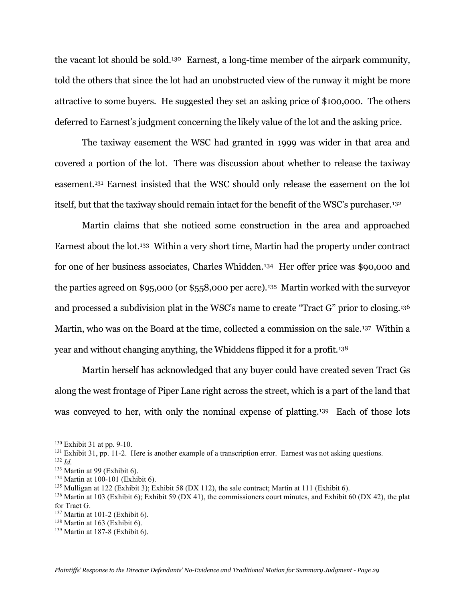the vacant lot should be sold.[130](#page-28-0) Earnest, a long-time member of the airpark community, told the others that since the lot had an unobstructed view of the runway it might be more attractive to some buyers. He suggested they set an asking price of \$100,000. The others deferred to Earnest's judgment concerning the likely value of the lot and the asking price.

The taxiway easement the WSC had granted in 1999 was wider in that area and covered a portion of the lot. There was discussion about whether to release the taxiway easement.[131](#page-28-1) Earnest insisted that the WSC should only release the easement on the lot itself, but that the taxiway should remain intact for the benefit of the WSC's purchaser[.132](#page-28-2) 

Martin claims that she noticed some construction in the area and approached Earnest about the lot.[133](#page-28-3) Within a very short time, Martin had the property under contract for one of her business associates, Charles Whidden.[134](#page-28-4) Her offer price was \$90,000 and the parties agreed on \$95,000 (or \$558,000 per acre)[.135](#page-28-5) Martin worked with the surveyor and processed a subdivision plat in the WSC's name to create "Tract G" prior to closing.[136](#page-28-6) Martin, who was on the Board at the time, collected a commission on the sale.[137](#page-28-7) Within a year and without changing anything, the Whiddens flipped it for a profit.[138](#page-28-8)

Martin herself has acknowledged that any buyer could have created seven Tract Gs along the west frontage of Piper Lane right across the street, which is a part of the land that was conveyed to her, with only the nominal expense of platting[.139](#page-28-9) Each of those lots

<span id="page-28-0"></span><sup>130</sup> Exhibit 31 at pp. 9-10.

<span id="page-28-1"></span><sup>&</sup>lt;sup>131</sup> Exhibit 31, pp. 11-2. Here is another example of a transcription error. Earnest was not asking questions.

<span id="page-28-2"></span><sup>132</sup> *Id.*

<span id="page-28-3"></span><sup>133</sup> Martin at 99 (Exhibit 6).

<span id="page-28-4"></span><sup>134</sup> Martin at 100-101 (Exhibit 6).

<span id="page-28-5"></span><sup>&</sup>lt;sup>135</sup> Mulligan at 122 (Exhibit 3); Exhibit 58 (DX 112), the sale contract; Martin at 111 (Exhibit 6).

<span id="page-28-6"></span> $136$  Martin at 103 (Exhibit 6); Exhibit 59 (DX 41), the commissioners court minutes, and Exhibit 60 (DX 42), the plat for Tract G.

<span id="page-28-7"></span><sup>137</sup> Martin at 101-2 (Exhibit 6).

<span id="page-28-8"></span> $138$  Martin at 163 (Exhibit 6).

<span id="page-28-9"></span><sup>139</sup> Martin at 187-8 (Exhibit 6).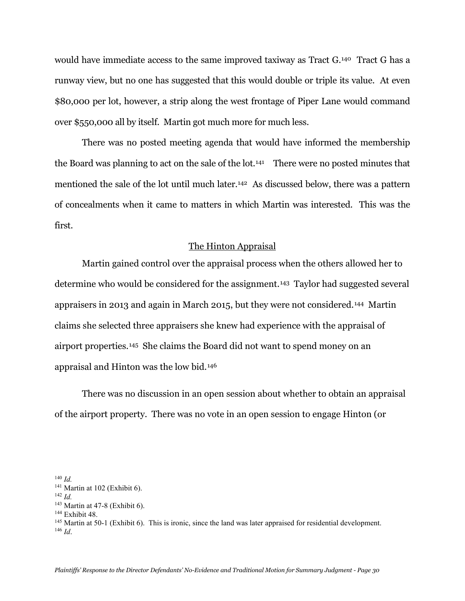would have immediate access to the same improved taxiway as Tract G.[140](#page-29-0) Tract G has a runway view, but no one has suggested that this would double or triple its value. At even \$80,000 per lot, however, a strip along the west frontage of Piper Lane would command over \$550,000 all by itself. Martin got much more for much less.

There was no posted meeting agenda that would have informed the membership the Board was planning to act on the sale of the lot.<sup>[141](#page-29-1)</sup> There were no posted minutes that mentioned the sale of the lot until much later.[142](#page-29-2) As discussed below, there was a pattern of concealments when it came to matters in which Martin was interested. This was the first.

# The Hinton Appraisal

Martin gained control over the appraisal process when the others allowed her to determine who would be considered for the assignment.[143](#page-29-3) Taylor had suggested several appraisers in 2013 and again in March 2015, but they were not considered.[144](#page-29-4) Martin claims she selected three appraisers she knew had experience with the appraisal of airport properties.[145](#page-29-5) She claims the Board did not want to spend money on an appraisal and Hinton was the low bid.[146](#page-29-6) 

There was no discussion in an open session about whether to obtain an appraisal of the airport property. There was no vote in an open session to engage Hinton (or

<span id="page-29-3"></span> $143$  Martin at 47-8 (Exhibit 6).

<span id="page-29-0"></span><sup>140</sup> *Id.*

 $141$  Martin at 102 (Exhibit 6).

<span id="page-29-2"></span><span id="page-29-1"></span> $142$  *Id.* 

<span id="page-29-4"></span><sup>&</sup>lt;sup>144</sup> Exhibit 48.

<span id="page-29-6"></span><span id="page-29-5"></span><sup>&</sup>lt;sup>145</sup> Martin at 50-1 (Exhibit 6). This is ironic, since the land was later appraised for residential development. <sup>146</sup> *Id*.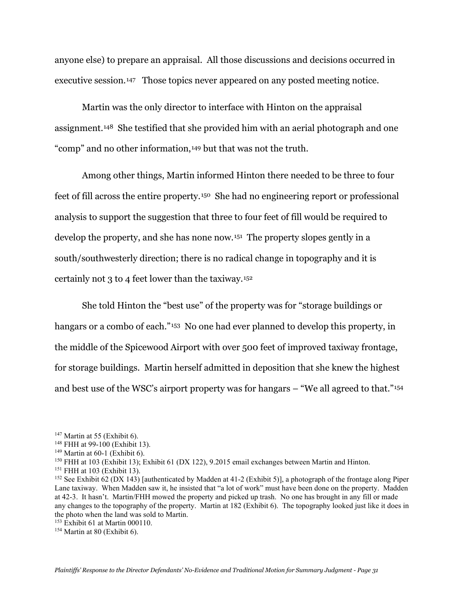anyone else) to prepare an appraisal. All those discussions and decisions occurred in executive session.<sup>[147](#page-30-0)</sup> Those topics never appeared on any posted meeting notice.

Martin was the only director to interface with Hinton on the appraisal assignment.[148](#page-30-1) She testified that she provided him with an aerial photograph and one "comp" and no other information,[149](#page-30-2) but that was not the truth.

Among other things, Martin informed Hinton there needed to be three to four feet of fill across the entire property.[150](#page-30-3) She had no engineering report or professional analysis to support the suggestion that three to four feet of fill would be required to develop the property, and she has none now.[151](#page-30-4) The property slopes gently in a south/southwesterly direction; there is no radical change in topography and it is certainly not 3 to 4 feet lower than the taxiway.[152](#page-30-5)

She told Hinton the "best use" of the property was for "storage buildings or hangars or a combo of each."<sup>[153](#page-30-6)</sup> No one had ever planned to develop this property, in the middle of the Spicewood Airport with over 500 feet of improved taxiway frontage, for storage buildings. Martin herself admitted in deposition that she knew the highest and best use of the WSC's airport property was for hangars – "We all agreed to that."[154](#page-30-7)

<span id="page-30-0"></span> $147$  Martin at 55 (Exhibit 6).

<span id="page-30-1"></span><sup>148</sup> FHH at 99-100 (Exhibit 13).

<span id="page-30-2"></span> $149$  Martin at 60-1 (Exhibit 6).

<span id="page-30-3"></span><sup>150</sup> FHH at 103 (Exhibit 13); Exhibit 61 (DX 122), 9.2015 email exchanges between Martin and Hinton.

<span id="page-30-4"></span><sup>151</sup> FHH at 103 (Exhibit 13).

<span id="page-30-5"></span><sup>&</sup>lt;sup>152</sup> See Exhibit 62 (DX 143) [authenticated by Madden at 41-2 (Exhibit 5)], a photograph of the frontage along Piper Lane taxiway. When Madden saw it, he insisted that "a lot of work" must have been done on the property. Madden at 42-3. It hasn't. Martin/FHH mowed the property and picked up trash. No one has brought in any fill or made any changes to the topography of the property. Martin at 182 (Exhibit 6). The topography looked just like it does in the photo when the land was sold to Martin.

<span id="page-30-6"></span><sup>153</sup> Exhibit 61 at Martin 000110.

<span id="page-30-7"></span> $154$  Martin at 80 (Exhibit 6).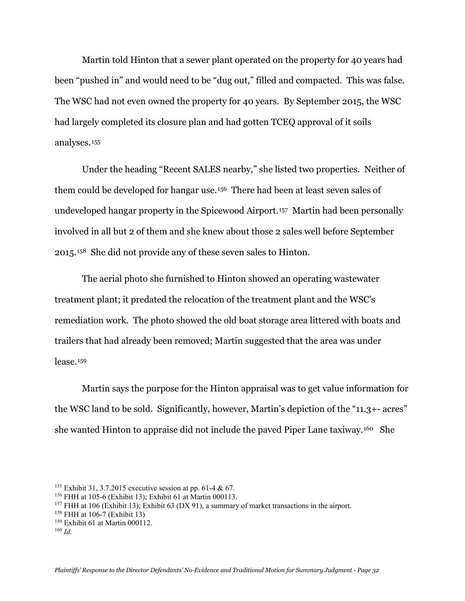Martin told Hinton that a sewer plant operated on the property for 40 years had been "pushed in" and would need to be "dug out," filled and compacted. This was false. The WSC had not even owned the property for 40 years. By September 2015, the WSC had largely completed its closure plan and had gotten TCEQ approval of it soils analyses.[155](#page-31-0)

Under the heading "Recent SALES nearby," she listed two properties. Neither of them could be developed for hangar use.[156](#page-31-1) There had been at least seven sales of undeveloped hangar property in the Spicewood Airport.[157](#page-31-2) Martin had been personally involved in all but 2 of them and she knew about those 2 sales well before September 2015.[158](#page-31-3) She did not provide any of these seven sales to Hinton.

The aerial photo she furnished to Hinton showed an operating wastewater treatment plant; it predated the relocation of the treatment plant and the WSC's remediation work. The photo showed the old boat storage area littered with boats and trailers that had already been removed; Martin suggested that the area was under lease.[159](#page-31-4)

Martin says the purpose for the Hinton appraisal was to get value information for the WSC land to be sold. Significantly, however, Martin's depiction of the "11.3+- acres" she wanted Hinton to appraise did not include the paved Piper Lane taxiway.[160](#page-31-5) She

<span id="page-31-0"></span><sup>155</sup> Exhibit 31, 3.7.2015 executive session at pp. 61-4 & 67.

<span id="page-31-1"></span><sup>156</sup> FHH at 105-6 (Exhibit 13); Exhibit 61 at Martin 000113.

<span id="page-31-2"></span> $157$  FHH at 106 (Exhibit 13); Exhibit 63 (DX 91), a summary of market transactions in the airport.

<span id="page-31-3"></span><sup>158</sup> FHH at 106-7 (Exhibit 13)

<span id="page-31-4"></span><sup>159</sup> Exhibit 61 at Martin 000112.

<span id="page-31-5"></span><sup>160</sup> *Id.*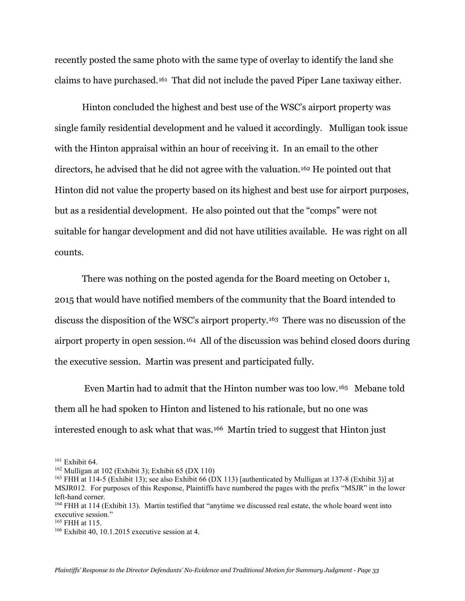recently posted the same photo with the same type of overlay to identify the land she claims to have purchased.[161](#page-32-0) That did not include the paved Piper Lane taxiway either.

Hinton concluded the highest and best use of the WSC's airport property was single family residential development and he valued it accordingly. Mulligan took issue with the Hinton appraisal within an hour of receiving it. In an email to the other directors, he advised that he did not agree with the valuation.[162](#page-32-1) He pointed out that Hinton did not value the property based on its highest and best use for airport purposes, but as a residential development. He also pointed out that the "comps" were not suitable for hangar development and did not have utilities available. He was right on all counts.

There was nothing on the posted agenda for the Board meeting on October 1, 2015 that would have notified members of the community that the Board intended to discuss the disposition of the WSC's airport property.[163](#page-32-2) There was no discussion of the airport property in open session.[164](#page-32-3) All of the discussion was behind closed doors during the executive session. Martin was present and participated fully.

Even Martin had to admit that the Hinton number was too low.[165](#page-32-4) Mebane told them all he had spoken to Hinton and listened to his rationale, but no one was interested enough to ask what that was.[166](#page-32-5) Martin tried to suggest that Hinton just

<span id="page-32-0"></span> $161$  Exhibit 64.

<span id="page-32-1"></span> $162$  Mulligan at 102 (Exhibit 3); Exhibit 65 (DX 110)

<span id="page-32-2"></span><sup>163</sup> FHH at 114-5 (Exhibit 13); see also Exhibit 66 (DX 113) [authenticated by Mulligan at 137-8 (Exhibit 3)] at MSJR012. For purposes of this Response, Plaintiffs have numbered the pages with the prefix "MSJR" in the lower left-hand corner.

<span id="page-32-3"></span><sup>164</sup> FHH at 114 (Exhibit 13). Martin testified that "anytime we discussed real estate, the whole board went into executive session."

<span id="page-32-4"></span><sup>165</sup> FHH at 115.

<span id="page-32-5"></span> $166$  Exhibit 40, 10.1.2015 executive session at 4.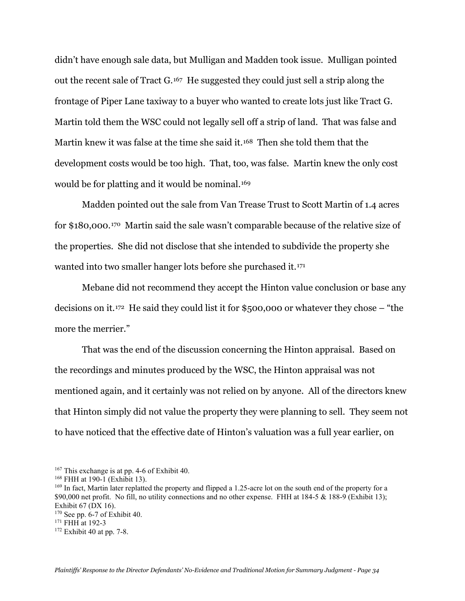didn't have enough sale data, but Mulligan and Madden took issue. Mulligan pointed out the recent sale of Tract G.[167](#page-33-0) He suggested they could just sell a strip along the frontage of Piper Lane taxiway to a buyer who wanted to create lots just like Tract G. Martin told them the WSC could not legally sell off a strip of land. That was false and Martin knew it was false at the time she said it.[168](#page-33-1) Then she told them that the development costs would be too high. That, too, was false. Martin knew the only cost would be for platting and it would be nominal.<sup>[169](#page-33-2)</sup>

Madden pointed out the sale from Van Trease Trust to Scott Martin of 1.4 acres for \$180,000.[170](#page-33-3) Martin said the sale wasn't comparable because of the relative size of the properties. She did not disclose that she intended to subdivide the property she wanted into two smaller hanger lots before she purchased it.[171](#page-33-4)

Mebane did not recommend they accept the Hinton value conclusion or base any decisions on it.[172](#page-33-5) He said they could list it for \$500,000 or whatever they chose – "the more the merrier."

That was the end of the discussion concerning the Hinton appraisal. Based on the recordings and minutes produced by the WSC, the Hinton appraisal was not mentioned again, and it certainly was not relied on by anyone. All of the directors knew that Hinton simply did not value the property they were planning to sell. They seem not to have noticed that the effective date of Hinton's valuation was a full year earlier, on

<span id="page-33-0"></span><sup>167</sup> This exchange is at pp. 4-6 of Exhibit 40.

<span id="page-33-1"></span><sup>168</sup> FHH at 190-1 (Exhibit 13).

<span id="page-33-2"></span><sup>&</sup>lt;sup>169</sup> In fact, Martin later replatted the property and flipped a 1.25-acre lot on the south end of the property for a \$90,000 net profit. No fill, no utility connections and no other expense. FHH at 184-5 & 188-9 (Exhibit 13); Exhibit 67 (DX 16).

<span id="page-33-3"></span> $170$  See pp. 6-7 of Exhibit 40.

<span id="page-33-4"></span><sup>&</sup>lt;sup>171</sup> FHH at 192-3

<span id="page-33-5"></span> $172$  Exhibit 40 at pp. 7-8.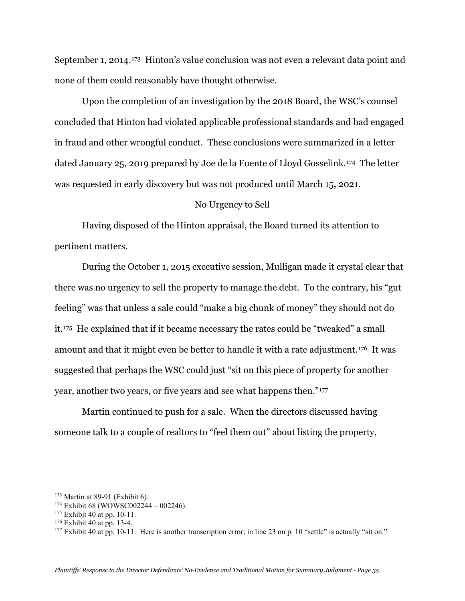September 1, 2014.[173](#page-34-0) Hinton's value conclusion was not even a relevant data point and none of them could reasonably have thought otherwise.

Upon the completion of an investigation by the 2018 Board, the WSC's counsel concluded that Hinton had violated applicable professional standards and had engaged in fraud and other wrongful conduct. These conclusions were summarized in a letter dated January 25, 2019 prepared by Joe de la Fuente of Lloyd Gosselink.[174](#page-34-1) The letter was requested in early discovery but was not produced until March 15, 2021.

#### No Urgency to Sell

Having disposed of the Hinton appraisal, the Board turned its attention to pertinent matters.

During the October 1, 2015 executive session, Mulligan made it crystal clear that there was no urgency to sell the property to manage the debt. To the contrary, his "gut feeling" was that unless a sale could "make a big chunk of money" they should not do it.[175](#page-34-2) He explained that if it became necessary the rates could be "tweaked" a small amount and that it might even be better to handle it with a rate adjustment.[176](#page-34-3) It was suggested that perhaps the WSC could just "sit on this piece of property for another year, another two years, or five years and see what happens then."[177](#page-34-4)

Martin continued to push for a sale. When the directors discussed having someone talk to a couple of realtors to "feel them out" about listing the property,

<span id="page-34-0"></span><sup>173</sup> Martin at 89-91 (Exhibit 6).

<span id="page-34-1"></span><sup>&</sup>lt;sup>174</sup> Exhibit 68 (WOWSC002244 – 002246).

<span id="page-34-2"></span><sup>175</sup> Exhibit 40 at pp. 10-11.

<span id="page-34-3"></span> $176$  Exhibit 40 at pp. 13-4.

<span id="page-34-4"></span> $177$  Exhibit 40 at pp. 10-11. Here is another transcription error; in line 23 on p. 10 "settle" is actually "sit on."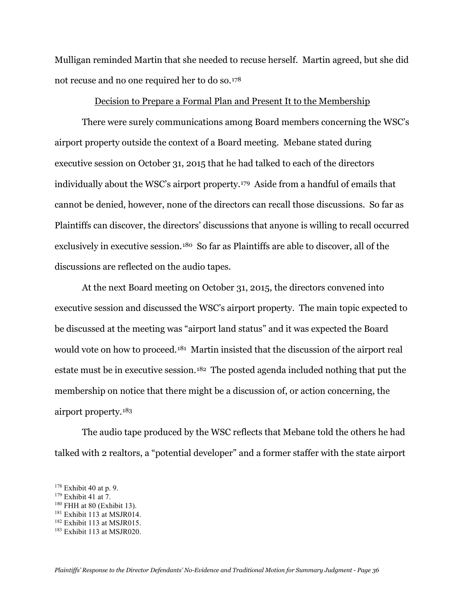Mulligan reminded Martin that she needed to recuse herself. Martin agreed, but she did not recuse and no one required her to do so.[178](#page-35-0)

# Decision to Prepare a Formal Plan and Present It to the Membership

There were surely communications among Board members concerning the WSC's airport property outside the context of a Board meeting. Mebane stated during executive session on October 31, 2015 that he had talked to each of the directors individually about the WSC's airport property.[179](#page-35-1) Aside from a handful of emails that cannot be denied, however, none of the directors can recall those discussions. So far as Plaintiffs can discover, the directors' discussions that anyone is willing to recall occurred exclusively in executive session.[180](#page-35-2) So far as Plaintiffs are able to discover, all of the discussions are reflected on the audio tapes.

At the next Board meeting on October 31, 2015, the directors convened into executive session and discussed the WSC's airport property. The main topic expected to be discussed at the meeting was "airport land status" and it was expected the Board would vote on how to proceed.<sup>[181](#page-35-3)</sup> Martin insisted that the discussion of the airport real estate must be in executive session.<sup>182</sup> The posted agenda included nothing that put the membership on notice that there might be a discussion of, or action concerning, the airport property.[183](#page-35-5)

The audio tape produced by the WSC reflects that Mebane told the others he had talked with 2 realtors, a "potential developer" and a former staffer with the state airport

<span id="page-35-0"></span><sup>178</sup> Exhibit 40 at p. 9.

<span id="page-35-1"></span><sup>179</sup> Exhibit 41 at 7.

<span id="page-35-2"></span> $180$  FHH at 80 (Exhibit 13).

<span id="page-35-3"></span><sup>&</sup>lt;sup>181</sup> Exhibit 113 at MSJR014.

<span id="page-35-4"></span><sup>&</sup>lt;sup>182</sup> Exhibit 113 at MSJR015.

<span id="page-35-5"></span><sup>183</sup> Exhibit 113 at MSJR020.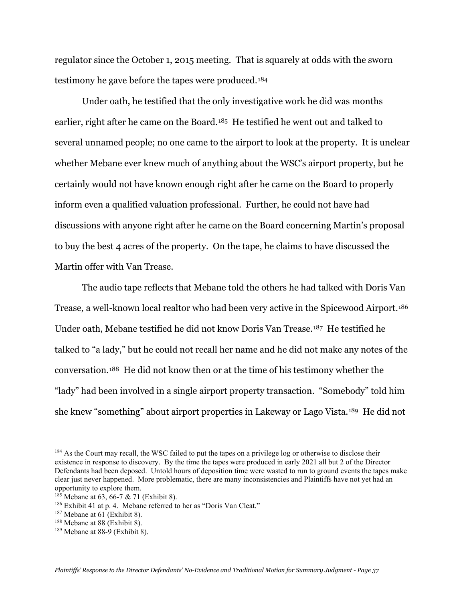regulator since the October 1, 2015 meeting. That is squarely at odds with the sworn testimony he gave before the tapes were produced.[184](#page-36-0)

Under oath, he testified that the only investigative work he did was months earlier, right after he came on the Board.[185](#page-36-1) He testified he went out and talked to several unnamed people; no one came to the airport to look at the property. It is unclear whether Mebane ever knew much of anything about the WSC's airport property, but he certainly would not have known enough right after he came on the Board to properly inform even a qualified valuation professional. Further, he could not have had discussions with anyone right after he came on the Board concerning Martin's proposal to buy the best 4 acres of the property. On the tape, he claims to have discussed the Martin offer with Van Trease.

The audio tape reflects that Mebane told the others he had talked with Doris Van Trease, a well-known local realtor who had been very active in the Spicewood Airport.<sup>186</sup> Under oath, Mebane testified he did not know Doris Van Trease.[187](#page-36-3) He testified he talked to "a lady," but he could not recall her name and he did not make any notes of the conversation.[188](#page-36-4) He did not know then or at the time of his testimony whether the "lady" had been involved in a single airport property transaction. "Somebody" told him she knew "something" about airport properties in Lakeway or Lago Vista.[189](#page-36-5) He did not

<span id="page-36-0"></span><sup>&</sup>lt;sup>184</sup> As the Court may recall, the WSC failed to put the tapes on a privilege log or otherwise to disclose their existence in response to discovery. By the time the tapes were produced in early 2021 all but 2 of the Director Defendants had been deposed. Untold hours of deposition time were wasted to run to ground events the tapes make clear just never happened. More problematic, there are many inconsistencies and Plaintiffs have not yet had an opportunity to explore them.

<span id="page-36-1"></span> $185$  Mebane at 63, 66-7 & 71 (Exhibit 8).

<span id="page-36-2"></span><sup>186</sup> Exhibit 41 at p. 4. Mebane referred to her as "Doris Van Cleat."

<span id="page-36-3"></span> $187$  Mebane at 61 (Exhibit 8).

<span id="page-36-4"></span><sup>188</sup> Mebane at 88 (Exhibit 8).

<span id="page-36-5"></span><sup>189</sup> Mebane at 88-9 (Exhibit 8).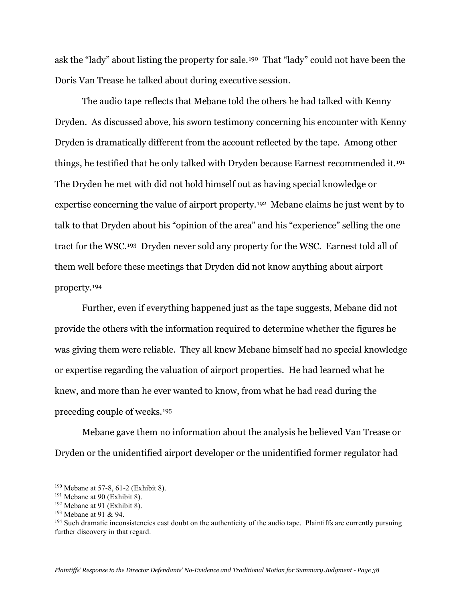ask the "lady" about listing the property for sale.[190](#page-37-0) That "lady" could not have been the Doris Van Trease he talked about during executive session.

The audio tape reflects that Mebane told the others he had talked with Kenny Dryden. As discussed above, his sworn testimony concerning his encounter with Kenny Dryden is dramatically different from the account reflected by the tape. Among other things, he testified that he only talked with Dryden because Earnest recommended it.[191](#page-37-1) The Dryden he met with did not hold himself out as having special knowledge or expertise concerning the value of airport property.[192](#page-37-2) Mebane claims he just went by to talk to that Dryden about his "opinion of the area" and his "experience" selling the one tract for the WSC.[193](#page-37-3) Dryden never sold any property for the WSC. Earnest told all of them well before these meetings that Dryden did not know anything about airport property.[194](#page-37-4)

Further, even if everything happened just as the tape suggests, Mebane did not provide the others with the information required to determine whether the figures he was giving them were reliable. They all knew Mebane himself had no special knowledge or expertise regarding the valuation of airport properties. He had learned what he knew, and more than he ever wanted to know, from what he had read during the preceding couple of weeks.[195](#page-37-0)

Mebane gave them no information about the analysis he believed Van Trease or Dryden or the unidentified airport developer or the unidentified former regulator had

<span id="page-37-0"></span><sup>190</sup> Mebane at 57-8, 61-2 (Exhibit 8).

<span id="page-37-1"></span> $191$  Mebane at 90 (Exhibit 8).

<span id="page-37-2"></span> $192$  Mebane at 91 (Exhibit 8).

<span id="page-37-3"></span><sup>193</sup> Mebane at 91 & 94.

<span id="page-37-4"></span><sup>&</sup>lt;sup>194</sup> Such dramatic inconsistencies cast doubt on the authenticity of the audio tape. Plaintiffs are currently pursuing further discovery in that regard.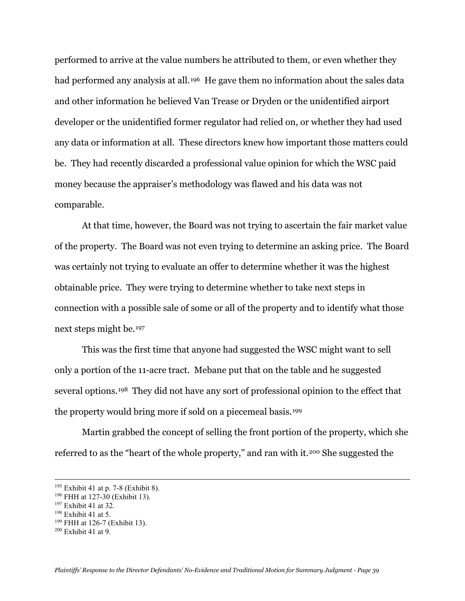performed to arrive at the value numbers he attributed to them, or even whether they had performed any analysis at all.<sup>[196](#page-38-0)</sup> He gave them no information about the sales data and other information he believed Van Trease or Dryden or the unidentified airport developer or the unidentified former regulator had relied on, or whether they had used any data or information at all. These directors knew how important those matters could be. They had recently discarded a professional value opinion for which the WSC paid money because the appraiser's methodology was flawed and his data was not comparable.

At that time, however, the Board was not trying to ascertain the fair market value of the property. The Board was not even trying to determine an asking price. The Board was certainly not trying to evaluate an offer to determine whether it was the highest obtainable price. They were trying to determine whether to take next steps in connection with a possible sale of some or all of the property and to identify what those next steps might be.[197](#page-38-1) 

This was the first time that anyone had suggested the WSC might want to sell only a portion of the 11-acre tract. Mebane put that on the table and he suggested several options.[198](#page-38-2) They did not have any sort of professional opinion to the effect that the property would bring more if sold on a piecemeal basis.[199](#page-38-3)

Martin grabbed the concept of selling the front portion of the property, which she referred to as the "heart of the whole property," and ran with it.[200](#page-38-4) She suggested the

<sup>195</sup> Exhibit 41 at p. 7-8 (Exhibit 8).

<span id="page-38-0"></span><sup>196</sup> FHH at 127-30 (Exhibit 13).

<span id="page-38-1"></span><sup>197</sup> Exhibit 41 at 32.

<span id="page-38-2"></span><sup>198</sup> Exhibit 41 at 5.

<span id="page-38-3"></span><sup>199</sup> FHH at 126-7 (Exhibit 13).

<span id="page-38-4"></span> $200$  Exhibit 41 at 9.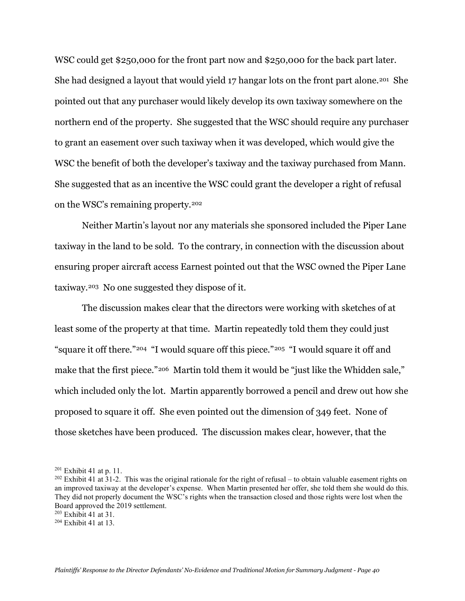WSC could get \$250,000 for the front part now and \$250,000 for the back part later. She had designed a layout that would yield 17 hangar lots on the front part alone.<sup>[201](#page-39-0)</sup> She pointed out that any purchaser would likely develop its own taxiway somewhere on the northern end of the property. She suggested that the WSC should require any purchaser to grant an easement over such taxiway when it was developed, which would give the WSC the benefit of both the developer's taxiway and the taxiway purchased from Mann. She suggested that as an incentive the WSC could grant the developer a right of refusal on the WSC's remaining property.[202](#page-39-1)

Neither Martin's layout nor any materials she sponsored included the Piper Lane taxiway in the land to be sold. To the contrary, in connection with the discussion about ensuring proper aircraft access Earnest pointed out that the WSC owned the Piper Lane taxiway.[203](#page-39-2) No one suggested they dispose of it.

The discussion makes clear that the directors were working with sketches of at least some of the property at that time. Martin repeatedly told them they could just "square it off there."[204](#page-39-3) "I would square off this piece."[205](#page-39-4) "I would square it off and make that the first piece."[206](#page-39-0) Martin told them it would be "just like the Whidden sale," which included only the lot. Martin apparently borrowed a pencil and drew out how she proposed to square it off. She even pointed out the dimension of 349 feet. None of those sketches have been produced. The discussion makes clear, however, that the

<span id="page-39-0"></span> $201$  Exhibit 41 at p. 11.

<span id="page-39-1"></span> $202$  Exhibit 41 at 31-2. This was the original rationale for the right of refusal – to obtain valuable easement rights on an improved taxiway at the developer's expense. When Martin presented her offer, she told them she would do this. They did not properly document the WSC's rights when the transaction closed and those rights were lost when the Board approved the 2019 settlement.

<span id="page-39-2"></span> $203$  Exhibit 41 at 31.

<span id="page-39-4"></span><span id="page-39-3"></span><sup>204</sup> Exhibit 41 at 13.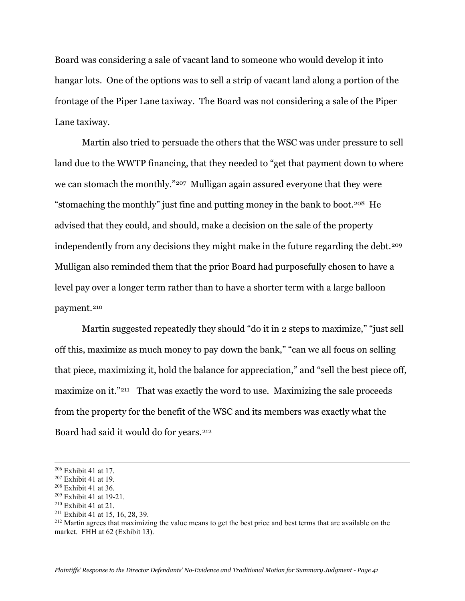Board was considering a sale of vacant land to someone who would develop it into hangar lots. One of the options was to sell a strip of vacant land along a portion of the frontage of the Piper Lane taxiway. The Board was not considering a sale of the Piper Lane taxiway.

Martin also tried to persuade the others that the WSC was under pressure to sell land due to the WWTP financing, that they needed to "get that payment down to where we can stomach the monthly."[207](#page-40-0) Mulligan again assured everyone that they were "stomaching the monthly" just fine and putting money in the bank to boot.[208](#page-40-1) He advised that they could, and should, make a decision on the sale of the property independently from any decisions they might make in the future regarding the debt.<sup>[209](#page-40-2)</sup> Mulligan also reminded them that the prior Board had purposefully chosen to have a level pay over a longer term rather than to have a shorter term with a large balloon payment.<sup>[210](#page-40-3)</sup>

Martin suggested repeatedly they should "do it in 2 steps to maximize," "just sell off this, maximize as much money to pay down the bank," "can we all focus on selling that piece, maximizing it, hold the balance for appreciation," and "sell the best piece off, maximize on it."<sup>[211](#page-40-4)</sup> That was exactly the word to use. Maximizing the sale proceeds from the property for the benefit of the WSC and its members was exactly what the Board had said it would do for years.[212](#page-40-5)

<span id="page-40-4"></span><sup>211</sup> Exhibit 41 at 15, 16, 28, 39.

<sup>206</sup> Exhibit 41 at 17.

<span id="page-40-0"></span><sup>207</sup> Exhibit 41 at 19.

<span id="page-40-1"></span><sup>208</sup> Exhibit 41 at 36.

<span id="page-40-2"></span><sup>209</sup> Exhibit 41 at 19-21.

<span id="page-40-3"></span> $210$  Exhibit 41 at 21.

<span id="page-40-5"></span><sup>&</sup>lt;sup>212</sup> Martin agrees that maximizing the value means to get the best price and best terms that are available on the market. FHH at 62 (Exhibit 13).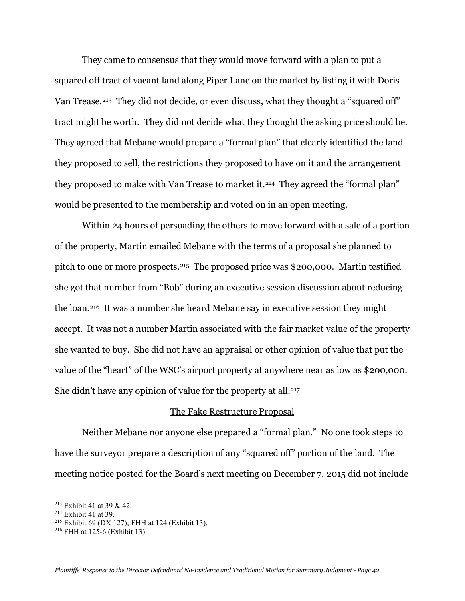They came to consensus that they would move forward with a plan to put a squared off tract of vacant land along Piper Lane on the market by listing it with Doris Van Trease.<sup>[213](#page-41-0)</sup> They did not decide, or even discuss, what they thought a "squared off" tract might be worth. They did not decide what they thought the asking price should be. They agreed that Mebane would prepare a "formal plan" that clearly identified the land they proposed to sell, the restrictions they proposed to have on it and the arrangement they proposed to make with Van Trease to market it.<sup>214</sup> They agreed the "formal plan" would be presented to the membership and voted on in an open meeting.

Within 24 hours of persuading the others to move forward with a sale of a portion of the property, Martin emailed Mebane with the terms of a proposal she planned to pitch to one or more prospects.[215](#page-41-2) The proposed price was \$200,000. Martin testified she got that number from "Bob" during an executive session discussion about reducing the loan.[216](#page-41-3) It was a number she heard Mebane say in executive session they might accept. It was not a number Martin associated with the fair market value of the property she wanted to buy. She did not have an appraisal or other opinion of value that put the value of the "heart" of the WSC's airport property at anywhere near as low as \$200,000. She didn't have any opinion of value for the property at all.<sup>[217](#page-41-4)</sup>

### The Fake Restructure Proposal

Neither Mebane nor anyone else prepared a "formal plan." No one took steps to have the surveyor prepare a description of any "squared off" portion of the land. The meeting notice posted for the Board's next meeting on December 7, 2015 did not include

<span id="page-41-4"></span><span id="page-41-0"></span><sup>213</sup> Exhibit 41 at 39 & 42.

<span id="page-41-1"></span><sup>214</sup> Exhibit 41 at 39.

<span id="page-41-2"></span><sup>215</sup> Exhibit 69 (DX 127); FHH at 124 (Exhibit 13).

<span id="page-41-3"></span><sup>216</sup> FHH at 125-6 (Exhibit 13).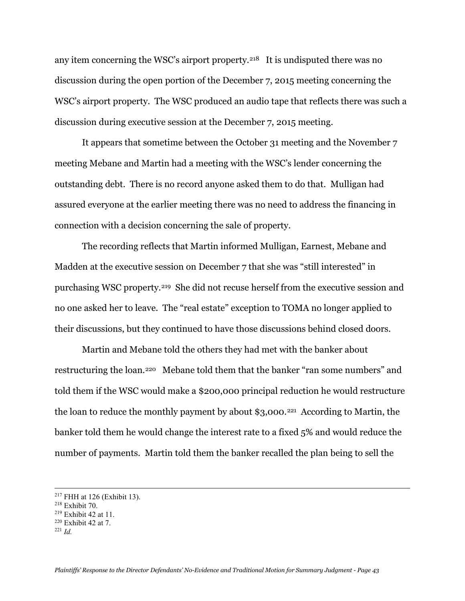any item concerning the WSC's airport property.<sup>[218](#page-42-0)</sup> It is undisputed there was no discussion during the open portion of the December 7, 2015 meeting concerning the WSC's airport property. The WSC produced an audio tape that reflects there was such a discussion during executive session at the December 7, 2015 meeting.

It appears that sometime between the October 31 meeting and the November 7 meeting Mebane and Martin had a meeting with the WSC's lender concerning the outstanding debt. There is no record anyone asked them to do that. Mulligan had assured everyone at the earlier meeting there was no need to address the financing in connection with a decision concerning the sale of property.

The recording reflects that Martin informed Mulligan, Earnest, Mebane and Madden at the executive session on December 7 that she was "still interested" in purchasing WSC property.[219](#page-42-1) She did not recuse herself from the executive session and no one asked her to leave. The "real estate" exception to TOMA no longer applied to their discussions, but they continued to have those discussions behind closed doors.

Martin and Mebane told the others they had met with the banker about restructuring the loan.[220](#page-42-2) Mebane told them that the banker "ran some numbers" and told them if the WSC would make a \$200,000 principal reduction he would restructure the loan to reduce the monthly payment by about \$3,000.<sup>221</sup> According to Martin, the banker told them he would change the interest rate to a fixed 5% and would reduce the number of payments. Martin told them the banker recalled the plan being to sell the

<sup>217</sup> FHH at 126 (Exhibit 13).

<span id="page-42-0"></span><sup>218</sup> Exhibit 70.

<span id="page-42-1"></span><sup>219</sup> Exhibit 42 at 11.

<span id="page-42-2"></span><sup>220</sup> Exhibit 42 at 7.

<span id="page-42-3"></span><sup>221</sup> *Id.*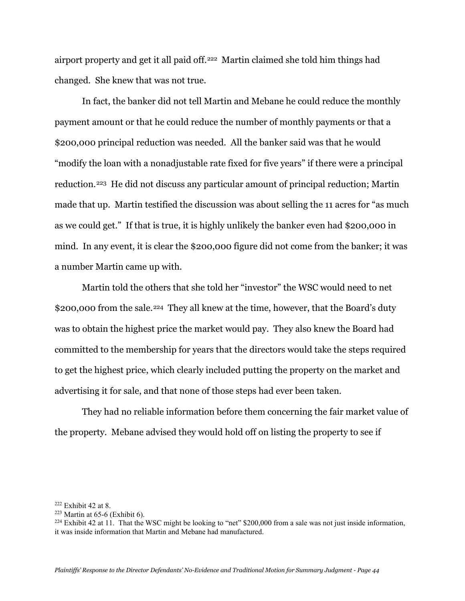airport property and get it all paid off.[222](#page-43-0) Martin claimed she told him things had changed. She knew that was not true.

In fact, the banker did not tell Martin and Mebane he could reduce the monthly payment amount or that he could reduce the number of monthly payments or that a \$200,000 principal reduction was needed. All the banker said was that he would "modify the loan with a nonadjustable rate fixed for five years" if there were a principal reduction.[223](#page-43-1) He did not discuss any particular amount of principal reduction; Martin made that up. Martin testified the discussion was about selling the 11 acres for "as much as we could get." If that is true, it is highly unlikely the banker even had \$200,000 in mind. In any event, it is clear the \$200,000 figure did not come from the banker; it was a number Martin came up with.

Martin told the others that she told her "investor" the WSC would need to net \$200,000 from the sale.<sup>[224](#page-43-2)</sup> They all knew at the time, however, that the Board's duty was to obtain the highest price the market would pay. They also knew the Board had committed to the membership for years that the directors would take the steps required to get the highest price, which clearly included putting the property on the market and advertising it for sale, and that none of those steps had ever been taken.

They had no reliable information before them concerning the fair market value of the property. Mebane advised they would hold off on listing the property to see if

<span id="page-43-0"></span> $222$  Exhibit 42 at 8.

<span id="page-43-1"></span> $223$  Martin at 65-6 (Exhibit 6).

<span id="page-43-2"></span> $^{224}$  Exhibit 42 at 11. That the WSC might be looking to "net" \$200,000 from a sale was not just inside information, it was inside information that Martin and Mebane had manufactured.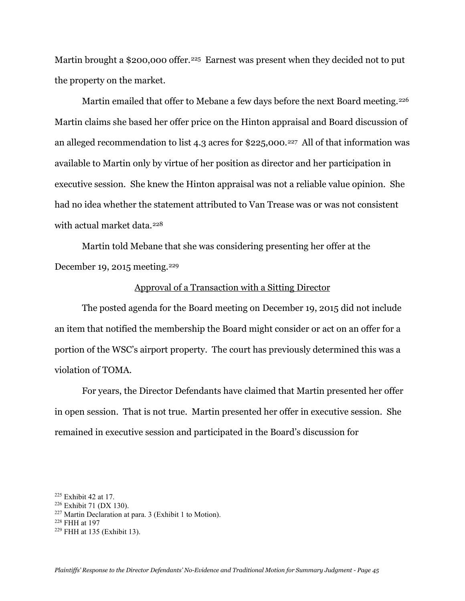Martin brought a \$200,000 offer.<sup>225</sup> Earnest was present when they decided not to put the property on the market.

Martin emailed that offer to Mebane a few days before the next Board meeting.<sup>226</sup> Martin claims she based her offer price on the Hinton appraisal and Board discussion of an alleged recommendation to list 4.3 acres for \$225,000.[227](#page-44-2) All of that information was available to Martin only by virtue of her position as director and her participation in executive session. She knew the Hinton appraisal was not a reliable value opinion. She had no idea whether the statement attributed to Van Trease was or was not consistent with actual market data.<sup>[228](#page-44-3)</sup>

Martin told Mebane that she was considering presenting her offer at the December 19, 2015 meeting.[229](#page-44-4) 

## Approval of a Transaction with a Sitting Director

The posted agenda for the Board meeting on December 19, 2015 did not include an item that notified the membership the Board might consider or act on an offer for a portion of the WSC's airport property. The court has previously determined this was a violation of TOMA.

For years, the Director Defendants have claimed that Martin presented her offer in open session. That is not true. Martin presented her offer in executive session. She remained in executive session and participated in the Board's discussion for

<span id="page-44-0"></span><sup>225</sup> Exhibit 42 at 17.

<span id="page-44-1"></span><sup>226</sup> Exhibit 71 (DX 130).

<span id="page-44-2"></span> $227$  Martin Declaration at para. 3 (Exhibit 1 to Motion).

<span id="page-44-3"></span><sup>228</sup> FHH at 197

<span id="page-44-4"></span><sup>229</sup> FHH at 135 (Exhibit 13).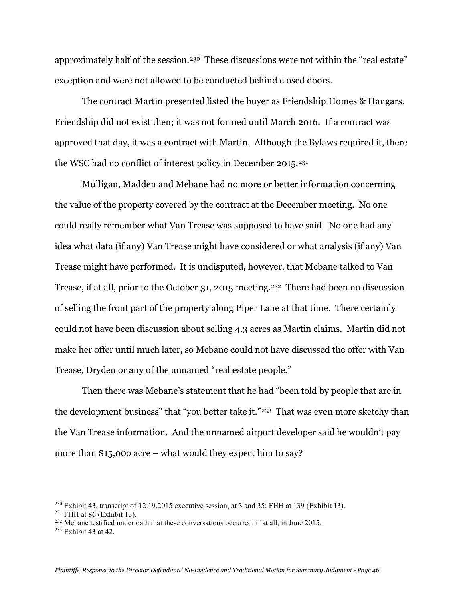approximately half of the session.<sup>[230](#page-45-0)</sup> These discussions were not within the "real estate" exception and were not allowed to be conducted behind closed doors.

The contract Martin presented listed the buyer as Friendship Homes & Hangars. Friendship did not exist then; it was not formed until March 2016. If a contract was approved that day, it was a contract with Martin. Although the Bylaws required it, there the WSC had no conflict of interest policy in December 2015.<sup>[231](#page-45-1)</sup>

Mulligan, Madden and Mebane had no more or better information concerning the value of the property covered by the contract at the December meeting. No one could really remember what Van Trease was supposed to have said. No one had any idea what data (if any) Van Trease might have considered or what analysis (if any) Van Trease might have performed. It is undisputed, however, that Mebane talked to Van Trease, if at all, prior to the October 31, 2015 meeting.<sup>[232](#page-45-2)</sup> There had been no discussion of selling the front part of the property along Piper Lane at that time. There certainly could not have been discussion about selling 4.3 acres as Martin claims. Martin did not make her offer until much later, so Mebane could not have discussed the offer with Van Trease, Dryden or any of the unnamed "real estate people."

Then there was Mebane's statement that he had "been told by people that are in the development business" that "you better take it."<sup>[233](#page-45-3)</sup> That was even more sketchy than the Van Trease information. And the unnamed airport developer said he wouldn't pay more than \$15,00o acre – what would they expect him to say?

<span id="page-45-0"></span> $^{230}$  Exhibit 43, transcript of 12.19.2015 executive session, at 3 and 35; FHH at 139 (Exhibit 13).

<span id="page-45-1"></span> $231$  FHH at 86 (Exhibit 13).

<span id="page-45-2"></span><sup>&</sup>lt;sup>232</sup> Mebane testified under oath that these conversations occurred, if at all, in June 2015.

<span id="page-45-3"></span><sup>233</sup> Exhibit 43 at 42.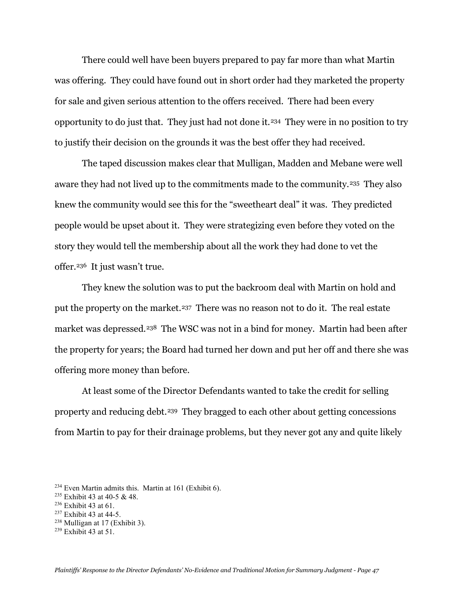There could well have been buyers prepared to pay far more than what Martin was offering. They could have found out in short order had they marketed the property for sale and given serious attention to the offers received. There had been every opportunity to do just that. They just had not done it.[234](#page-46-0) They were in no position to try to justify their decision on the grounds it was the best offer they had received.

The taped discussion makes clear that Mulligan, Madden and Mebane were well aware they had not lived up to the commitments made to the community.<sup>235</sup> They also knew the community would see this for the "sweetheart deal" it was. They predicted people would be upset about it. They were strategizing even before they voted on the story they would tell the membership about all the work they had done to vet the offer.[236](#page-46-2) It just wasn't true.

They knew the solution was to put the backroom deal with Martin on hold and put the property on the market.[237](#page-46-3) There was no reason not to do it. The real estate market was depressed.<sup>[238](#page-46-4)</sup> The WSC was not in a bind for money. Martin had been after the property for years; the Board had turned her down and put her off and there she was offering more money than before.

At least some of the Director Defendants wanted to take the credit for selling property and reducing debt.[239](#page-46-5) They bragged to each other about getting concessions from Martin to pay for their drainage problems, but they never got any and quite likely

<span id="page-46-4"></span> $238$  Mulligan at 17 (Exhibit 3).

<span id="page-46-0"></span><sup>234</sup> Even Martin admits this. Martin at 161 (Exhibit 6).

<span id="page-46-1"></span><sup>235</sup> Exhibit 43 at 40-5 & 48.

<span id="page-46-2"></span> $236$  Exhibit 43 at 61.

<span id="page-46-3"></span><sup>237</sup> Exhibit 43 at 44-5.

<span id="page-46-5"></span><sup>239</sup> Exhibit 43 at 51.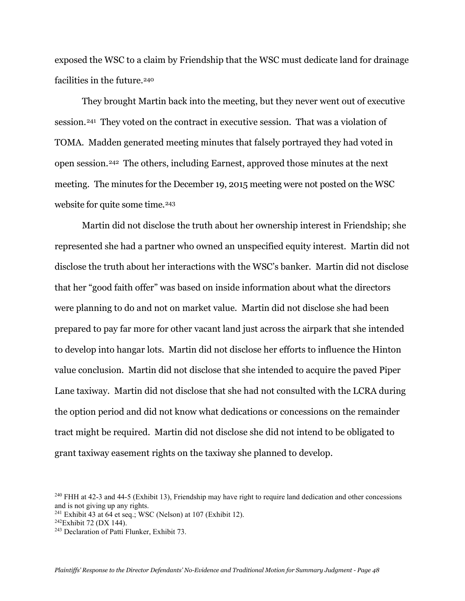exposed the WSC to a claim by Friendship that the WSC must dedicate land for drainage facilities in the future.<sup>[240](#page-47-0)</sup>

They brought Martin back into the meeting, but they never went out of executive session.[241](#page-47-1) They voted on the contract in executive session. That was a violation of TOMA. Madden generated meeting minutes that falsely portrayed they had voted in open session.[242](#page-47-2) The others, including Earnest, approved those minutes at the next meeting. The minutes for the December 19, 2015 meeting were not posted on the WSC website for quite some time.<sup>[243](#page-47-3)</sup>

Martin did not disclose the truth about her ownership interest in Friendship; she represented she had a partner who owned an unspecified equity interest. Martin did not disclose the truth about her interactions with the WSC's banker. Martin did not disclose that her "good faith offer" was based on inside information about what the directors were planning to do and not on market value. Martin did not disclose she had been prepared to pay far more for other vacant land just across the airpark that she intended to develop into hangar lots. Martin did not disclose her efforts to influence the Hinton value conclusion. Martin did not disclose that she intended to acquire the paved Piper Lane taxiway. Martin did not disclose that she had not consulted with the LCRA during the option period and did not know what dedications or concessions on the remainder tract might be required. Martin did not disclose she did not intend to be obligated to grant taxiway easement rights on the taxiway she planned to develop.

<span id="page-47-0"></span><sup>&</sup>lt;sup>240</sup> FHH at 42-3 and 44-5 (Exhibit 13), Friendship may have right to require land dedication and other concessions and is not giving up any rights.

<span id="page-47-1"></span> $241$  Exhibit 43 at 64 et seq.; WSC (Nelson) at 107 (Exhibit 12).

<span id="page-47-2"></span> $242$ Exhibit 72 (DX 144).

<span id="page-47-3"></span><sup>243</sup> Declaration of Patti Flunker, Exhibit 73.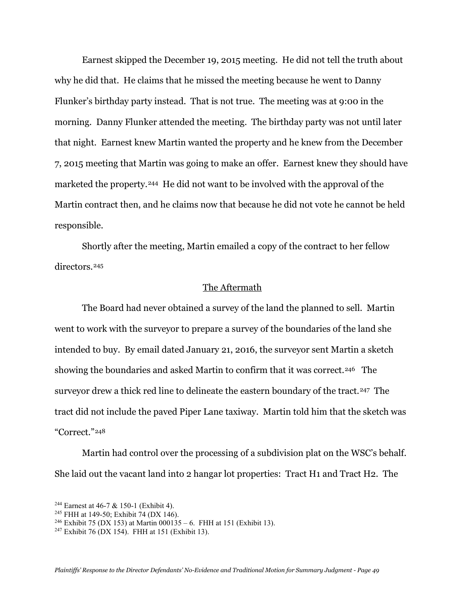Earnest skipped the December 19, 2015 meeting. He did not tell the truth about why he did that. He claims that he missed the meeting because he went to Danny Flunker's birthday party instead. That is not true. The meeting was at 9:00 in the morning. Danny Flunker attended the meeting. The birthday party was not until later that night. Earnest knew Martin wanted the property and he knew from the December 7, 2015 meeting that Martin was going to make an offer. Earnest knew they should have marketed the property.[244](#page-48-0) He did not want to be involved with the approval of the Martin contract then, and he claims now that because he did not vote he cannot be held responsible.

Shortly after the meeting, Martin emailed a copy of the contract to her fellow directors.[245](#page-48-1)

## The Aftermath

The Board had never obtained a survey of the land the planned to sell. Martin went to work with the surveyor to prepare a survey of the boundaries of the land she intended to buy. By email dated January 21, 2016, the surveyor sent Martin a sketch showing the boundaries and asked Martin to confirm that it was correct.<sup>[246](#page-48-2)</sup> The surveyor drew a thick red line to delineate the eastern boundary of the tract.<sup>247</sup> The tract did not include the paved Piper Lane taxiway. Martin told him that the sketch was "Correct."[248](#page-48-0)

Martin had control over the processing of a subdivision plat on the WSC's behalf. She laid out the vacant land into 2 hangar lot properties: Tract H1 and Tract H2. The

<span id="page-48-0"></span><sup>&</sup>lt;sup>244</sup> Earnest at 46-7 & 150-1 (Exhibit 4).

<span id="page-48-1"></span><sup>245</sup> FHH at 149-50; Exhibit 74 (DX 146).

<span id="page-48-2"></span><sup>&</sup>lt;sup>246</sup> Exhibit 75 (DX 153) at Martin 000135 – 6. FHH at 151 (Exhibit 13).

<span id="page-48-3"></span><sup>247</sup> Exhibit 76 (DX 154). FHH at 151 (Exhibit 13).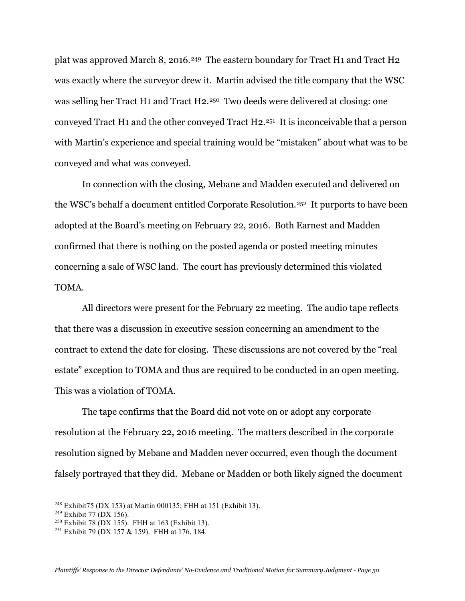plat was approved March 8, 2016.[249](#page-49-0) The eastern boundary for Tract H1 and Tract H2 was exactly where the surveyor drew it. Martin advised the title company that the WSC was selling her Tract H1 and Tract H2.[250](#page-49-1) Two deeds were delivered at closing: one conveyed Tract H1 and the other conveyed Tract H2.[251](#page-49-2) It is inconceivable that a person with Martin's experience and special training would be "mistaken" about what was to be conveyed and what was conveyed.

In connection with the closing, Mebane and Madden executed and delivered on the WSC's behalf a document entitled Corporate Resolution.[252](#page-49-3) It purports to have been adopted at the Board's meeting on February 22, 2016. Both Earnest and Madden confirmed that there is nothing on the posted agenda or posted meeting minutes concerning a sale of WSC land. The court has previously determined this violated TOMA.

All directors were present for the February 22 meeting. The audio tape reflects that there was a discussion in executive session concerning an amendment to the contract to extend the date for closing. These discussions are not covered by the "real estate" exception to TOMA and thus are required to be conducted in an open meeting. This was a violation of TOMA.

The tape confirms that the Board did not vote on or adopt any corporate resolution at the February 22, 2016 meeting. The matters described in the corporate resolution signed by Mebane and Madden never occurred, even though the document falsely portrayed that they did. Mebane or Madden or both likely signed the document

<span id="page-49-3"></span><sup>248</sup> Exhibit75 (DX 153) at Martin 000135; FHH at 151 (Exhibit 13).

<span id="page-49-0"></span><sup>249</sup> Exhibit 77 (DX 156).

<span id="page-49-1"></span><sup>&</sup>lt;sup>250</sup> Exhibit 78 (DX 155). FHH at 163 (Exhibit 13).

<span id="page-49-2"></span><sup>251</sup> Exhibit 79 (DX 157 & 159). FHH at 176, 184.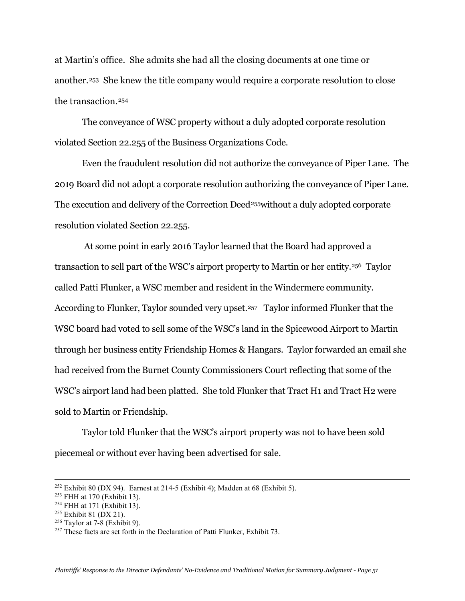at Martin's office. She admits she had all the closing documents at one time or another.[253](#page-50-0) She knew the title company would require a corporate resolution to close the transaction.[254](#page-50-1)

The conveyance of WSC property without a duly adopted corporate resolution violated Section 22.255 of the Business Organizations Code.

Even the fraudulent resolution did not authorize the conveyance of Piper Lane. The 2019 Board did not adopt a corporate resolution authorizing the conveyance of Piper Lane. The execution and delivery of the Correction Deed<sup>[255](#page-50-2)</sup> without a duly adopted corporate resolution violated Section 22.255.

At some point in early 2016 Taylor learned that the Board had approved a transaction to sell part of the WSC's airport property to Martin or her entity.[256](#page-50-3) Taylor called Patti Flunker, a WSC member and resident in the Windermere community. According to Flunker, Taylor sounded very upset.<sup>257</sup> Taylor informed Flunker that the WSC board had voted to sell some of the WSC's land in the Spicewood Airport to Martin through her business entity Friendship Homes & Hangars. Taylor forwarded an email she had received from the Burnet County Commissioners Court reflecting that some of the WSC's airport land had been platted. She told Flunker that Tract H1 and Tract H2 were sold to Martin or Friendship.

Taylor told Flunker that the WSC's airport property was not to have been sold piecemeal or without ever having been advertised for sale.

<sup>&</sup>lt;sup>252</sup> Exhibit 80 (DX 94). Earnest at 214-5 (Exhibit 4); Madden at 68 (Exhibit 5).

<span id="page-50-0"></span><sup>253</sup> FHH at 170 (Exhibit 13).

<span id="page-50-1"></span><sup>254</sup> FHH at 171 (Exhibit 13).

<span id="page-50-2"></span><sup>255</sup> Exhibit 81 (DX 21).

<span id="page-50-3"></span> $256$  Taylor at 7-8 (Exhibit 9).

<span id="page-50-4"></span><sup>&</sup>lt;sup>257</sup> These facts are set forth in the Declaration of Patti Flunker, Exhibit 73.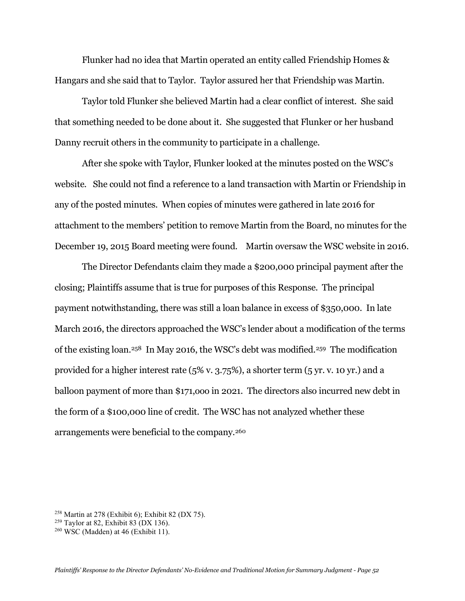Flunker had no idea that Martin operated an entity called Friendship Homes & Hangars and she said that to Taylor. Taylor assured her that Friendship was Martin.

Taylor told Flunker she believed Martin had a clear conflict of interest. She said that something needed to be done about it. She suggested that Flunker or her husband Danny recruit others in the community to participate in a challenge.

After she spoke with Taylor, Flunker looked at the minutes posted on the WSC's website. She could not find a reference to a land transaction with Martin or Friendship in any of the posted minutes. When copies of minutes were gathered in late 2016 for attachment to the members' petition to remove Martin from the Board, no minutes for the December 19, 2015 Board meeting were found. Martin oversaw the WSC website in 2016.

The Director Defendants claim they made a \$200,000 principal payment after the closing; Plaintiffs assume that is true for purposes of this Response. The principal payment notwithstanding, there was still a loan balance in excess of \$350,000. In late March 2016, the directors approached the WSC's lender about a modification of the terms of the existing loan.[258](#page-51-0) In May 2016, the WSC's debt was modified.[259](#page-51-1) The modification provided for a higher interest rate (5% v. 3.75%), a shorter term (5 yr. v. 10 yr.) and a balloon payment of more than \$171,ooo in 2021. The directors also incurred new debt in the form of a \$100,000 line of credit. The WSC has not analyzed whether these arrangements were beneficial to the company.[260](#page-51-2)

<span id="page-51-0"></span><sup>258</sup> Martin at 278 (Exhibit 6); Exhibit 82 (DX 75).

<span id="page-51-1"></span> $259$  Taylor at 82, Exhibit 83 (DX 136).

<span id="page-51-2"></span> $260$  WSC (Madden) at 46 (Exhibit 11).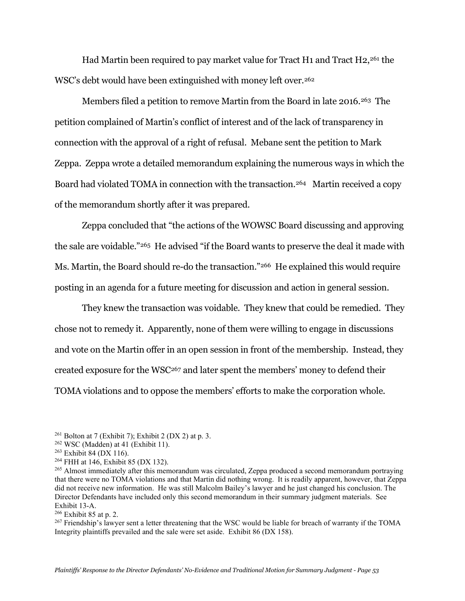Had Martin been required to pay market value for Tract H1 and Tract H2[,261](#page-52-0) the WSC's debt would have been extinguished with money left over.<sup>[262](#page-52-1)</sup>

Members filed a petition to remove Martin from the Board in late 2016.[263](#page-52-2) The petition complained of Martin's conflict of interest and of the lack of transparency in connection with the approval of a right of refusal. Mebane sent the petition to Mark Zeppa. Zeppa wrote a detailed memorandum explaining the numerous ways in which the Board had violated TOMA in connection with the transaction.<sup>[264](#page-52-3)</sup> Martin received a copy of the memorandum shortly after it was prepared.

Zeppa concluded that "the actions of the WOWSC Board discussing and approving the sale are voidable."[265](#page-52-4) He advised "if the Board wants to preserve the deal it made with Ms. Martin, the Board should re-do the transaction."[266](#page-52-5) He explained this would require posting in an agenda for a future meeting for discussion and action in general session.

They knew the transaction was voidable. They knew that could be remedied. They chose not to remedy it. Apparently, none of them were willing to engage in discussions and vote on the Martin offer in an open session in front of the membership. Instead, they created exposure for the WS[C267](#page-52-6) and later spent the members' money to defend their TOMA violations and to oppose the members' efforts to make the corporation whole.

<span id="page-52-3"></span><sup>264</sup> FHH at 146, Exhibit 85 (DX 132).

<span id="page-52-4"></span><sup>265</sup> Almost immediately after this memorandum was circulated, Zeppa produced a second memorandum portraying that there were no TOMA violations and that Martin did nothing wrong. It is readily apparent, however, that Zeppa did not receive new information. He was still Malcolm Bailey's lawyer and he just changed his conclusion. The Director Defendants have included only this second memorandum in their summary judgment materials. See Exhibit 13-A.

<span id="page-52-5"></span><sup>266</sup> Exhibit 85 at p. 2.

<span id="page-52-6"></span><sup>267</sup> Friendship's lawyer sent a letter threatening that the WSC would be liable for breach of warranty if the TOMA Integrity plaintiffs prevailed and the sale were set aside. Exhibit 86 (DX 158).

<span id="page-52-0"></span><sup>&</sup>lt;sup>261</sup> Bolton at 7 (Exhibit 7); Exhibit 2 (DX 2) at p. 3.

<span id="page-52-1"></span><sup>262</sup> WSC (Madden) at 41 (Exhibit 11).

<span id="page-52-2"></span> $263$  Exhibit 84 (DX 116).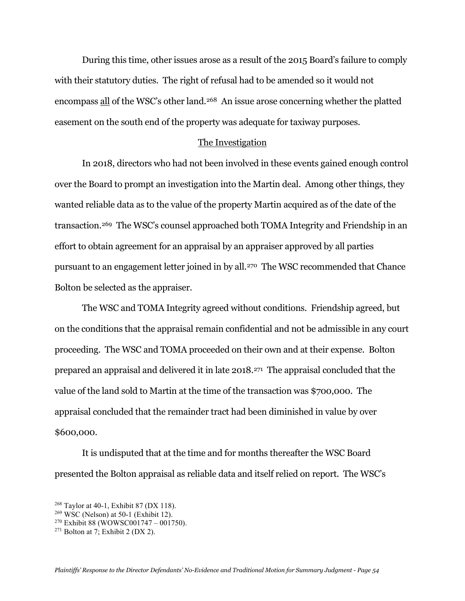During this time, other issues arose as a result of the 2015 Board's failure to comply with their statutory duties. The right of refusal had to be amended so it would not encompass all of the WSC's other land.<sup>268</sup> An issue arose concerning whether the platted easement on the south end of the property was adequate for taxiway purposes.

### The Investigation

In 2018, directors who had not been involved in these events gained enough control over the Board to prompt an investigation into the Martin deal. Among other things, they wanted reliable data as to the value of the property Martin acquired as of the date of the transaction.[269](#page-53-1) The WSC's counsel approached both TOMA Integrity and Friendship in an effort to obtain agreement for an appraisal by an appraiser approved by all parties pursuant to an engagement letter joined in by all.[270](#page-53-2) The WSC recommended that Chance Bolton be selected as the appraiser.

The WSC and TOMA Integrity agreed without conditions. Friendship agreed, but on the conditions that the appraisal remain confidential and not be admissible in any court proceeding. The WSC and TOMA proceeded on their own and at their expense. Bolton prepared an appraisal and delivered it in late 2018[.271](#page-53-3) The appraisal concluded that the value of the land sold to Martin at the time of the transaction was \$700,000. The appraisal concluded that the remainder tract had been diminished in value by over \$600,000.

It is undisputed that at the time and for months thereafter the WSC Board presented the Bolton appraisal as reliable data and itself relied on report. The WSC's

<span id="page-53-0"></span><sup>268</sup> Taylor at 40-1, Exhibit 87 (DX 118).

<span id="page-53-1"></span> $269$  WSC (Nelson) at 50-1 (Exhibit 12).

<span id="page-53-2"></span> $270$  Exhibit 88 (WOWSC001747 – 001750).

<span id="page-53-3"></span> $271$  Bolton at 7; Exhibit 2 (DX 2).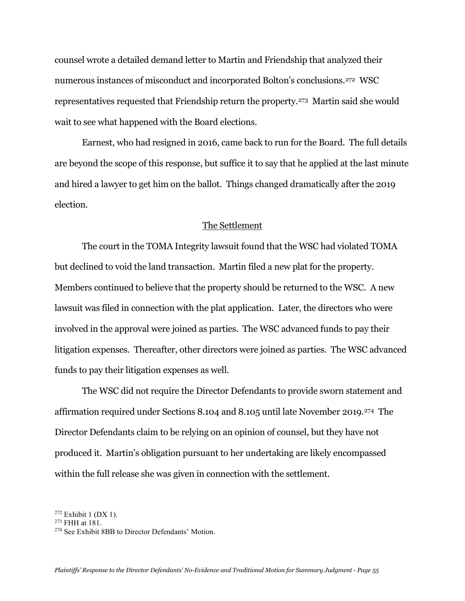counsel wrote a detailed demand letter to Martin and Friendship that analyzed their numerous instances of misconduct and incorporated Bolton's conclusions.[272](#page-54-0) WSC representatives requested that Friendship return the property.[273](#page-54-1) Martin said she would wait to see what happened with the Board elections.

Earnest, who had resigned in 2016, came back to run for the Board. The full details are beyond the scope of this response, but suffice it to say that he applied at the last minute and hired a lawyer to get him on the ballot. Things changed dramatically after the 2019 election.

### The Settlement

The court in the TOMA Integrity lawsuit found that the WSC had violated TOMA but declined to void the land transaction. Martin filed a new plat for the property. Members continued to believe that the property should be returned to the WSC. A new lawsuit was filed in connection with the plat application. Later, the directors who were involved in the approval were joined as parties. The WSC advanced funds to pay their litigation expenses. Thereafter, other directors were joined as parties. The WSC advanced funds to pay their litigation expenses as well.

The WSC did not require the Director Defendants to provide sworn statement and affirmation required under Sections 8.104 and 8.105 until late November 2019.[274](#page-54-2) The Director Defendants claim to be relying on an opinion of counsel, but they have not produced it. Martin's obligation pursuant to her undertaking are likely encompassed within the full release she was given in connection with the settlement.

<span id="page-54-0"></span> $272$  Exhibit 1 (DX 1).

<span id="page-54-1"></span><sup>273</sup> FHH at 181.

<span id="page-54-2"></span><sup>274</sup> See Exhibit 8BB to Director Defendants' Motion.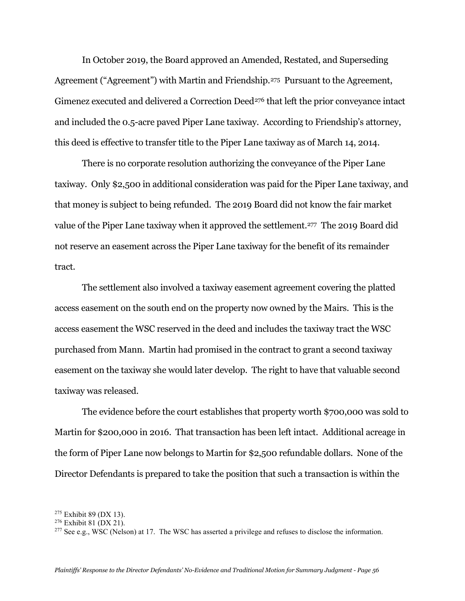In October 2019, the Board approved an Amended, Restated, and Superseding Agreement ("Agreement") with Martin and Friendship.[275](#page-55-0) Pursuant to the Agreement, Gimenez executed and delivered a Correction Deed<sup>[276](#page-55-1)</sup> that left the prior conveyance intact and included the 0.5-acre paved Piper Lane taxiway. According to Friendship's attorney, this deed is effective to transfer title to the Piper Lane taxiway as of March 14, 2014.

There is no corporate resolution authorizing the conveyance of the Piper Lane taxiway. Only \$2,500 in additional consideration was paid for the Piper Lane taxiway, and that money is subject to being refunded. The 2019 Board did not know the fair market value of the Piper Lane taxiway when it approved the settlement.<sup>[277](#page-55-2)</sup> The 2019 Board did not reserve an easement across the Piper Lane taxiway for the benefit of its remainder tract.

The settlement also involved a taxiway easement agreement covering the platted access easement on the south end on the property now owned by the Mairs. This is the access easement the WSC reserved in the deed and includes the taxiway tract the WSC purchased from Mann. Martin had promised in the contract to grant a second taxiway easement on the taxiway she would later develop. The right to have that valuable second taxiway was released.

The evidence before the court establishes that property worth \$700,000 was sold to Martin for \$200,000 in 2016. That transaction has been left intact. Additional acreage in the form of Piper Lane now belongs to Martin for \$2,500 refundable dollars. None of the Director Defendants is prepared to take the position that such a transaction is within the

<span id="page-55-0"></span><sup>275</sup> Exhibit 89 (DX 13).

<span id="page-55-1"></span><sup>276</sup> Exhibit 81 (DX 21).

<span id="page-55-2"></span> $277$  See e.g., WSC (Nelson) at 17. The WSC has asserted a privilege and refuses to disclose the information.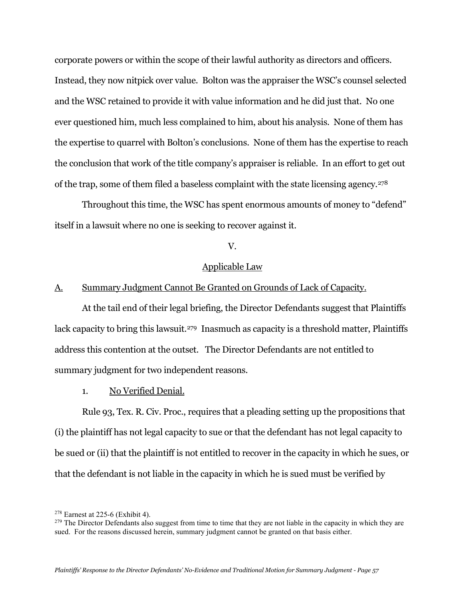corporate powers or within the scope of their lawful authority as directors and officers. Instead, they now nitpick over value. Bolton was the appraiser the WSC's counsel selected and the WSC retained to provide it with value information and he did just that. No one ever questioned him, much less complained to him, about his analysis. None of them has the expertise to quarrel with Bolton's conclusions. None of them has the expertise to reach the conclusion that work of the title company's appraiser is reliable. In an effort to get out of the trap, some of them filed a baseless complaint with the state licensing agency.[278](#page-56-0) 

Throughout this time, the WSC has spent enormous amounts of money to "defend" itself in a lawsuit where no one is seeking to recover against it.

# V.

## Applicable Law

# A. Summary Judgment Cannot Be Granted on Grounds of Lack of Capacity.

At the tail end of their legal briefing, the Director Defendants suggest that Plaintiffs lack capacity to bring this lawsuit.<sup>279</sup> Inasmuch as capacity is a threshold matter, Plaintiffs address this contention at the outset. The Director Defendants are not entitled to summary judgment for two independent reasons.

1. No Verified Denial.

Rule 93, Tex. R. Civ. Proc., requires that a pleading setting up the propositions that (i) the plaintiff has not legal capacity to sue or that the defendant has not legal capacity to be sued or (ii) that the plaintiff is not entitled to recover in the capacity in which he sues, or that the defendant is not liable in the capacity in which he is sued must be verified by

<span id="page-56-0"></span><sup>278</sup> Earnest at 225-6 (Exhibit 4).

<span id="page-56-1"></span> $^{279}$  The Director Defendants also suggest from time to time that they are not liable in the capacity in which they are sued. For the reasons discussed herein, summary judgment cannot be granted on that basis either.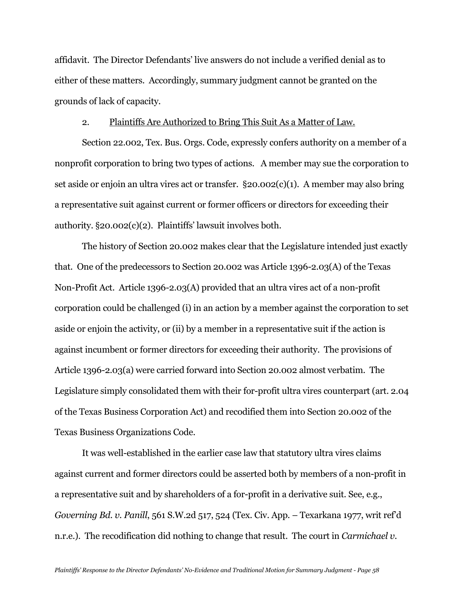affidavit. The Director Defendants' live answers do not include a verified denial as to either of these matters. Accordingly, summary judgment cannot be granted on the grounds of lack of capacity.

### 2. Plaintiffs Are Authorized to Bring This Suit As a Matter of Law.

Section 22.002, Tex. Bus. Orgs. Code, expressly confers authority on a member of a nonprofit corporation to bring two types of actions. A member may sue the corporation to set aside or enjoin an ultra vires act or transfer. §20.002(c)(1). A member may also bring a representative suit against current or former officers or directors for exceeding their authority. §20.002(c)(2). Plaintiffs' lawsuit involves both.

The history of Section 20.002 makes clear that the Legislature intended just exactly that. One of the predecessors to Section 20.002 was Article 1396-2.03(A) of the Texas Non-Profit Act. Article 1396-2.03(A) provided that an ultra vires act of a non-profit corporation could be challenged (i) in an action by a member against the corporation to set aside or enjoin the activity, or (ii) by a member in a representative suit if the action is against incumbent or former directors for exceeding their authority. The provisions of Article 1396-2.03(a) were carried forward into Section 20.002 almost verbatim. The Legislature simply consolidated them with their for-profit ultra vires counterpart (art. 2.04 of the Texas Business Corporation Act) and recodified them into Section 20.002 of the Texas Business Organizations Code.

It was well-established in the earlier case law that statutory ultra vires claims against current and former directors could be asserted both by members of a non-profit in a representative suit and by shareholders of a for-profit in a derivative suit. See, e.g., *Governing Bd. v. Panill*, 561 S.W.2d 517, 524 (Tex. Civ. App. – Texarkana 1977, writ ref'd n.r.e.). The recodification did nothing to change that result. The court in *Carmichael v.*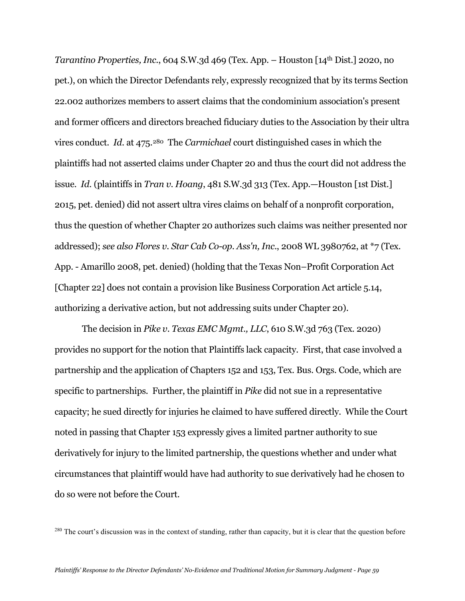*Tarantino Properties, Inc.*, 604 S.W.3d 469 (Tex. App. – Houston [14th Dist.] 2020, no pet.), on which the Director Defendants rely, expressly recognized that by its terms Section 22.002 authorizes members to assert claims that the condominium association's present and former officers and directors breached fiduciary duties to the Association by their ultra vires conduct. *Id.* at 475[.280](#page-58-0) The *Carmichael* court distinguished cases in which the plaintiffs had not asserted claims under Chapter 20 and thus the court did not address the issue. *Id.* (plaintiffs in *Tran v. Hoang*, 481 S.W.3d 313 (Tex. App.—Houston [1st Dist.] 2015, pet. denied) did not assert ultra vires claims on behalf of a nonprofit corporation, thus the question of whether Chapter 20 authorizes such claims was neither presented nor addressed); *see also Flores v. Star Cab Co-op. Ass'n, Inc*., 2008 WL 3980762, at \*7 (Tex. App. - Amarillo 2008, pet. denied) (holding that the Texas Non–Profit Corporation Act [Chapter 22] does not contain a provision like Business Corporation Act article 5.14, authorizing a derivative action, but not addressing suits under Chapter 20).

The decision in *Pike v. Texas EMC Mgmt., LLC*, 610 S.W.3d 763 (Tex. 2020) provides no support for the notion that Plaintiffs lack capacity. First, that case involved a partnership and the application of Chapters 152 and 153, Tex. Bus. Orgs. Code, which are specific to partnerships. Further, the plaintiff in *Pike* did not sue in a representative capacity; he sued directly for injuries he claimed to have suffered directly. While the Court noted in passing that Chapter 153 expressly gives a limited partner authority to sue derivatively for injury to the limited partnership, the questions whether and under what circumstances that plaintiff would have had authority to sue derivatively had he chosen to do so were not before the Court.

<span id="page-58-0"></span><sup>280</sup> The court's discussion was in the context of standing, rather than capacity, but it is clear that the question before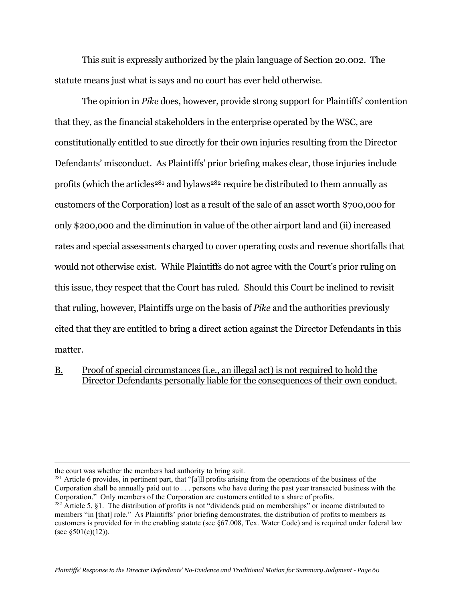This suit is expressly authorized by the plain language of Section 20.002. The statute means just what is says and no court has ever held otherwise.

The opinion in *Pike* does, however, provide strong support for Plaintiffs' contention that they, as the financial stakeholders in the enterprise operated by the WSC, are constitutionally entitled to sue directly for their own injuries resulting from the Director Defendants' misconduct. As Plaintiffs' prior briefing makes clear, those injuries include profits (which the articles<sup>[281](#page-59-0)</sup> and bylaws<sup>282</sup> require be distributed to them annually as customers of the Corporation) lost as a result of the sale of an asset worth \$700,000 for only \$200,000 and the diminution in value of the other airport land and (ii) increased rates and special assessments charged to cover operating costs and revenue shortfalls that would not otherwise exist. While Plaintiffs do not agree with the Court's prior ruling on this issue, they respect that the Court has ruled. Should this Court be inclined to revisit that ruling, however, Plaintiffs urge on the basis of *Pike* and the authorities previously cited that they are entitled to bring a direct action against the Director Defendants in this matter.

## B. Proof of special circumstances (i.e., an illegal act) is not required to hold the Director Defendants personally liable for the consequences of their own conduct.

the court was whether the members had authority to bring suit.

<span id="page-59-0"></span><sup>&</sup>lt;sup>281</sup> Article 6 provides, in pertinent part, that "[a]ll profits arising from the operations of the business of the Corporation shall be annually paid out to . . . persons who have during the past year transacted business with the Corporation." Only members of the Corporation are customers entitled to a share of profits.

<span id="page-59-1"></span><sup>&</sup>lt;sup>282</sup> Article 5, §1. The distribution of profits is not "dividends paid on memberships" or income distributed to members "in [that] role." As Plaintiffs' prior briefing demonstrates, the distribution of profits to members as customers is provided for in the enabling statute (see §67.008, Tex. Water Code) and is required under federal law (see  $§501(c)(12)$ ).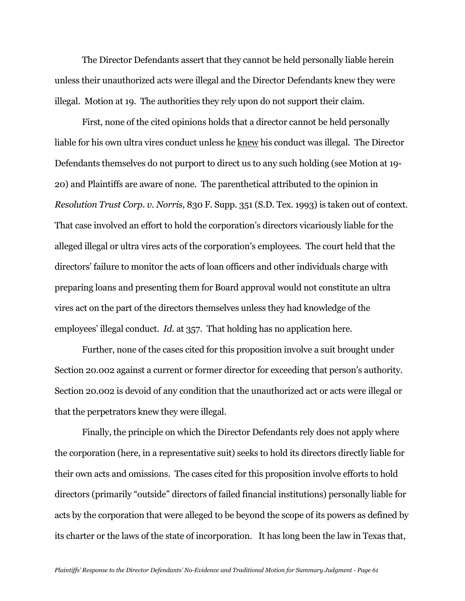The Director Defendants assert that they cannot be held personally liable herein unless their unauthorized acts were illegal and the Director Defendants knew they were illegal. Motion at 19. The authorities they rely upon do not support their claim.

First, none of the cited opinions holds that a director cannot be held personally liable for his own ultra vires conduct unless he knew his conduct was illegal. The Director Defendants themselves do not purport to direct us to any such holding (see Motion at 19- 20) and Plaintiffs are aware of none. The parenthetical attributed to the opinion in *Resolution Trust Corp. v. Norris*, 830 F. Supp. 351 (S.D. Tex. 1993) is taken out of context. That case involved an effort to hold the corporation's directors vicariously liable for the alleged illegal or ultra vires acts of the corporation's employees. The court held that the directors' failure to monitor the acts of loan officers and other individuals charge with preparing loans and presenting them for Board approval would not constitute an ultra vires act on the part of the directors themselves unless they had knowledge of the employees' illegal conduct. *Id.* at 357. That holding has no application here.

Further, none of the cases cited for this proposition involve a suit brought under Section 20.002 against a current or former director for exceeding that person's authority. Section 20.002 is devoid of any condition that the unauthorized act or acts were illegal or that the perpetrators knew they were illegal.

Finally, the principle on which the Director Defendants rely does not apply where the corporation (here, in a representative suit) seeks to hold its directors directly liable for their own acts and omissions. The cases cited for this proposition involve efforts to hold directors (primarily "outside" directors of failed financial institutions) personally liable for acts by the corporation that were alleged to be beyond the scope of its powers as defined by its charter or the laws of the state of incorporation. It has long been the law in Texas that,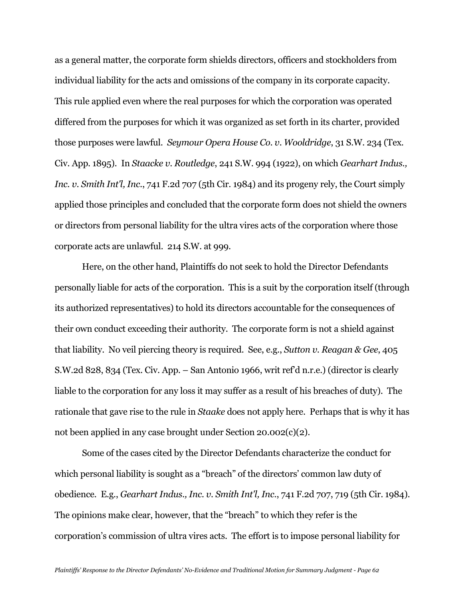as a general matter, the corporate form shields directors, officers and stockholders from individual liability for the acts and omissions of the company in its corporate capacity. This rule applied even where the real purposes for which the corporation was operated differed from the purposes for which it was organized as set forth in its charter, provided those purposes were lawful. *Seymour Opera House Co. v. Wooldridge*, 31 S.W. 234 (Tex. Civ. App. 1895). In *Staacke v. Routledge*, 241 S.W. 994 (1922), on which *Gearhart Indus., Inc. v. Smith Int'l, Inc.*, 741 F.2d 707 (5th Cir. 1984) and its progeny rely, the Court simply applied those principles and concluded that the corporate form does not shield the owners or directors from personal liability for the ultra vires acts of the corporation where those corporate acts are unlawful. 214 S.W. at 999.

Here, on the other hand, Plaintiffs do not seek to hold the Director Defendants personally liable for acts of the corporation. This is a suit by the corporation itself (through its authorized representatives) to hold its directors accountable for the consequences of their own conduct exceeding their authority. The corporate form is not a shield against that liability. No veil piercing theory is required. See, e.g., *Sutton v. Reagan & Gee*, 405 S.W.2d 828, 834 (Tex. Civ. App. – San Antonio 1966, writ ref'd n.r.e.) (director is clearly liable to the corporation for any loss it may suffer as a result of his breaches of duty). The rationale that gave rise to the rule in *Staake* does not apply here. Perhaps that is why it has not been applied in any case brought under Section 20.002(c)(2).

Some of the cases cited by the Director Defendants characterize the conduct for which personal liability is sought as a "breach" of the directors' common law duty of obedience. E.g., *Gearhart Indus., Inc. v. Smith Int'l, Inc*., 741 F.2d 707, 719 (5th Cir. 1984). The opinions make clear, however, that the "breach" to which they refer is the corporation's commission of ultra vires acts. The effort is to impose personal liability for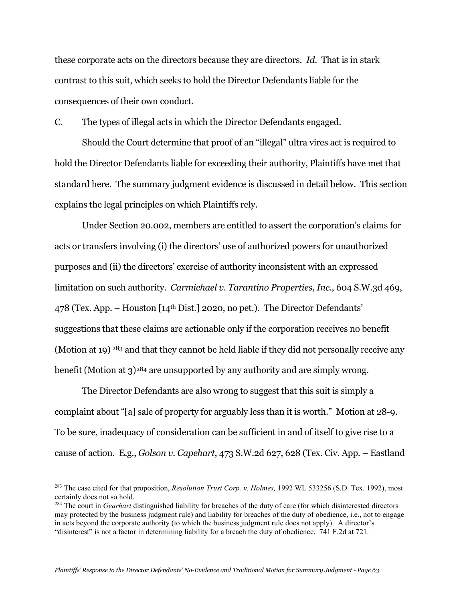these corporate acts on the directors because they are directors. *Id.* That is in stark contrast to this suit, which seeks to hold the Director Defendants liable for the consequences of their own conduct.

C. The types of illegal acts in which the Director Defendants engaged.

Should the Court determine that proof of an "illegal" ultra vires act is required to hold the Director Defendants liable for exceeding their authority, Plaintiffs have met that standard here. The summary judgment evidence is discussed in detail below. This section explains the legal principles on which Plaintiffs rely.

Under Section 20.002, members are entitled to assert the corporation's claims for acts or transfers involving (i) the directors' use of authorized powers for unauthorized purposes and (ii) the directors' exercise of authority inconsistent with an expressed limitation on such authority. *Carmichael v. Tarantino Properties, Inc*., 604 S.W.3d 469, 478 (Tex. App. – Houston [14th Dist.] 2020, no pet.). The Director Defendants' suggestions that these claims are actionable only if the corporation receives no benefit (Motion at 19) <sup>[283](#page-62-0)</sup> and that they cannot be held liable if they did not personally receive any benefit (Motion at 3)[284](#page-62-1) are unsupported by any authority and are simply wrong.

The Director Defendants are also wrong to suggest that this suit is simply a complaint about "[a] sale of property for arguably less than it is worth." Motion at 28-9. To be sure, inadequacy of consideration can be sufficient in and of itself to give rise to a cause of action. E.g., *Golson v. Capehart*, 473 S.W.2d 627, 628 (Tex. Civ. App. – Eastland

<span id="page-62-0"></span><sup>283</sup> The case cited for that proposition, *Resolution Trust Corp. v. Holmes,* 1992 WL 533256 (S.D. Tex. 1992), most certainly does not so hold.

<span id="page-62-1"></span><sup>284</sup> The court in *Gearhart* distinguished liability for breaches of the duty of care (for which disinterested directors may protected by the business judgment rule) and liability for breaches of the duty of obedience, i.e., not to engage in acts beyond the corporate authority (to which the business judgment rule does not apply). A director's "disinterest" is not a factor in determining liability for a breach the duty of obedience. 741 F.2d at 721.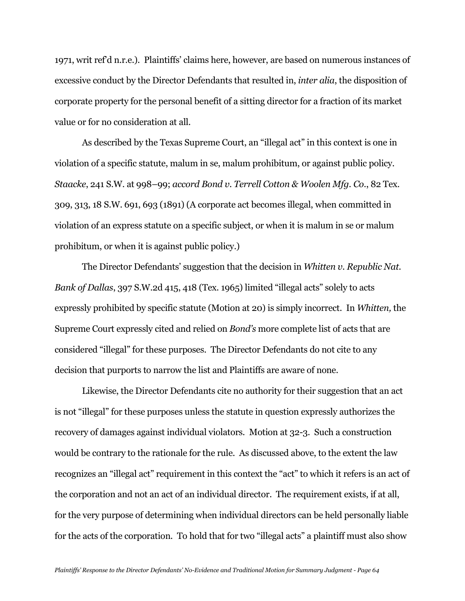1971, writ ref'd n.r.e.). Plaintiffs' claims here, however, are based on numerous instances of excessive conduct by the Director Defendants that resulted in, *inter alia*, the disposition of corporate property for the personal benefit of a sitting director for a fraction of its market value or for no consideration at all.

As described by the Texas Supreme Court, an "illegal act" in this context is one in violation of a specific statute, malum in se, malum prohibitum, or against public policy. *Staacke*, 241 S.W. at 998–99; *accord Bond v. Terrell Cotton & Woolen Mfg. Co*., 82 Tex. 309, 313, 18 S.W. 691, 693 (1891) (A corporate act becomes illegal, when committed in violation of an express statute on a specific subject, or when it is malum in se or malum prohibitum, or when it is against public policy.)

The Director Defendants' suggestion that the decision in *Whitten v. Republic Nat. Bank of Dallas*, 397 S.W.2d 415, 418 (Tex. 1965) limited "illegal acts" solely to acts expressly prohibited by specific statute (Motion at 20) is simply incorrect. In *Whitten,* the Supreme Court expressly cited and relied on *Bond's* more complete list of acts that are considered "illegal" for these purposes. The Director Defendants do not cite to any decision that purports to narrow the list and Plaintiffs are aware of none.

Likewise, the Director Defendants cite no authority for their suggestion that an act is not "illegal" for these purposes unless the statute in question expressly authorizes the recovery of damages against individual violators. Motion at 32-3. Such a construction would be contrary to the rationale for the rule. As discussed above, to the extent the law recognizes an "illegal act" requirement in this context the "act" to which it refers is an act of the corporation and not an act of an individual director. The requirement exists, if at all, for the very purpose of determining when individual directors can be held personally liable for the acts of the corporation. To hold that for two "illegal acts" a plaintiff must also show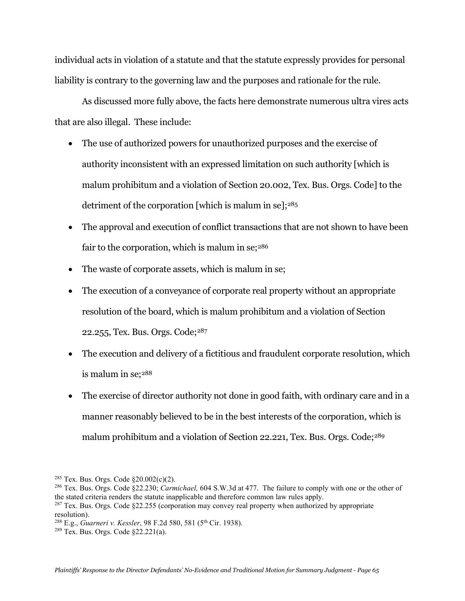individual acts in violation of a statute and that the statute expressly provides for personal liability is contrary to the governing law and the purposes and rationale for the rule.

As discussed more fully above, the facts here demonstrate numerous ultra vires acts that are also illegal. These include:

- The use of authorized powers for unauthorized purposes and the exercise of authority inconsistent with an expressed limitation on such authority [which is malum prohibitum and a violation of Section 20.002, Tex. Bus. Orgs. Code] to the detriment of the corporation [which is malum in se]; $285$
- The approval and execution of conflict transactions that are not shown to have been fair to the corporation, which is malum in se; $286$
- The waste of corporate assets, which is malum in se;
- The execution of a conveyance of corporate real property without an appropriate resolution of the board, which is malum prohibitum and a violation of Section 22.255, Tex. Bus. Orgs. Code;[287](#page-64-2)
- The execution and delivery of a fictitious and fraudulent corporate resolution, which is malum in se[;288](#page-64-3)
- The exercise of director authority not done in good faith, with ordinary care and in a manner reasonably believed to be in the best interests of the corporation, which is malum prohibitum and a violation of Section 22.221, Tex. Bus. Orgs. Code;<sup>[289](#page-64-4)</sup>

<span id="page-64-3"></span><sup>288</sup> E.g., *Guarneri v. Kessler*, 98 F.2d 580, 581 (5<sup>th</sup> Cir. 1938).

<span id="page-64-0"></span><sup>&</sup>lt;sup>285</sup> Tex. Bus. Orgs. Code  $\S 20.002(c)(2)$ .

<span id="page-64-1"></span><sup>286</sup> Tex. Bus. Orgs. Code §22.230; *Carmichael,* 604 S.W.3d at 477. The failure to comply with one or the other of the stated criteria renders the statute inapplicable and therefore common law rules apply.

<span id="page-64-2"></span> $^{287}$  Tex. Bus. Orgs. Code  $\S22.255$  (corporation may convey real property when authorized by appropriate resolution).

<span id="page-64-4"></span><sup>289</sup> Tex. Bus. Orgs. Code §22.221(a).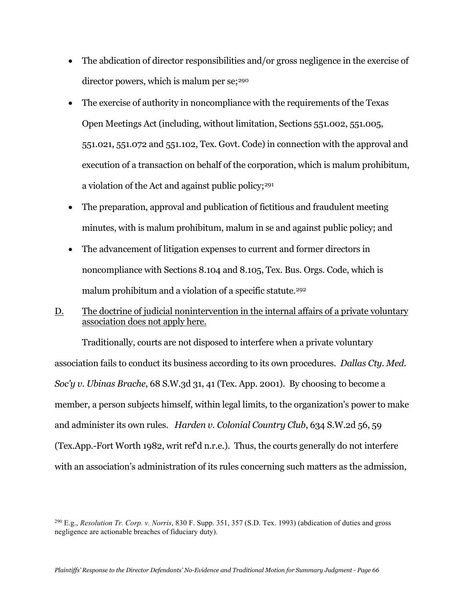- The abdication of director responsibilities and/or gross negligence in the exercise of director powers, which is malum per se;<sup>[290](#page-65-0)</sup>
- The exercise of authority in noncompliance with the requirements of the Texas Open Meetings Act (including, without limitation, Sections 551.002, 551.005, 551.021, 551.072 and 551.102, Tex. Govt. Code) in connection with the approval and execution of a transaction on behalf of the corporation, which is malum prohibitum, a violation of the Act and against public policy;<sup>291</sup>
- The preparation, approval and publication of fictitious and fraudulent meeting minutes, with is malum prohibitum, malum in se and against public policy; and
- The advancement of litigation expenses to current and former directors in noncompliance with Sections 8.104 and 8.105, Tex. Bus. Orgs. Code, which is malum prohibitum and a violation of a specific statute.<sup>[292](#page-65-2)</sup>
- D. The doctrine of judicial nonintervention in the internal affairs of a private voluntary association does not apply here.

Traditionally, courts are not disposed to interfere when a private voluntary association fails to conduct its business according to its own procedures. *Dallas Cty. Med. Soc'y v. Ubinas Brache*, 68 S.W.3d 31, 41 (Tex. App. 2001). By choosing to become a member, a person subjects himself, within legal limits, to the organization's power to make and administer its own rules. *Harden v. Colonial Country Club*, 634 S.W.2d 56, 59 (Tex.App.-Fort Worth 1982, writ ref'd n.r.e.). Thus, the courts generally do not interfere with an association's administration of its rules concerning such matters as the admission,

<span id="page-65-2"></span><span id="page-65-1"></span><span id="page-65-0"></span><sup>290</sup> E.g., *Resolution Tr. Corp. v. Norris*, 830 F. Supp. 351, 357 (S.D. Tex. 1993) (abdication of duties and gross negligence are actionable breaches of fiduciary duty).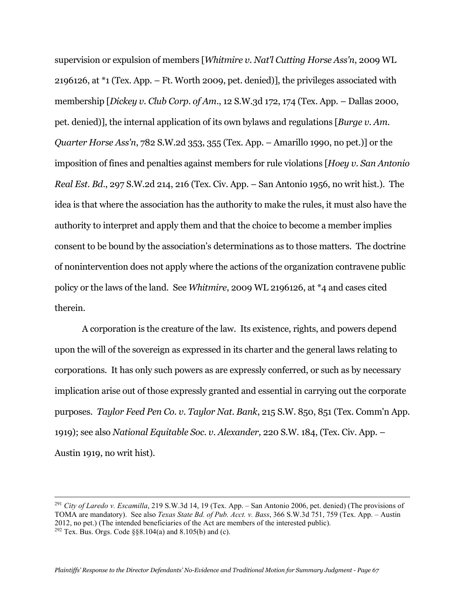supervision or expulsion of members [*Whitmire v. Nat'l Cutting Horse Ass'n*, 2009 WL 2196126, at \*1 (Tex. App. – Ft. Worth 2009, pet. denied)], the privileges associated with membership [*Dickey v. Club Corp. of Am*., 12 S.W.3d 172, 174 (Tex. App. – Dallas 2000, pet. denied)], the internal application of its own bylaws and regulations [*Burge v. Am. Quarter Horse Ass'n*, 782 S.W.2d 353, 355 (Tex. App. – Amarillo 1990, no pet.)] or the imposition of fines and penalties against members for rule violations [*Hoey v. San Antonio Real Est. Bd*., 297 S.W.2d 214, 216 (Tex. Civ. App. – San Antonio 1956, no writ hist.). The idea is that where the association has the authority to make the rules, it must also have the authority to interpret and apply them and that the choice to become a member implies consent to be bound by the association's determinations as to those matters. The doctrine of nonintervention does not apply where the actions of the organization contravene public policy or the laws of the land. See *Whitmire*, 2009 WL 2196126, at \*4 and cases cited therein.

A corporation is the creature of the law. Its existence, rights, and powers depend upon the will of the sovereign as expressed in its charter and the general laws relating to corporations. It has only such powers as are expressly conferred, or such as by necessary implication arise out of those expressly granted and essential in carrying out the corporate purposes. *Taylor Feed Pen Co. v. Taylor Nat. Bank*, 215 S.W. 850, 851 (Tex. Comm'n App. 1919); see also *National Equitable Soc. v. Alexander,* 220 S.W. 184, (Tex. Civ. App. – Austin 1919, no writ hist).

<sup>291</sup> *City of Laredo v. Escamilla*, 219 S.W.3d 14, 19 (Tex. App. – San Antonio 2006, pet. denied) (The provisions of TOMA are mandatory). See also *Texas State Bd. of Pub. Acct. v. Bass*, 366 S.W.3d 751, 759 (Tex. App. – Austin 2012, no pet.) (The intended beneficiaries of the Act are members of the interested public). <sup>292</sup> Tex. Bus. Orgs. Code  $\S$ §8.104(a) and 8.105(b) and (c).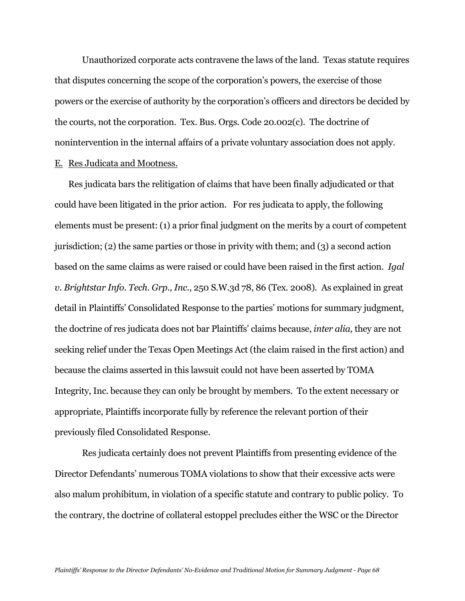Unauthorized corporate acts contravene the laws of the land. Texas statute requires that disputes concerning the scope of the corporation's powers, the exercise of those powers or the exercise of authority by the corporation's officers and directors be decided by the courts, not the corporation. Tex. Bus. Orgs. Code 20.002(c). The doctrine of nonintervention in the internal affairs of a private voluntary association does not apply. E. Res Judicata and Mootness.

Res judicata bars the relitigation of claims that have been finally adjudicated or that could have been litigated in the prior action. For res judicata to apply, the following elements must be present: (1) a prior final judgment on the merits by a court of competent jurisdiction; (2) the same parties or those in privity with them; and (3) a second action based on the same claims as were raised or could have been raised in the first action. *Igal v. Brightstar Info. Tech. Grp., Inc*., 250 S.W.3d 78, 86 (Tex. 2008). As explained in great detail in Plaintiffs' Consolidated Response to the parties' motions for summary judgment, the doctrine of res judicata does not bar Plaintiffs' claims because, *inter alia*, they are not seeking relief under the Texas Open Meetings Act (the claim raised in the first action) and because the claims asserted in this lawsuit could not have been asserted by TOMA Integrity, Inc. because they can only be brought by members. To the extent necessary or appropriate, Plaintiffs incorporate fully by reference the relevant portion of their previously filed Consolidated Response.

Res judicata certainly does not prevent Plaintiffs from presenting evidence of the Director Defendants' numerous TOMA violations to show that their excessive acts were also malum prohibitum, in violation of a specific statute and contrary to public policy. To the contrary, the doctrine of collateral estoppel precludes either the WSC or the Director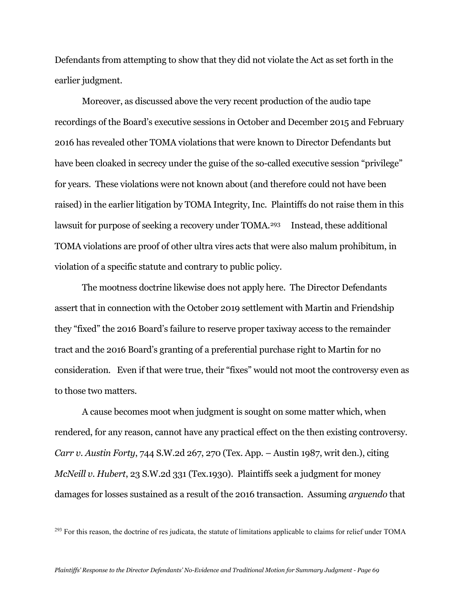Defendants from attempting to show that they did not violate the Act as set forth in the earlier judgment.

Moreover, as discussed above the very recent production of the audio tape recordings of the Board's executive sessions in October and December 2015 and February 2016 has revealed other TOMA violations that were known to Director Defendants but have been cloaked in secrecy under the guise of the so-called executive session "privilege" for years. These violations were not known about (and therefore could not have been raised) in the earlier litigation by TOMA Integrity, Inc. Plaintiffs do not raise them in this lawsuit for purpose of seeking a recovery under TOMA.<sup>[293](#page-68-0)</sup> Instead, these additional TOMA violations are proof of other ultra vires acts that were also malum prohibitum, in violation of a specific statute and contrary to public policy.

The mootness doctrine likewise does not apply here. The Director Defendants assert that in connection with the October 2019 settlement with Martin and Friendship they "fixed" the 2016 Board's failure to reserve proper taxiway access to the remainder tract and the 2016 Board's granting of a preferential purchase right to Martin for no consideration. Even if that were true, their "fixes" would not moot the controversy even as to those two matters.

A cause becomes moot when judgment is sought on some matter which, when rendered, for any reason, cannot have any practical effect on the then existing controversy. *Carr v. Austin Forty*, 744 S.W.2d 267, 270 (Tex. App. – Austin 1987, writ den.), citing *McNeill v. Hubert*, 23 S.W.2d 331 (Tex.1930). Plaintiffs seek a judgment for money damages for losses sustained as a result of the 2016 transaction. Assuming *arguendo* that

<span id="page-68-0"></span><sup>&</sup>lt;sup>293</sup> For this reason, the doctrine of res judicata, the statute of limitations applicable to claims for relief under TOMA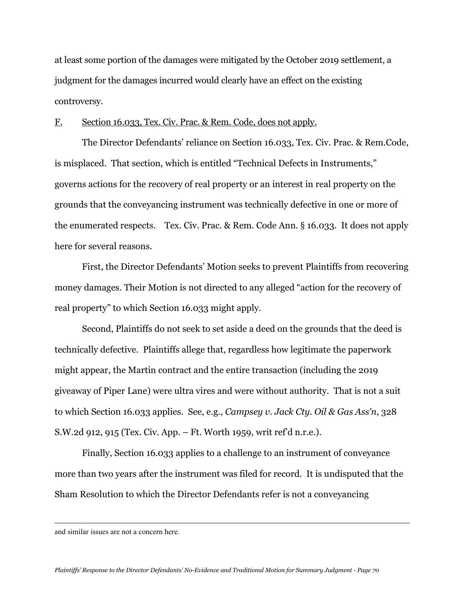at least some portion of the damages were mitigated by the October 2019 settlement, a judgment for the damages incurred would clearly have an effect on the existing controversy.

## F. Section 16.033, Tex. Civ. Prac. & Rem. Code, does not apply.

The Director Defendants' reliance on Section 16.033, Tex. Civ. Prac. & Rem.Code, is misplaced. That section, which is entitled "Technical Defects in Instruments," governs actions for the recovery of real property or an interest in real property on the grounds that the conveyancing instrument was technically defective in one or more of the enumerated respects. Tex. Civ. Prac. & Rem. Code Ann. § 16.033. It does not apply here for several reasons.

First, the Director Defendants' Motion seeks to prevent Plaintiffs from recovering money damages. Their Motion is not directed to any alleged "action for the recovery of real property" to which Section 16.033 might apply.

Second, Plaintiffs do not seek to set aside a deed on the grounds that the deed is technically defective. Plaintiffs allege that, regardless how legitimate the paperwork might appear, the Martin contract and the entire transaction (including the 2019 giveaway of Piper Lane) were ultra vires and were without authority. That is not a suit to which Section 16.033 applies. See, e.g., *Campsey v. Jack Cty. Oil & Gas Ass'n*, 328 S.W.2d 912, 915 (Tex. Civ. App. – Ft. Worth 1959, writ ref'd n.r.e.).

Finally, Section 16.033 applies to a challenge to an instrument of conveyance more than two years after the instrument was filed for record. It is undisputed that the Sham Resolution to which the Director Defendants refer is not a conveyancing

and similar issues are not a concern here.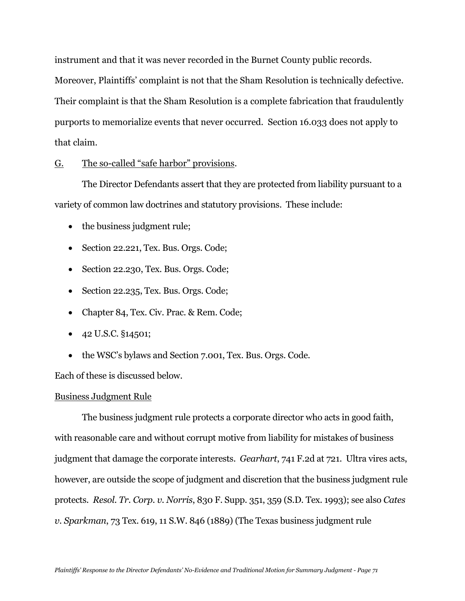instrument and that it was never recorded in the Burnet County public records.

Moreover, Plaintiffs' complaint is not that the Sham Resolution is technically defective. Their complaint is that the Sham Resolution is a complete fabrication that fraudulently purports to memorialize events that never occurred. Section 16.033 does not apply to that claim.

## G. The so-called "safe harbor" provisions.

The Director Defendants assert that they are protected from liability pursuant to a variety of common law doctrines and statutory provisions. These include:

- the business judgment rule;
- Section 22.221, Tex. Bus. Orgs. Code;
- Section 22.230, Tex. Bus. Orgs. Code;
- Section 22.235, Tex. Bus. Orgs. Code;
- Chapter 84, Tex. Civ. Prac. & Rem. Code;
- 42 U.S.C. §14501;
- the WSC's bylaws and Section 7.001, Tex. Bus. Orgs. Code.

Each of these is discussed below.

### Business Judgment Rule

The business judgment rule protects a corporate director who acts in good faith, with reasonable care and without corrupt motive from liability for mistakes of business judgment that damage the corporate interests. *Gearhart*, 741 F.2d at 721. Ultra vires acts, however, are outside the scope of judgment and discretion that the business judgment rule protects. *Resol. Tr. Corp. v. Norris*, 830 F. Supp. 351, 359 (S.D. Tex. 1993); see also *Cates v. Sparkman*, 73 Tex. 619, 11 S.W. 846 (1889) (The Texas business judgment rule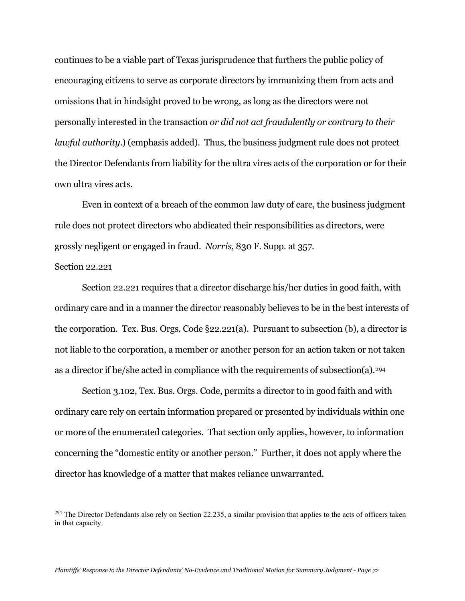continues to be a viable part of Texas jurisprudence that furthers the public policy of encouraging citizens to serve as corporate directors by immunizing them from acts and omissions that in hindsight proved to be wrong, as long as the directors were not personally interested in the transaction *or did not act fraudulently or contrary to their lawful authority*.) (emphasis added). Thus, the business judgment rule does not protect the Director Defendants from liability for the ultra vires acts of the corporation or for their own ultra vires acts.

Even in context of a breach of the common law duty of care, the business judgment rule does not protect directors who abdicated their responsibilities as directors, were grossly negligent or engaged in fraud. *Norris,* 830 F. Supp. at 357.

#### Section 22.221

Section 22.221 requires that a director discharge his/her duties in good faith, with ordinary care and in a manner the director reasonably believes to be in the best interests of the corporation. Tex. Bus. Orgs. Code §22.221(a). Pursuant to subsection (b), a director is not liable to the corporation, a member or another person for an action taken or not taken as a director if he/she acted in compliance with the requirements of subsection(a)[.294](#page-71-0)

Section 3.102, Tex. Bus. Orgs. Code, permits a director to in good faith and with ordinary care rely on certain information prepared or presented by individuals within one or more of the enumerated categories. That section only applies, however, to information concerning the "domestic entity or another person." Further, it does not apply where the director has knowledge of a matter that makes reliance unwarranted.

<span id="page-71-0"></span> $^{294}$  The Director Defendants also rely on Section 22.235, a similar provision that applies to the acts of officers taken in that capacity.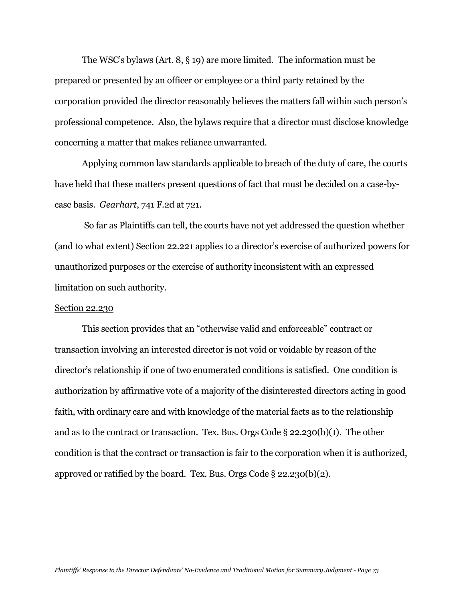The WSC's bylaws (Art. 8, § 19) are more limited. The information must be prepared or presented by an officer or employee or a third party retained by the corporation provided the director reasonably believes the matters fall within such person's professional competence. Also, the bylaws require that a director must disclose knowledge concerning a matter that makes reliance unwarranted.

Applying common law standards applicable to breach of the duty of care, the courts have held that these matters present questions of fact that must be decided on a case-bycase basis. *Gearhart*, 741 F.2d at 721.

So far as Plaintiffs can tell, the courts have not yet addressed the question whether (and to what extent) Section 22.221 applies to a director's exercise of authorized powers for unauthorized purposes or the exercise of authority inconsistent with an expressed limitation on such authority.

#### Section 22.230

This section provides that an "otherwise valid and enforceable" contract or transaction involving an interested director is not void or voidable by reason of the director's relationship if one of two enumerated conditions is satisfied. One condition is authorization by affirmative vote of a majority of the disinterested directors acting in good faith, with ordinary care and with knowledge of the material facts as to the relationship and as to the contract or transaction. Tex. Bus. Orgs Code § 22.230(b)(1). The other condition is that the contract or transaction is fair to the corporation when it is authorized, approved or ratified by the board. Tex. Bus. Orgs Code § 22.230(b)(2).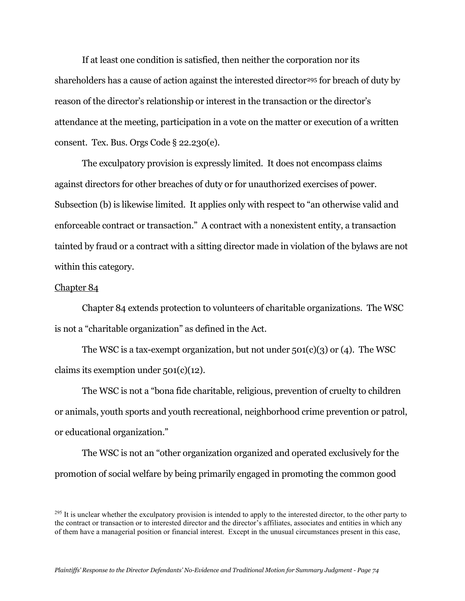If at least one condition is satisfied, then neither the corporation nor its shareholders has a cause of action against the interested director<sup>295</sup> for breach of duty by reason of the director's relationship or interest in the transaction or the director's attendance at the meeting, participation in a vote on the matter or execution of a written consent. Tex. Bus. Orgs Code § 22.230(e).

The exculpatory provision is expressly limited. It does not encompass claims against directors for other breaches of duty or for unauthorized exercises of power. Subsection (b) is likewise limited. It applies only with respect to "an otherwise valid and enforceable contract or transaction." A contract with a nonexistent entity, a transaction tainted by fraud or a contract with a sitting director made in violation of the bylaws are not within this category.

### Chapter 84

Chapter 84 extends protection to volunteers of charitable organizations. The WSC is not a "charitable organization" as defined in the Act.

The WSC is a tax-exempt organization, but not under  $501(c)(3)$  or (4). The WSC claims its exemption under  $501(c)(12)$ .

The WSC is not a "bona fide charitable, religious, prevention of cruelty to children or animals, youth sports and youth recreational, neighborhood crime prevention or patrol, or educational organization."

The WSC is not an "other organization organized and operated exclusively for the promotion of social welfare by being primarily engaged in promoting the common good

<span id="page-73-0"></span> $^{295}$  It is unclear whether the exculpatory provision is intended to apply to the interested director, to the other party to the contract or transaction or to interested director and the director's affiliates, associates and entities in which any of them have a managerial position or financial interest. Except in the unusual circumstances present in this case,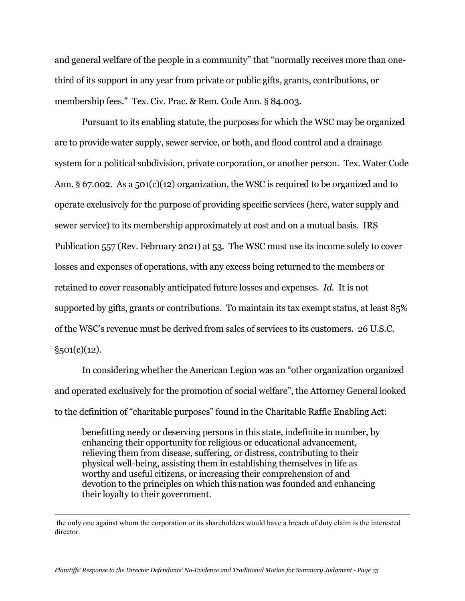and general welfare of the people in a community" that "normally receives more than onethird of its support in any year from private or public gifts, grants, contributions, or membership fees." Tex. Civ. Prac. & Rem. Code Ann. § 84.003.

Pursuant to its enabling statute, the purposes for which the WSC may be organized are to provide water supply, sewer service, or both, and flood control and a drainage system for a political subdivision, private corporation, or another person. Tex. Water Code Ann.  $\S 67.002$ . As a  $501(c)(12)$  organization, the WSC is required to be organized and to operate exclusively for the purpose of providing specific services (here, water supply and sewer service) to its membership approximately at cost and on a mutual basis. IRS Publication 557 (Rev. February 2021) at 53. The WSC must use its income solely to cover losses and expenses of operations, with any excess being returned to the members or retained to cover reasonably anticipated future losses and expenses. *Id.* It is not supported by gifts, grants or contributions. To maintain its tax exempt status, at least 85% of the WSC's revenue must be derived from sales of services to its customers. 26 U.S.C.  $§501(c)(12).$ 

In considering whether the American Legion was an "other organization organized and operated exclusively for the promotion of social welfare", the Attorney General looked to the definition of "charitable purposes" found in the Charitable Raffle Enabling Act:

benefitting needy or deserving persons in this state, indefinite in number, by enhancing their opportunity for religious or educational advancement, relieving them from disease, suffering, or distress, contributing to their physical well-being, assisting them in establishing themselves in life as worthy and useful citizens, or increasing their comprehension of and devotion to the principles on which this nation was founded and enhancing their loyalty to their government.

the only one against whom the corporation or its shareholders would have a breach of duty claim is the interested director.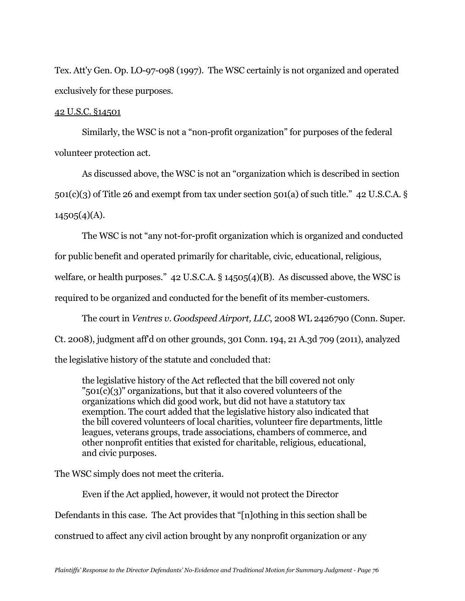Tex. Att'y Gen. Op. LO-97-098 (1997). The WSC certainly is not organized and operated exclusively for these purposes.

# 42 U.S.C. §14501

Similarly, the WSC is not a "non-profit organization" for purposes of the federal volunteer protection act.

As discussed above, the WSC is not an "organization which is described in section  $501(c)(3)$  of Title 26 and exempt from tax under section  $501(a)$  of such title." 42 U.S.C.A. §  $14505(4)(A)$ .

The WSC is not "any not-for-profit organization which is organized and conducted

for public benefit and operated primarily for charitable, civic, educational, religious,

welfare, or health purposes." 42 U.S.C.A. § 14505(4)(B). As discussed above, the WSC is

required to be organized and conducted for the benefit of its member-customers.

The court in *Ventres v. Goodspeed Airport, LLC*, 2008 WL 2426790 (Conn. Super.

Ct. 2008), judgment aff'd on other grounds, 301 Conn. 194, 21 A.3d 709 (2011), analyzed

the legislative history of the statute and concluded that:

the legislative history of the Act reflected that the bill covered not only " $501(c)(3)$ " organizations, but that it also covered volunteers of the organizations which did good work, but did not have a statutory tax exemption. The court added that the legislative history also indicated that the bill covered volunteers of local charities, volunteer fire departments, little leagues, veterans groups, trade associations, chambers of commerce, and other nonprofit entities that existed for charitable, religious, educational, and civic purposes.

The WSC simply does not meet the criteria.

Even if the Act applied, however, it would not protect the Director Defendants in this case. The Act provides that "[n]othing in this section shall be construed to affect any civil action brought by any nonprofit organization or any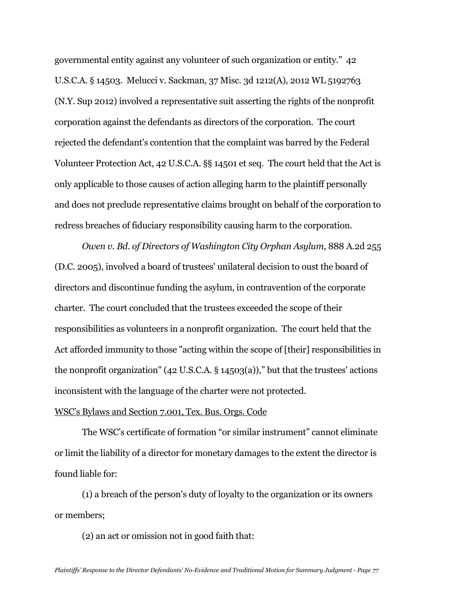governmental entity against any volunteer of such organization or entity." 42 U.S.C.A. § 14503. Melucci v. Sackman, 37 Misc. 3d 1212(A), 2012 WL 5192763 (N.Y. Sup 2012) involved a representative suit asserting the rights of the nonprofit corporation against the defendants as directors of the corporation. The court rejected the defendant's contention that the complaint was barred by the Federal Volunteer Protection Act, 42 U.S.C.A. §§ 14501 et seq. The court held that the Act is only applicable to those causes of action alleging harm to the plaintiff personally and does not preclude representative claims brought on behalf of the corporation to redress breaches of fiduciary responsibility causing harm to the corporation.

*Owen v. Bd. of Directors of Washington City Orphan Asylum*, 888 A.2d 255 (D.C. 2005), involved a board of trustees' unilateral decision to oust the board of directors and discontinue funding the asylum, in contravention of the corporate charter. The court concluded that the trustees exceeded the scope of their responsibilities as volunteers in a nonprofit organization. The court held that the Act afforded immunity to those "acting within the scope of [their] responsibilities in the nonprofit organization" (42 U.S.C.A. § 14503(a))," but that the trustees' actions inconsistent with the language of the charter were not protected.

### WSC's Bylaws and Section 7.001, Tex. Bus. Orgs. Code

The WSC's certificate of formation "or similar instrument" cannot eliminate or limit the liability of a director for monetary damages to the extent the director is found liable for:

(1) a breach of the person's duty of loyalty to the organization or its owners or members;

(2) an act or omission not in good faith that: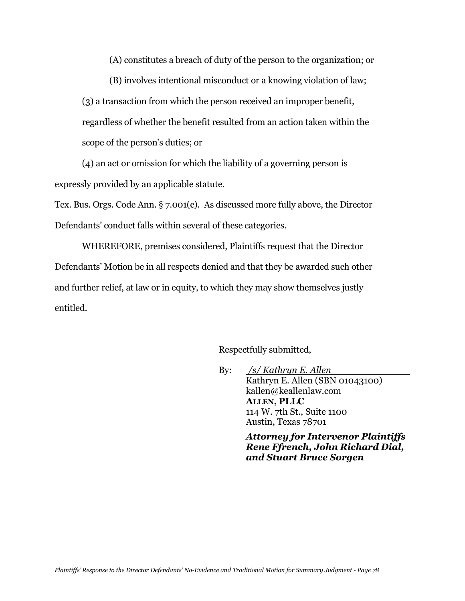(A) constitutes a breach of duty of the person to the organization; or

(B) involves intentional misconduct or a knowing violation of law; (3) a transaction from which the person received an improper benefit, regardless of whether the benefit resulted from an action taken within the scope of the person's duties; or

(4) an act or omission for which the liability of a governing person is expressly provided by an applicable statute.

Tex. Bus. Orgs. Code Ann. § 7.001(c). As discussed more fully above, the Director Defendants' conduct falls within several of these categories.

WHEREFORE, premises considered, Plaintiffs request that the Director Defendants' Motion be in all respects denied and that they be awarded such other and further relief, at law or in equity, to which they may show themselves justly entitled.

## Respectfully submitted,

By: */s/ Kathryn E. Allen* Kathryn E. Allen (SBN 01043100) kallen@keallenlaw.com **ALLEN, PLLC** 114 W. 7th St., Suite 1100 Austin, Texas 78701

> *Attorney for Intervenor Plaintiffs Rene Ffrench, John Richard Dial, and Stuart Bruce Sorgen*